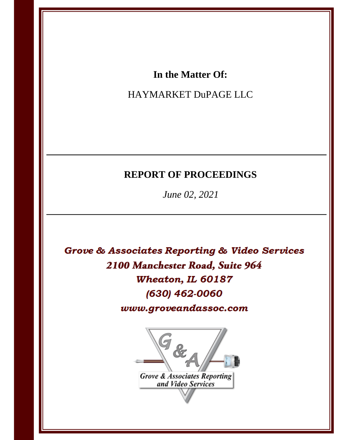# In the Matter Of:

# HAYMARKET DuPAGE LLC

# **REPORT OF PROCEEDINGS**

June 02, 2021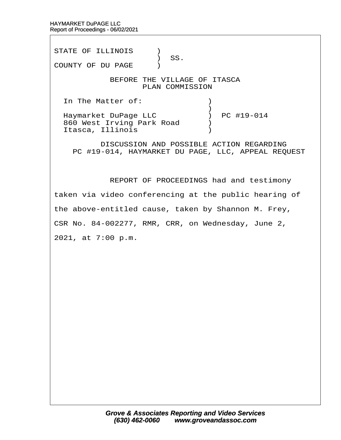STATE OF ILLINOIS )  $\big)$  SS. COUNTY OF DU PAGE ) BEFORE THE VILLAGE OF ITASCA PLAN COMMISSION In The Matter of:  $\qquad \qquad$  )  $\hspace{0.5cm}$   $\hspace{0.5cm}$   $\hspace{0.5cm}$   $\hspace{0.5cm}$   $\hspace{0.5cm}$   $\hspace{0.5cm}$   $\hspace{0.5cm}$   $\hspace{0.5cm}$   $\hspace{0.5cm}$   $\hspace{0.5cm}$   $\hspace{0.5cm}$   $\hspace{0.5cm}$   $\hspace{0.5cm}$   $\hspace{0.5cm}$   $\hspace{0.5cm}$   $\hspace{0.5cm}$   $\hspace{0.5cm}$   $\hspace{0.5cm}$   $\hspace{$ Haymarket DuPage LLC (a) PC #19-014 860 West Irving Park Road (b) Itasca, Illinois (1998) DISCUSSION AND POSSIBLE ACTION REGARDING PC #19-014, HAYMARKET DU PAGE, LLC, APPEAL REQUEST

REPORT OF PROCEEDINGS had and testimony

taken via video conferencing at the public hearing of

the above-entitled cause, taken by Shannon M. Frey,

CSR No. 84-002277, RMR, CRR, on Wednesday, June 2,

2021, at 7:00 p.m.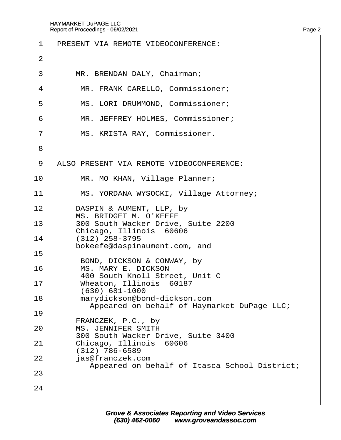| 1              | PRESENT VIA REMOTE VIDEOCONFERENCE:                                         |
|----------------|-----------------------------------------------------------------------------|
| 2              |                                                                             |
| 3              | MR. BRENDAN DALY, Chairman;                                                 |
| 4              | MR. FRANK CARELLO, Commissioner;                                            |
| 5              | MS. LORI DRUMMOND, Commissioner;                                            |
| 6              | MR. JEFFREY HOLMES, Commissioner;                                           |
| $\overline{7}$ | MS. KRISTA RAY, Commissioner.                                               |
| 8              |                                                                             |
| 9              | ALSO PRESENT VIA REMOTE VIDEOCONFERENCE:                                    |
| 10             | MR. MO KHAN, Village Planner;                                               |
| 11             | MS. YORDANA WYSOCKI, Village Attorney;                                      |
| 12             | DASPIN & AUMENT, LLP, by<br><b>MS. BRIDGET M. O'KEEFE</b>                   |
| 13             | 300 South Wacker Drive, Suite 2200<br>Chicago, Illinois 60606               |
| 14             | $(312)$ 258-3795<br>bokeefe@daspinaument.com, and                           |
| 15             | BOND, DICKSON & CONWAY, by                                                  |
| 16             | <b>MS. MARY E. DICKSON</b><br>400 South Knoll Street, Unit C                |
| 17             | Wheaton, Illinois 60187<br>(630) 681-1000                                   |
| 18             | marydickson@bond-dickson.com<br>Appeared on behalf of Haymarket DuPage LLC; |
| 19             |                                                                             |
| 20             | FRANCZEK, P.C., by<br><b>MS. JENNIFER SMITH</b>                             |
| 21             | 300 South Wacker Drive, Suite 3400<br>Chicago, Illinois 60606               |
| 22             | $(312)$ 786-6589<br>jas@franczek.com                                        |
| 23             | Appeared on behalf of Itasca School District;                               |
| 24             |                                                                             |
|                |                                                                             |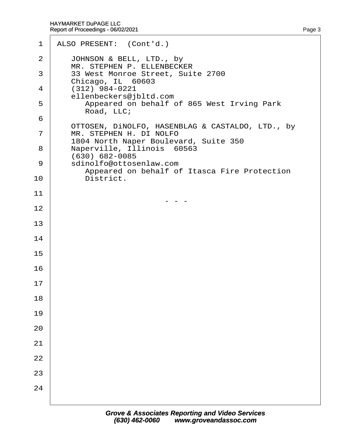| $\mathbf 1$    | ALSO PRESENT: (Cont'd.)                                                                                              |
|----------------|----------------------------------------------------------------------------------------------------------------------|
| 2              | JOHNSON & BELL, LTD., by<br>MR. STEPHEN P. ELLENBECKER                                                               |
| 3              | 33 West Monroe Street, Suite 2700<br>Chicago, IL 60603                                                               |
| 4              | (312) 984-0221<br>ellenbeckers@jbltd.com                                                                             |
| 5              | Appeared on behalf of 865 West Irving Park<br>Road, LLC;                                                             |
| 6              |                                                                                                                      |
| $\overline{7}$ | OTTOSEN, DINOLFO, HASENBLAG & CASTALDO, LTD., by<br>MR. STEPHEN H. DI NOLFO<br>1804 North Naper Boulevard, Suite 350 |
| 8              | Naperville, Illinois 60563<br>(630) 682-0085                                                                         |
| 9              | sdinolfo@ottosenlaw.com<br>Appeared on behalf of Itasca Fire Protection                                              |
| 10             | District.                                                                                                            |
| 11             |                                                                                                                      |
| 12             |                                                                                                                      |
| 13             |                                                                                                                      |
| 14             |                                                                                                                      |
| 15             |                                                                                                                      |
| 16             |                                                                                                                      |
| 17             |                                                                                                                      |
| 18             |                                                                                                                      |
| 19             |                                                                                                                      |
| 20             |                                                                                                                      |
| 21             |                                                                                                                      |
| 22             |                                                                                                                      |
| 23             |                                                                                                                      |
| 24             |                                                                                                                      |
|                |                                                                                                                      |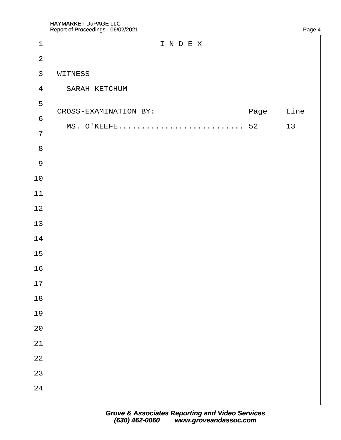| $\mathbf 1$             | INDEX                 |      |      |
|-------------------------|-----------------------|------|------|
| $\overline{2}$          |                       |      |      |
| $\mathfrak{S}$          | WITNESS               |      |      |
| $\overline{\mathbf{4}}$ | <b>SARAH KETCHUM</b>  |      |      |
| 5                       | CROSS-EXAMINATION BY: | Page | Line |
| $\,6\,$                 |                       |      |      |
| $\overline{7}$          |                       | 13   |      |
| $\bf 8$                 |                       |      |      |
| $\boldsymbol{9}$        |                       |      |      |
| $10$                    |                       |      |      |
| 11                      |                       |      |      |
| 12                      |                       |      |      |
| 13                      |                       |      |      |
| 14                      |                       |      |      |
| 15                      |                       |      |      |
| 16                      |                       |      |      |
| 17                      |                       |      |      |
| 18                      |                       |      |      |
| 19                      |                       |      |      |
| 20                      |                       |      |      |
| 21                      |                       |      |      |
| 22                      |                       |      |      |
| 23                      |                       |      |      |
| 24                      |                       |      |      |
|                         |                       |      |      |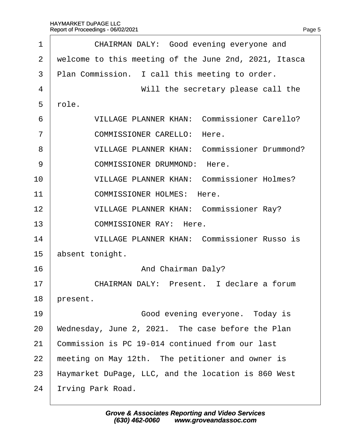| 1              | CHAIRMAN DALY: Good evening everyone and              |
|----------------|-------------------------------------------------------|
| 2              | welcome to this meeting of the June 2nd, 2021, Itasca |
| 3              | Plan Commission. I call this meeting to order.        |
| 4              | Will the secretary please call the                    |
| 5              | rble.                                                 |
| 6              | <b>VILLAGE PLANNER KHAN: Commissioner Carello?</b>    |
| $\overline{7}$ | <b>COMMISSIONER CARELLO: Here.</b>                    |
| 8              | <b>VILLAGE PLANNER KHAN: Commissioner Drummond?</b>   |
| 9              | <b>COMMISSIONER DRUMMOND: Here.</b>                   |
| 10             | <b>VILLAGE PLANNER KHAN: Commissioner Holmes?</b>     |
| 11             | <b>COMMISSIONER HOLMES: Here.</b>                     |
| 12             | <b>VILLAGE PLANNER KHAN: Commissioner Ray?</b>        |
| 13             | <b>COMMISSIONER RAY: Here.</b>                        |
| 14             | <b>VILLAGE PLANNER KHAN: Commissioner Russo is</b>    |
| 15             | absent tonight.                                       |
| 16             | And Chairman Daly?                                    |
| 17             | CHAIRMAN DALY: Present. I declare a forum             |
| 18             | present.                                              |
| 19             | Good evening everyone. Today is                       |
| 20             | Wednesday, June 2, 2021. The case before the Plan     |
| 21             | Commission is PC 19-014 continued from our last       |
| 22             | meeting on May 12th. The petitioner and owner is      |
| 23             | Haymarket DuPage, LLC, and the location is 860 West   |
| 24             | rving Park Road.                                      |
|                |                                                       |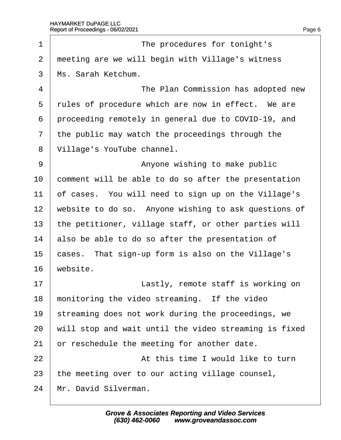| 1              | The procedures for tonight's                          |
|----------------|-------------------------------------------------------|
| $\overline{2}$ | meeting are we will begin with Village's witness      |
| 3              | Ms. Sarah Ketchum.                                    |
| 4              | The Plan Commission has adopted new                   |
| 5              | rules of procedure which are now in effect. We are    |
| 6              | proceeding remotely in general due to COVID-19, and   |
| $\overline{7}$ | the public may watch the proceedings through the      |
| 8              | Village's YouTube channel.                            |
| 9              | Anyone wishing to make public                         |
| 10             | comment will be able to do so after the presentation  |
| 11             | of cases. You will need to sign up on the Village's   |
| 12             | website to do so. Anyone wishing to ask questions of  |
| 13             | the petitioner, village staff, or other parties will  |
| 14             | also be able to do so after the presentation of       |
| 15             | cases. That sign-up form is also on the Village's     |
| 16             | website.                                              |
| 17             | Lastly, remote staff is working on                    |
| 18             | monitoring the video streaming. If the video          |
| 19             | streaming does not work during the proceedings, we    |
| 20             | will stop and wait until the video streaming is fixed |
| 21             | or reschedule the meeting for another date.           |
| 22             | At this time I would like to turn                     |
| 23             | the meeting over to our acting village counsel,       |
| 24             | Mr. David Silverman.                                  |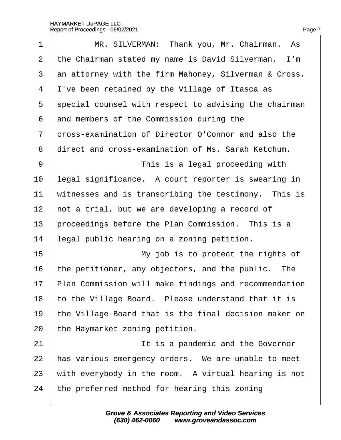| 1  | MR. SILVERMAN: Thank you, Mr. Chairman. As            |
|----|-------------------------------------------------------|
| 2  | the Chairman stated my name is David Silverman. I'm   |
| 3  | an attorney with the firm Mahoney, Silverman & Cross. |
| 4  | I've been retained by the Village of Itasca as        |
| 5  | special counsel with respect to advising the chairman |
| 6  | and members of the Commission during the              |
| 7  | dross-examination of Director O'Connor and also the   |
| 8  | direct and cross-examination of Ms. Sarah Ketchum.    |
| 9  | This is a legal proceeding with                       |
| 10 | legal significance. A court reporter is swearing in   |
| 11 | witnesses and is transcribing the testimony. This is  |
| 12 | hot a trial, but we are developing a record of        |
| 13 | proceedings before the Plan Commission. This is a     |
| 14 | legal public hearing on a zoning petition.            |
| 15 | My job is to protect the rights of                    |
| 16 | the petitioner, any objectors, and the public. The    |
| 17 | Plan Commission will make findings and recommendation |
| 18 | to the Village Board. Please understand that it is    |
| 19 | the Village Board that is the final decision maker on |
| 20 | the Haymarket zoning petition.                        |
| 21 | It is a pandemic and the Governor                     |
| 22 | has various emergency orders. We are unable to meet   |
| 23 | with everybody in the room. A virtual hearing is not  |
| 24 | the preferred method for hearing this zoning          |
|    |                                                       |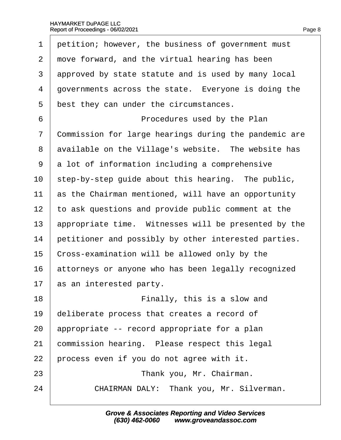| 1              | petition; however, the business of government must    |
|----------------|-------------------------------------------------------|
| $\overline{2}$ | move forward, and the virtual hearing has been        |
| 3              | approved by state statute and is used by many local   |
| 4              | governments across the state. Everyone is doing the   |
| 5              | best they can under the circumstances.                |
| 6              | Procedures used by the Plan                           |
| 7              | Commission for large hearings during the pandemic are |
| 8              | available on the Village's website. The website has   |
| 9              | a lot of information including a comprehensive        |
| 10             | step-by-step guide about this hearing. The public,    |
| 11             | as the Chairman mentioned, will have an opportunity   |
| 12             | to ask questions and provide public comment at the    |
| 13             | appropriate time. Witnesses will be presented by the  |
| 14             | petitioner and possibly by other interested parties.  |
| 15             | Cross-examination will be allowed only by the         |
| 16             | attorneys or anyone who has been legally recognized   |
| 17             | as an interested party.                               |
| 18             | Finally, this is a slow and                           |
| 19             | deliberate process that creates a record of           |
| 20             | appropriate -- record appropriate for a plan          |
| 21             | commission hearing. Please respect this legal         |
| 22             | process even if you do not agree with it.             |
| 23             | Thank you, Mr. Chairman.                              |
| 24             | CHAIRMAN DALY: Thank you, Mr. Silverman.              |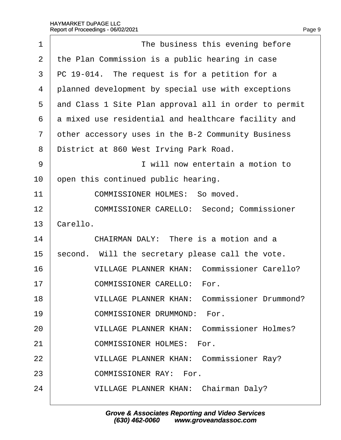| 1              | The business this evening before                      |
|----------------|-------------------------------------------------------|
| 2              | the Plan Commission is a public hearing in case       |
| 3              | PC 19-014. The request is for a petition for a        |
| 4              | planned development by special use with exceptions    |
| 5              | and Class 1 Site Plan approval all in order to permit |
| 6              | a mixed use residential and healthcare facility and   |
| $\overline{7}$ | other accessory uses in the B-2 Community Business    |
| 8              | District at 860 West Irving Park Road.                |
| 9              | I will now entertain a motion to                      |
| 10             | open this continued public hearing.                   |
| 11             | <b>COMMISSIONER HOLMES: So moved.</b>                 |
| 12             | <b>COMMISSIONER CARELLO: Second; Commissioner</b>     |
| 13             | Carello.                                              |
| 14             | CHAIRMAN DALY: There is a motion and a                |
| 15             | second. Will the secretary please call the vote.      |
| 16             | <b>VILLAGE PLANNER KHAN: Commissioner Carello?</b>    |
| 17             | <b>COMMISSIONER CARELLO: For.</b>                     |
| 18             | <b>VILLAGE PLANNER KHAN: Commissioner Drummond?</b>   |
| 19             | <b>COMMISSIONER DRUMMOND: For.</b>                    |
| 20             | <b>VILLAGE PLANNER KHAN: Commissioner Holmes?</b>     |
| 21             | <b>COMMISSIONER HOLMES: For.</b>                      |
| 22             | <b>VILLAGE PLANNER KHAN: Commissioner Ray?</b>        |
| 23             | <b>COMMISSIONER RAY: For.</b>                         |
| 24             | <b>VILLAGE PLANNER KHAN: Chairman Daly?</b>           |
|                |                                                       |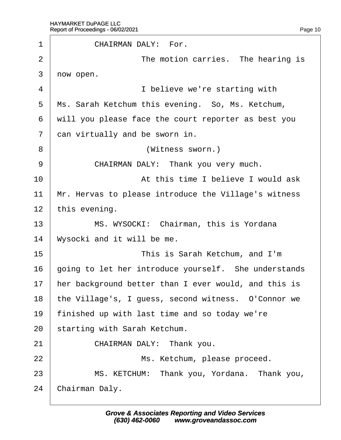| 1              | <b>CHAIRMAN DALY: For.</b>                           |
|----------------|------------------------------------------------------|
| $\overline{2}$ | The motion carries. The hearing is                   |
| 3              | now open.                                            |
| 4              | I believe we're starting with                        |
| 5              | Ms. Sarah Ketchum this evening. So, Ms. Ketchum,     |
| 6              | will you please face the court reporter as best you  |
| $\overline{7}$ | dan virtually and be sworn in.                       |
| 8              | (Witness sworn.)                                     |
| 9              | CHAIRMAN DALY: Thank you very much.                  |
| 10             | At this time I believe I would ask                   |
| 11             | Mr. Hervas to please introduce the Village's witness |
| 12             | this evening.                                        |
| 13             | MS. WYSOCKI: Chairman, this is Yordana               |
| 14             | Wysocki and it will be me.                           |
| 15             | This is Sarah Ketchum, and I'm                       |
| 16             | going to let her introduce yourself. She understands |
| 17             | her background better than I ever would, and this is |
| 18             | the Village's, I guess, second witness. O'Connor we  |
| 19             | finished up with last time and so today we're        |
| 20             | starting with Sarah Ketchum.                         |
| 21             | CHAIRMAN DALY: Thank you.                            |
| 22             | Ms. Ketchum, please proceed.                         |
| 23             | MS. KETCHUM: Thank you, Yordana. Thank you,          |
| 24             | Chairman Daly.                                       |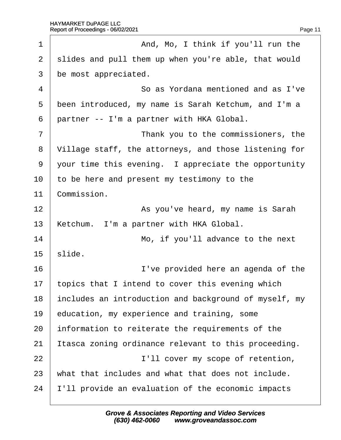| 1              | And, Mo, I think if you'll run the                    |
|----------------|-------------------------------------------------------|
| $\overline{2}$ | slides and pull them up when you're able, that would  |
| 3              | be most appreciated.                                  |
| 4              | So as Yordana mentioned and as I've                   |
| 5              | been introduced, my name is Sarah Ketchum, and I'm a  |
| 6              | partner -- I'm a partner with HKA Global.             |
| 7              | Thank you to the commissioners, the                   |
| 8              | Village staff, the attorneys, and those listening for |
| 9              | your time this evening. I appreciate the opportunity  |
| 10             | to be here and present my testimony to the            |
| 11             | Commission.                                           |
| 12             | As you've heard, my name is Sarah                     |
| 13             | Ketchum. I'm a partner with HKA Global.               |
| 14             | Mo, if you'll advance to the next                     |
| 15             | slide.                                                |
| 16             | I've provided here an agenda of the                   |
| 17             | topics that I intend to cover this evening which      |
| 18             | includes an introduction and background of myself, my |
| 19             | education, my experience and training, some           |
| 20             | information to reiterate the requirements of the      |
| 21             | tasca zoning ordinance relevant to this proceeding.   |
| 22             | I'll cover my scope of retention,                     |
| 23             | what that includes and what that does not include.    |
| 24             | Il provide an evaluation of the economic impacts      |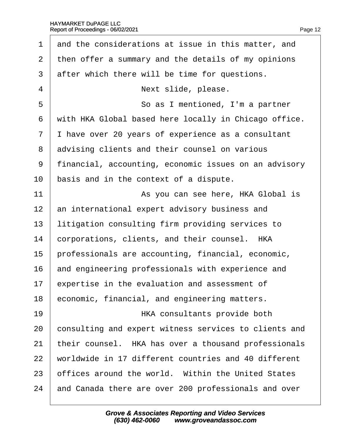| 1              | and the considerations at issue in this matter, and   |
|----------------|-------------------------------------------------------|
| $\overline{2}$ | then offer a summary and the details of my opinions   |
| 3              | after which there will be time for questions.         |
| 4              | Next slide, please.                                   |
| 5              | So as I mentioned, I'm a partner                      |
| 6              | with HKA Global based here locally in Chicago office. |
| $\overline{7}$ | I have over 20 years of experience as a consultant    |
| 8              | advising clients and their counsel on various         |
| 9              | financial, accounting, economic issues on an advisory |
| 10             | basis and in the context of a dispute.                |
| 11             | As you can see here, HKA Global is                    |
| 12             | an international expert advisory business and         |
| 13             | litigation consulting firm providing services to      |
| 14             | corporations, clients, and their counsel. HKA         |
| 15             | professionals are accounting, financial, economic,    |
| 16             | and engineering professionals with experience and     |
| 17             | expertise in the evaluation and assessment of         |
| 18             | economic, financial, and engineering matters.         |
| 19             | HKA consultants provide both                          |
| 20             | consulting and expert witness services to clients and |
| 21             | their counsel. HKA has over a thousand professionals  |
| 22             | worldwide in 17 different countries and 40 different  |
| 23             | offices around the world. Within the United States    |
| 24             | and Canada there are over 200 professionals and over  |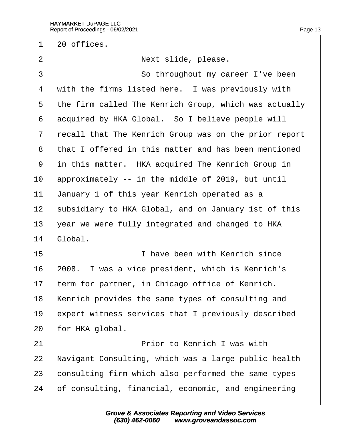$1\,$  20 offices. 2 | Next slide, please. 3 **So throughout my career I've been** 4 with the firms listed here. I was previously with 5 the firm called The Kenrich Group, which was actually 6 acquired by HKA Global. So I believe people will ·7· ·recall that The Kenrich Group was on the prior report 8 that I offered in this matter and has been mentioned 9 in this matter. HKA acquired The Kenrich Group in 10 approximately -- in the middle of 2019, but until 11 January 1 of this year Kenrich operated as a 12 subsidiary to HKA Global, and on January 1st of this 13  $\sqrt{2}$  vear we were fully integrated and changed to HKA 14 Global. 15· · · · · · · · · · ·I have been with Kenrich since 16 2008. I was a vice president, which is Kenrich's 17 term for partner, in Chicago office of Kenrich. 18 Kenrich provides the same types of consulting and 19 expert witness services that I previously described 20 for HKA global. 21 **Prior to Kenrich I was with** 22 Navigant Consulting, which was a large public health 23 consulting firm which also performed the same types 24 bf consulting, financial, economic, and engineering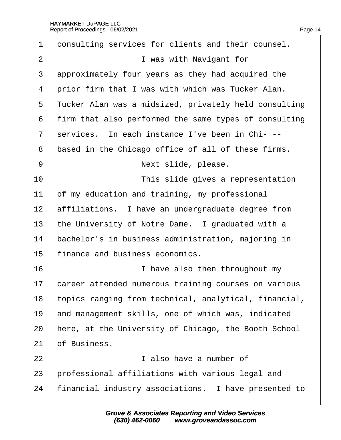| $\mathbf 1$    | donsulting services for clients and their counsel.    |
|----------------|-------------------------------------------------------|
| $\overline{2}$ | I was with Navigant for                               |
| 3              | approximately four years as they had acquired the     |
| 4              | prior firm that I was with which was Tucker Alan.     |
| 5              | Tucker Alan was a midsized, privately held consulting |
| 6              | firm that also performed the same types of consulting |
| $\overline{7}$ | services. In each instance I've been in Chi---        |
| 8              | based in the Chicago office of all of these firms.    |
| 9              | Next slide, please.                                   |
| 10             | This slide gives a representation                     |
| 11             | of my education and training, my professional         |
| 12             | affiliations. I have an undergraduate degree from     |
| 13             | the University of Notre Dame. I graduated with a      |
| 14             | bachelor's in business administration, majoring in    |
| 15             | finance and business economics.                       |
| 16             | I have also then throughout my                        |
| 17             | career attended numerous training courses on various  |
| 18             | topics ranging from technical, analytical, financial, |
| 19             | and management skills, one of which was, indicated    |
| 20             | here, at the University of Chicago, the Booth School  |
| 21             | of Business.                                          |
| 22             | I also have a number of                               |
| 23             | professional affiliations with various legal and      |
| 24             | financial industry associations. I have presented to  |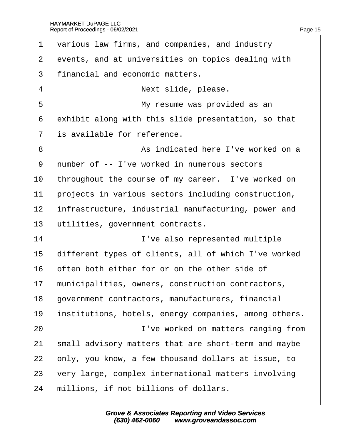| 1              | various law firms, and companies, and industry        |
|----------------|-------------------------------------------------------|
| 2              | events, and at universities on topics dealing with    |
| 3              | financial and economic matters.                       |
| 4              | Next slide, please.                                   |
| 5              | My resume was provided as an                          |
| 6              | exhibit along with this slide presentation, so that   |
| $\overline{7}$ | is available for reference.                           |
| 8              | As indicated here I've worked on a                    |
| 9              | number of -- I've worked in numerous sectors          |
| 10             | throughout the course of my career. I've worked on    |
| 11             | projects in various sectors including construction,   |
| 12             | infrastructure, industrial manufacturing, power and   |
| 13             | utilities, government contracts.                      |
| 14             | I've also represented multiple                        |
| 15             | different types of clients, all of which I've worked  |
| 16             | often both either for or on the other side of         |
| 17             | municipalities, owners, construction contractors,     |
| 18             | government contractors, manufacturers, financial      |
| 19             | institutions, hotels, energy companies, among others. |
| 20             | I've worked on matters ranging from                   |
| 21             | small advisory matters that are short-term and maybe  |
| 22             | only, you know, a few thousand dollars at issue, to   |
| 23             | very large, complex international matters involving   |
| 24             | millions, if not billions of dollars.                 |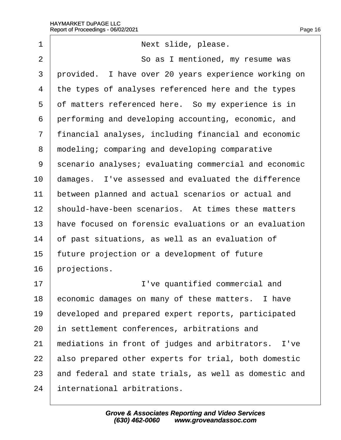| 1              | Next slide, please.                                   |
|----------------|-------------------------------------------------------|
| $\overline{2}$ | So as I mentioned, my resume was                      |
| 3              | provided. I have over 20 years experience working on  |
| 4              | the types of analyses referenced here and the types   |
| 5              | of matters referenced here. So my experience is in    |
| 6              | performing and developing accounting, economic, and   |
| $\overline{7}$ | financial analyses, including financial and economic  |
| 8              | modeling; comparing and developing comparative        |
| 9              | scenario analyses; evaluating commercial and economic |
| 10             | damages. I've assessed and evaluated the difference   |
| 11             | between planned and actual scenarios or actual and    |
| 12             | should-have-been scenarios. At times these matters    |
| 13             | have focused on forensic evaluations or an evaluation |
| 14             | of past situations, as well as an evaluation of       |
| 15             | future projection or a development of future          |
| 16             | projections.                                          |
| 17             | I've quantified commercial and                        |
| 18             | economic damages on many of these matters. I have     |
| 19             | developed and prepared expert reports, participated   |
| 20             | in settlement conferences, arbitrations and           |
| 21             | mediations in front of judges and arbitrators. I've   |
| 22             | also prepared other experts for trial, both domestic  |
| 23             | and federal and state trials, as well as domestic and |
| 24             | international arbitrations.                           |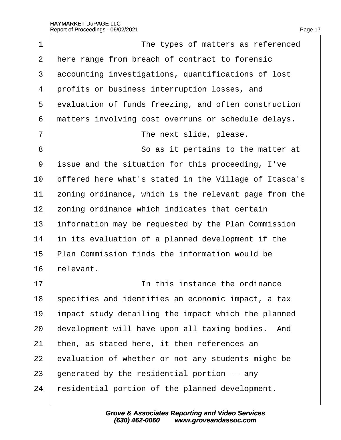| 1  | The types of matters as referenced                    |
|----|-------------------------------------------------------|
| 2  | Here range from breach of contract to forensic        |
| 3  | accounting investigations, quantifications of lost    |
| 4  | profits or business interruption losses, and          |
| 5  | evaluation of funds freezing, and often construction  |
| 6  | matters involving cost overruns or schedule delays.   |
| 7  | The next slide, please.                               |
| 8  | So as it pertains to the matter at                    |
| 9  | issue and the situation for this proceeding, I've     |
| 10 | offered here what's stated in the Village of Itasca's |
| 11 | zoning ordinance, which is the relevant page from the |
| 12 | zoning ordinance which indicates that certain         |
| 13 | information may be requested by the Plan Commission   |
| 14 | in its evaluation of a planned development if the     |
| 15 | Plan Commission finds the information would be        |
| 16 | relevant.                                             |
| 17 | In this instance the ordinance                        |
| 18 | specifies and identifies an economic impact, a tax    |
| 19 | impact study detailing the impact which the planned   |
| 20 | development will have upon all taxing bodies. And     |
| 21 | then, as stated here, it then references an           |
| 22 | evaluation of whether or not any students might be    |
| 23 | generated by the residential portion -- any           |
| 24 | residential portion of the planned development.       |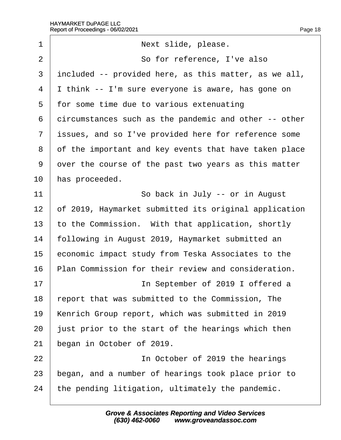| 1              | Next slide, please.                                   |
|----------------|-------------------------------------------------------|
| $\overline{2}$ | So for reference, I've also                           |
| 3              | included -- provided here, as this matter, as we all, |
| 4              | Ithink -- I'm sure everyone is aware, has gone on     |
| 5              | for some time due to various extenuating              |
| 6              | dircumstances such as the pandemic and other -- other |
| $\overline{7}$ | issues, and so I've provided here for reference some  |
| 8              | of the important and key events that have taken place |
| 9              | over the course of the past two years as this matter  |
| 10             | has proceeded.                                        |
| 11             | So back in July -- or in August                       |
| 12             | of 2019, Haymarket submitted its original application |
| 13             | to the Commission. With that application, shortly     |
| 14             | following in August 2019, Haymarket submitted an      |
| 15             | economic impact study from Teska Associates to the    |
| 16             | Plan Commission for their review and consideration.   |
| 17             | In September of 2019 I offered a                      |
| 18             | report that was submitted to the Commission, The      |
| 19             | Kenrich Group report, which was submitted in 2019     |
| 20             | just prior to the start of the hearings which then    |
| 21             | began in October of 2019.                             |
| 22             | In October of 2019 the hearings                       |
| 23             | began, and a number of hearings took place prior to   |
| 24             | the pending litigation, ultimately the pandemic.      |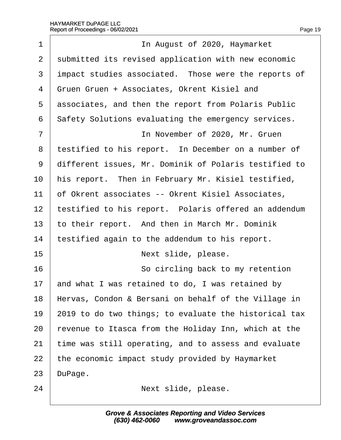| 1              | In August of 2020, Haymarket                          |
|----------------|-------------------------------------------------------|
| $\overline{2}$ | submitted its revised application with new economic   |
| 3              | impact studies associated. Those were the reports of  |
| 4              | Gruen Gruen + Associates, Okrent Kisiel and           |
| 5              | associates, and then the report from Polaris Public   |
| 6              | Safety Solutions evaluating the emergency services.   |
| $\overline{7}$ | In November of 2020, Mr. Gruen                        |
| 8              | testified to his report. In December on a number of   |
| 9              | different issues, Mr. Dominik of Polaris testified to |
| 10             | his report. Then in February Mr. Kisiel testified,    |
| 11             | of Okrent associates -- Okrent Kisiel Associates,     |
| 12             | testified to his report. Polaris offered an addendum  |
| 13             | to their report. And then in March Mr. Dominik        |
| 14             | testified again to the addendum to his report.        |
| 15             | Next slide, please.                                   |
| 16             | So circling back to my retention                      |
| 17             | and what I was retained to do, I was retained by      |
| 18             | Hervas, Condon & Bersani on behalf of the Village in  |
| 19             | 2019 to do two things; to evaluate the historical tax |
| 20             | revenue to Itasca from the Holiday Inn, which at the  |
| 21             | time was still operating, and to assess and evaluate  |
| 22             | the economic impact study provided by Haymarket       |
| 23             | DuPage.                                               |
| 24             | Next slide, please.                                   |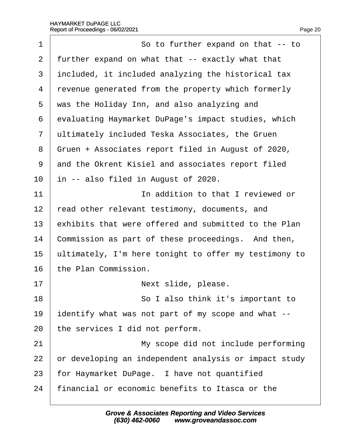| 1  | So to further expand on that -- to                    |
|----|-------------------------------------------------------|
| 2  | further expand on what that -- exactly what that      |
| 3  | included, it included analyzing the historical tax    |
| 4  | revenue generated from the property which formerly    |
| 5  | was the Holiday Inn, and also analyzing and           |
| 6  | evaluating Haymarket DuPage's impact studies, which   |
| 7  | ultimately included Teska Associates, the Gruen       |
| 8  | Gruen + Associates report filed in August of 2020,    |
| 9  | and the Okrent Kisiel and associates report filed     |
| 10 | In -- also filed in August of 2020.                   |
| 11 | In addition to that I reviewed or                     |
| 12 | read other relevant testimony, documents, and         |
| 13 | exhibits that were offered and submitted to the Plan  |
| 14 | Commission as part of these proceedings. And then,    |
| 15 | ultimately, I'm here tonight to offer my testimony to |
| 16 | the Plan Commission.                                  |
| 17 | Next slide, please.                                   |
| 18 | So I also think it's important to                     |
| 19 | identify what was not part of my scope and what --    |
| 20 | the services I did not perform.                       |
| 21 | My scope did not include performing                   |
| 22 | or developing an independent analysis or impact study |
| 23 | for Haymarket DuPage. I have not quantified           |
| 24 | financial or economic benefits to Itasca or the       |
|    |                                                       |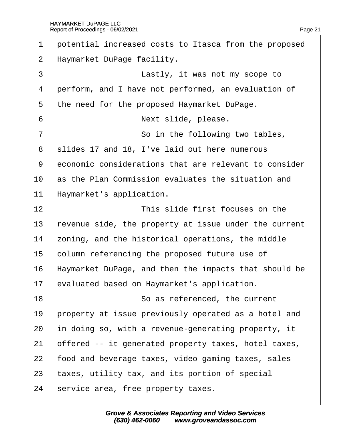| 1              | potential increased costs to Itasca from the proposed |
|----------------|-------------------------------------------------------|
| $\overline{2}$ | Haymarket DuPage facility.                            |
| 3              | Lastly, it was not my scope to                        |
| 4              | perform, and I have not performed, an evaluation of   |
| 5              | the need for the proposed Haymarket DuPage.           |
| 6              | Next slide, please.                                   |
| $\overline{7}$ | So in the following two tables,                       |
| 8              | slides 17 and 18, I've laid out here numerous         |
| 9              | economic considerations that are relevant to consider |
| 10             | as the Plan Commission evaluates the situation and    |
| 11             | Haymarket's application.                              |
| 12             | This slide first focuses on the                       |
| 13             | revenue side, the property at issue under the current |
| 14             | zoning, and the historical operations, the middle     |
| 15             | column referencing the proposed future use of         |
| 16             | Haymarket DuPage, and then the impacts that should be |
| 17             | evaluated based on Haymarket's application.           |
| 18             | So as referenced, the current                         |
| 19             | property at issue previously operated as a hotel and  |
| 20             | in doing so, with a revenue-generating property, it   |
| 21             | offered -- it generated property taxes, hotel taxes,  |
| 22             | food and beverage taxes, video gaming taxes, sales    |
| 23             | taxes, utility tax, and its portion of special        |
| 24             | service area, free property taxes.                    |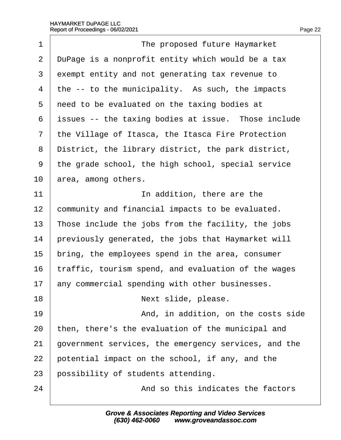| 1              | The proposed future Haymarket                        |
|----------------|------------------------------------------------------|
| $\overline{2}$ | DuPage is a nonprofit entity which would be a tax    |
| 3              | exempt entity and not generating tax revenue to      |
| 4              | the -- to the municipality. As such, the impacts     |
| 5              | need to be evaluated on the taxing bodies at         |
| 6              | issues -- the taxing bodies at issue. Those include  |
| $\overline{7}$ | the Village of Itasca, the Itasca Fire Protection    |
| 8              | District, the library district, the park district,   |
| 9              | the grade school, the high school, special service   |
| 10             | area, among others.                                  |
| 11             | In addition, there are the                           |
| 12             | community and financial impacts to be evaluated.     |
| 13             | Those include the jobs from the facility, the jobs   |
| 14             | previously generated, the jobs that Haymarket will   |
| 15             | bring, the employees spend in the area, consumer     |
| 16             | traffic, tourism spend, and evaluation of the wages  |
| 17             | any commercial spending with other businesses.       |
| 18             | Next slide, please.                                  |
| 19             | And, in addition, on the costs side                  |
| 20             | then, there's the evaluation of the municipal and    |
| 21             | government services, the emergency services, and the |
| 22             | potential impact on the school, if any, and the      |
| 23             | possibility of students attending.                   |
| 24             | And so this indicates the factors                    |
|                |                                                      |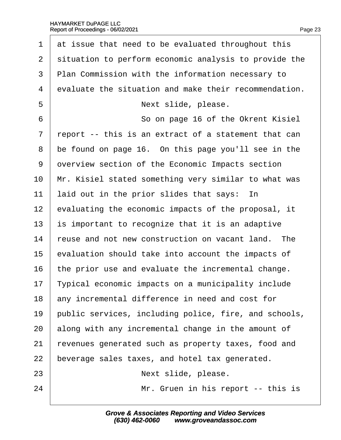| $\mathbf 1$     | at issue that need to be evaluated throughout this    |
|-----------------|-------------------------------------------------------|
| 2               | situation to perform economic analysis to provide the |
| 3               | Plan Commission with the information necessary to     |
| $\overline{4}$  | evaluate the situation and make their recommendation. |
| 5               | Next slide, please.                                   |
| 6               | So on page 16 of the Okrent Kisiel                    |
| $\overline{7}$  | report -- this is an extract of a statement that can  |
| 8               | be found on page 16. On this page you'll see in the   |
| 9               | dverview section of the Economic Impacts section      |
| 10              | Mr. Kisiel stated something very similar to what was  |
| 11              | laid out in the prior slides that says: In            |
| 12              | evaluating the economic impacts of the proposal, it   |
| 13              | is important to recognize that it is an adaptive      |
| 14              | reuse and not new construction on vacant land. The    |
| 15              | evaluation should take into account the impacts of    |
| 16              | the prior use and evaluate the incremental change.    |
| 17 <sub>2</sub> | Typical economic impacts on a municipality include    |
| 18              | any incremental difference in need and cost for       |
| 19              | public services, including police, fire, and schools, |
| 20              | along with any incremental change in the amount of    |
| 21              | revenues generated such as property taxes, food and   |
| 22              | beverage sales taxes, and hotel tax generated.        |
| 23              | Next slide, please.                                   |
| 24              | Mr. Gruen in his report -- this is                    |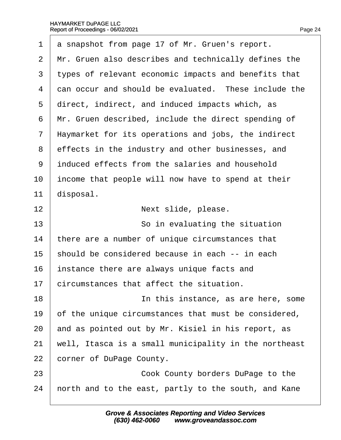| 1              | a snapshot from page 17 of Mr. Gruen's report.        |
|----------------|-------------------------------------------------------|
| 2              | Mr. Gruen also describes and technically defines the  |
| 3              | types of relevant economic impacts and benefits that  |
| 4              | dan occur and should be evaluated. These include the  |
| 5              | direct, indirect, and induced impacts which, as       |
| 6              | Mr. Gruen described, include the direct spending of   |
| $\overline{7}$ | Haymarket for its operations and jobs, the indirect   |
| 8              | effects in the industry and other businesses, and     |
| 9              | induced effects from the salaries and household       |
| 10             | income that people will now have to spend at their    |
| 11             | disposal.                                             |
| 12             | Next slide, please.                                   |
| 13             | So in evaluating the situation                        |
| 14             | there are a number of unique circumstances that       |
| 15             | should be considered because in each -- in each       |
| 16             | instance there are always unique facts and            |
| 17             | circumstances that affect the situation.              |
| 18             | In this instance, as are here, some                   |
| 19             | of the unique circumstances that must be considered,  |
| 20             | and as pointed out by Mr. Kisiel in his report, as    |
| 21             | well, Itasca is a small municipality in the northeast |
| 22             | corner of DuPage County.                              |
| 23             | Cook County borders DuPage to the                     |
| 24             | horth and to the east, partly to the south, and Kane  |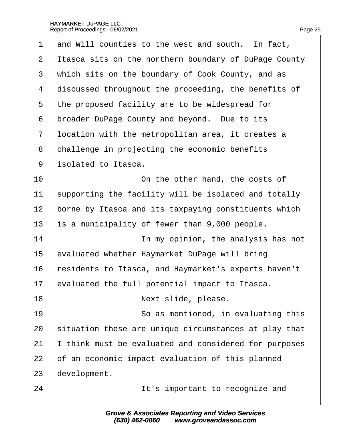| 1              | and Will counties to the west and south. In fact,     |
|----------------|-------------------------------------------------------|
| $\overline{2}$ | Itasca sits on the northern boundary of DuPage County |
| 3              | which sits on the boundary of Cook County, and as     |
| 4              | discussed throughout the proceeding, the benefits of  |
| 5              | the proposed facility are to be widespread for        |
| 6              | broader DuPage County and beyond. Due to its          |
| $\overline{7}$ | Ipcation with the metropolitan area, it creates a     |
| 8              | challenge in projecting the economic benefits         |
| 9              | isolated to Itasca.                                   |
| 10             | On the other hand, the costs of                       |
| 11             | supporting the facility will be isolated and totally  |
| 12             | borne by Itasca and its taxpaying constituents which  |
| 13             | is a municipality of fewer than 9,000 people.         |
| 14             | In my opinion, the analysis has not                   |
| 15             | evaluated whether Haymarket DuPage will bring         |
| 16             | esidents to Itasca, and Haymarket's experts haven't   |
| 17             | evaluated the full potential impact to Itasca         |
| 18             | Next slide, please.                                   |
| 19             | So as mentioned, in evaluating this                   |
| 20             | situation these are unique circumstances at play that |
| 21             | think must be evaluated and considered for purposes   |
| 22             | of an economic impact evaluation of this planned      |
| 23             | development.                                          |
| 24             | It's important to recognize and                       |
|                |                                                       |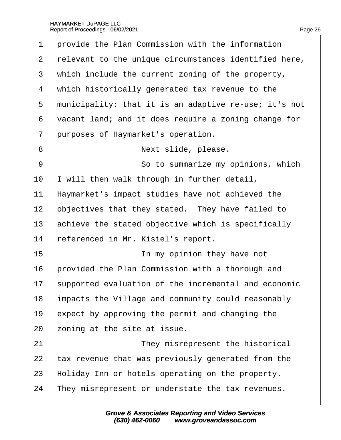- 1 provide the Plan Commission with the information
- 2 relevant to the unique circumstances identified here,
- 3 which include the current zoning of the property,
- 4 which historically generated tax revenue to the
- 5 municipality; that it is an adaptive re-use; it's not
- ·6· ·vacant land; and it does require a zoning change for
- 7 purposes of Haymarket's operation.
- 8 | **Next slide, please.**
- 9 **9 So to summarize my opinions, which**
- 10  $\parallel$  will then walk through in further detail,
- 11 Haymarket's impact studies have not achieved the
- 12 b bjectives that they stated. They have failed to
- 13 achieve the stated objective which is specifically
- 14 referenced in Mr. Kisiel's report.
- 15 **IDED** 15 **IDED** 15 **IDED** 15 **IDED** 15 **IDED** 15 **IDED**
- 16 brovided the Plan Commission with a thorough and
- 17 supported evaluation of the incremental and economic
- 18 impacts the Village and community could reasonably
- 19  $\epsilon$  expect by approving the permit and changing the
- 20 zoning at the site at issue.
- 21 **I** They misrepresent the historical
- 22 tax revenue that was previously generated from the
- 23 Holiday Inn or hotels operating on the property.
- 24 They misrepresent or understate the tax revenues.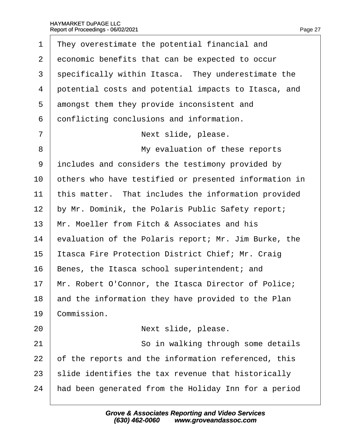| 1  | They overestimate the potential financial and         |
|----|-------------------------------------------------------|
| 2  | economic benefits that can be expected to occur       |
| 3  | specifically within Itasca. They underestimate the    |
| 4  | potential costs and potential impacts to Itasca, and  |
| 5  | amongst them they provide inconsistent and            |
| 6  | donflicting conclusions and information.              |
| 7  | Next slide, please.                                   |
| 8  | My evaluation of these reports                        |
| 9  | includes and considers the testimony provided by      |
| 10 | others who have testified or presented information in |
| 11 | this matter. That includes the information provided   |
| 12 | by Mr. Dominik, the Polaris Public Safety report;     |
| 13 | Mr. Moeller from Fitch & Associates and his           |
| 14 | evaluation of the Polaris report; Mr. Jim Burke, the  |
| 15 | Itasca Fire Protection District Chief; Mr. Craig      |
| 16 | Benes, the Itasca school superintendent; and          |
| 17 | Mr. Robert O'Connor, the Itasca Director of Police;   |
| 18 | and the information they have provided to the Plan    |
| 19 | Commission.                                           |
| 20 | Next slide, please.                                   |
| 21 | So in walking through some details                    |
| 22 | of the reports and the information referenced, this   |
| 23 | slide identifies the tax revenue that historically    |
| 24 | had been generated from the Holiday Inn for a period  |
|    |                                                       |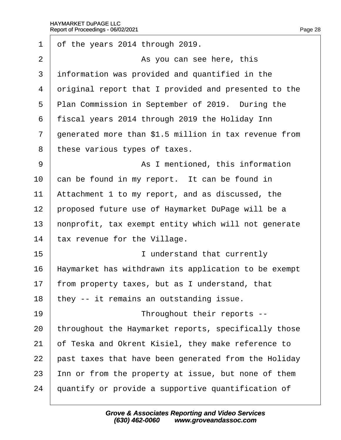| 1              | of the years 2014 through 2019.                       |  |  |
|----------------|-------------------------------------------------------|--|--|
| $\overline{2}$ | As you can see here, this                             |  |  |
| 3              | information was provided and quantified in the        |  |  |
| 4              | driginal report that I provided and presented to the  |  |  |
| 5              | Plan Commission in September of 2019. During the      |  |  |
| 6              | fiscal years 2014 through 2019 the Holiday Inn        |  |  |
| 7              | generated more than \$1.5 million in tax revenue from |  |  |
| 8              | these various types of taxes.                         |  |  |
| 9              | As I mentioned, this information                      |  |  |
| 10             | can be found in my report. It can be found in         |  |  |
| 11             | Attachment 1 to my report, and as discussed, the      |  |  |
| 12             | proposed future use of Haymarket DuPage will be a     |  |  |
| 13             | honprofit, tax exempt entity which will not generate  |  |  |
| 14             | tax revenue for the Village.                          |  |  |
| 15             | I understand that currently                           |  |  |
| 16             | Haymarket has withdrawn its application to be exempt  |  |  |
| 17             | from property taxes, but as I understand, that        |  |  |
| 18             | they -- it remains an outstanding issue.              |  |  |
| 19             | Throughout their reports --                           |  |  |
| 20             | throughout the Haymarket reports, specifically those  |  |  |
| 21             | of Teska and Okrent Kisiel, they make reference to    |  |  |
| 22             | past taxes that have been generated from the Holiday  |  |  |
| 23             | Inn or from the property at issue, but none of them   |  |  |
| 24             | quantify or provide a supportive quantification of    |  |  |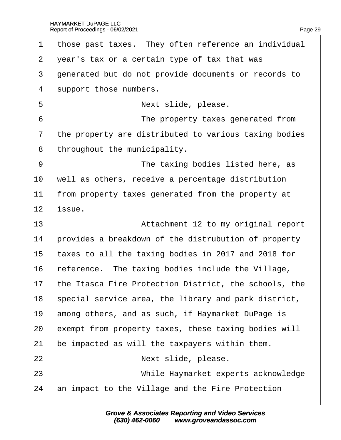| 1                        | those past taxes. They often reference an individual  |
|--------------------------|-------------------------------------------------------|
| $\overline{2}$           | year's tax or a certain type of tax that was          |
| 3                        | generated but do not provide documents or records to  |
| $\overline{\mathcal{A}}$ | support those numbers.                                |
| 5                        | Next slide, please.                                   |
| 6                        | The property taxes generated from                     |
| $\overline{7}$           | the property are distributed to various taxing bodies |
| 8                        | throughout the municipality.                          |
| 9                        | The taxing bodies listed here, as                     |
| 10                       | well as others, receive a percentage distribution     |
| 11                       | from property taxes generated from the property at    |
| 12                       | issue.                                                |
|                          |                                                       |
| 13                       | Attachment 12 to my original report                   |
| 14                       | provides a breakdown of the distrubution of property  |
| 15                       | taxes to all the taxing bodies in 2017 and 2018 for   |
| 16                       | reference. The taxing bodies include the Village,     |
| 17                       | the Itasca Fire Protection District, the schools, the |
| 18                       | special service area, the library and park district,  |
| 19                       | among others, and as such, if Haymarket DuPage is     |
| 20                       | exempt from property taxes, these taxing bodies will  |
| 21                       | be impacted as will the taxpayers within them.        |
| 22                       | Next slide, please.                                   |
| 23                       | While Haymarket experts acknowledge                   |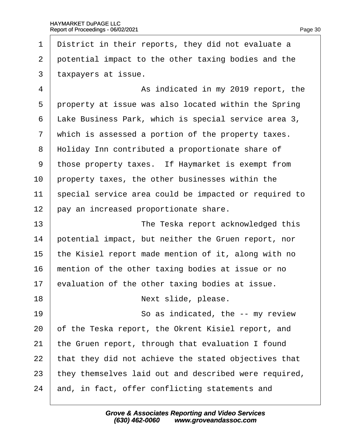- ·1· ·District in their reports, they did not evaluate a
- 2 potential impact to the other taxing bodies and the
- 3 taxpayers at issue.

| 4              | As indicated in my 2019 report, the                   |
|----------------|-------------------------------------------------------|
| 5              | property at issue was also located within the Spring  |
| 6              | Lake Business Park, which is special service area 3,  |
| $\overline{7}$ | which is assessed a portion of the property taxes.    |
| 8              | Holiday Inn contributed a proportionate share of      |
| 9              | those property taxes. If Haymarket is exempt from     |
| 10             | property taxes, the other businesses within the       |
| 11             | special service area could be impacted or required to |
| 12             | pay an increased proportionate share.                 |
| 13             | The Teska report acknowledged this                    |
| 14             | potential impact, but neither the Gruen report, nor   |
| 15             | the Kisiel report made mention of it, along with no   |
| 16             | mention of the other taxing bodies at issue or no     |
| 17             | evaluation of the other taxing bodies at issue.       |
| 18             | Next slide, please.                                   |
| 19             | So as indicated, the -- my review                     |
| 20             | of the Teska report, the Okrent Kisiel report, and    |
| 21             | the Gruen report, through that evaluation I found     |
| 22             | that they did not achieve the stated objectives that  |
| 23             | they themselves laid out and described were required, |
| 24             | and, in fact, offer conflicting statements and        |
|                |                                                       |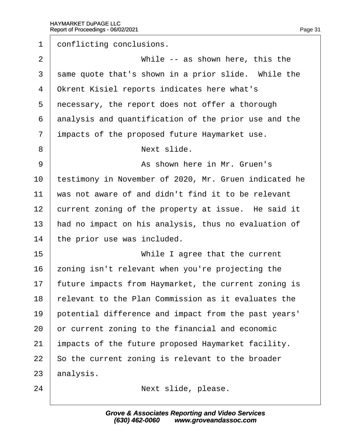| 1              | donflicting conclusions.                              |
|----------------|-------------------------------------------------------|
| $\overline{2}$ | While -- as shown here, this the                      |
| 3              | same quote that's shown in a prior slide. While the   |
| 4              | <b>Okrent Kisiel reports indicates here what's</b>    |
| 5              | necessary, the report does not offer a thorough       |
| 6              | analysis and quantification of the prior use and the  |
| $\overline{7}$ | impacts of the proposed future Haymarket use.         |
| 8              | Next slide.                                           |
| 9              | As shown here in Mr. Gruen's                          |
| 10             | testimony in November of 2020, Mr. Gruen indicated he |
| 11             | was not aware of and didn't find it to be relevant    |
| 12             | current zoning of the property at issue. He said it   |
| 13             | had no impact on his analysis, thus no evaluation of  |
| 14             | the prior use was included.                           |
| 15             | While I agree that the current                        |
| 16             | zoning isn't relevant when you're projecting the      |
| 17             | future impacts from Haymarket, the current zoning is  |
| 18             | relevant to the Plan Commission as it evaluates the   |
| 19             | potential difference and impact from the past years'  |
| 20             | or current zoning to the financial and economic       |
| 21             | impacts of the future proposed Haymarket facility.    |
| 22             | So the current zoning is relevant to the broader      |
| 23             | analysis.                                             |
| 24             | Next slide, please.                                   |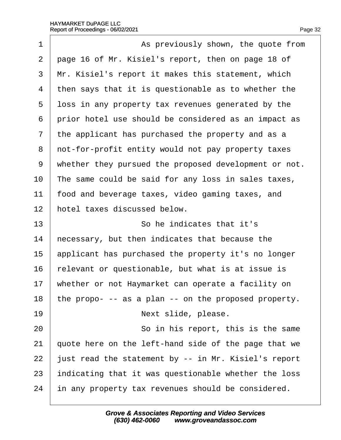| 1  | As previously shown, the quote from                   |
|----|-------------------------------------------------------|
| 2  | page 16 of Mr. Kisiel's report, then on page 18 of    |
| 3  | Mr. Kisiel's report it makes this statement, which    |
| 4  | then says that it is questionable as to whether the   |
| 5  | loss in any property tax revenues generated by the    |
| 6  | prior hotel use should be considered as an impact as  |
| 7  | the applicant has purchased the property and as a     |
| 8  | not-for-profit entity would not pay property taxes    |
| 9  | whether they pursued the proposed development or not. |
| 10 | The same could be said for any loss in sales taxes,   |
| 11 | food and beverage taxes, video gaming taxes, and      |
| 12 | hotel taxes discussed below.                          |
| 13 | So he indicates that it's                             |
| 14 | hecessary, but then indicates that because the        |
| 15 | applicant has purchased the property it's no longer   |
| 16 | elevant or questionable, but what is at issue is      |
| 17 | whether or not Haymarket can operate a facility on    |
| 18 | the propo- -- as a plan -- on the proposed property.  |
| 19 | Next slide, please.                                   |
| 20 | So in his report, this is the same                    |
| 21 | quote here on the left-hand side of the page that we  |
| 22 | just read the statement by -- in Mr. Kisiel's report  |
| 23 | Indicating that it was questionable whether the loss  |
| 24 | in any property tax revenues should be considered.    |
|    |                                                       |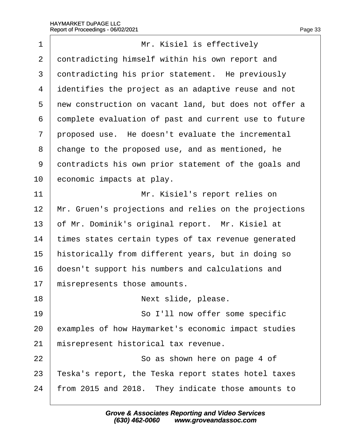$\sqrt{ }$ 

| 1  | Mr. Kisiel is effectively                             |
|----|-------------------------------------------------------|
| 2  | dontradicting himself within his own report and       |
| 3  | dontradicting his prior statement. He previously      |
| 4  | identifies the project as an adaptive reuse and not   |
| 5  | new construction on vacant land, but does not offer a |
| 6  | domplete evaluation of past and current use to future |
| 7  | proposed use. He doesn't evaluate the incremental     |
| 8  | change to the proposed use, and as mentioned, he      |
| 9  | dontradicts his own prior statement of the goals and  |
| 10 | economic impacts at play.                             |
| 11 | Mr. Kisiel's report relies on                         |
| 12 | Mr. Gruen's projections and relies on the projections |
| 13 | of Mr. Dominik's original report. Mr. Kisiel at       |
| 14 | times states certain types of tax revenue generated   |
| 15 | historically from different years, but in doing so    |
| 16 | doesn't support his numbers and calculations and      |
| 17 | misrepresents those amounts.                          |
| 18 | Next slide, please.                                   |
| 19 | So I'll now offer some specific                       |
| 20 | examples of how Haymarket's economic impact studies   |
| 21 | misrepresent historical tax revenue.                  |
| 22 | So as shown here on page 4 of                         |
| 23 | Teska's report, the Teska report states hotel taxes   |
| 24 | from 2015 and 2018. They indicate those amounts to    |
|    |                                                       |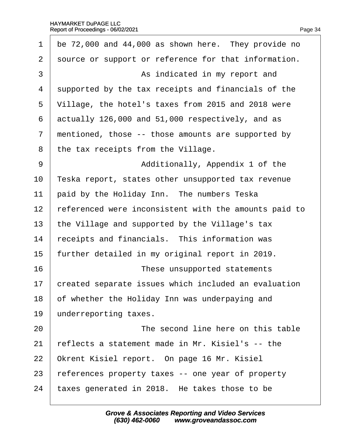|  |  | Page 34 |
|--|--|---------|
|  |  |         |

| 1              | be 72,000 and 44,000 as shown here. They provide no   |  |
|----------------|-------------------------------------------------------|--|
| 2              | source or support or reference for that information.  |  |
| 3              | As indicated in my report and                         |  |
| 4              | supported by the tax receipts and financials of the   |  |
| 5              | Village, the hotel's taxes from 2015 and 2018 were    |  |
| 6              | actually 126,000 and 51,000 respectively, and as      |  |
| $\overline{7}$ | mentioned, those -- those amounts are supported by    |  |
| 8              | the tax receipts from the Village.                    |  |
| 9              | Additionally, Appendix 1 of the                       |  |
| 10             | Teska report, states other unsupported tax revenue    |  |
| 11             | paid by the Holiday Inn. The numbers Teska            |  |
| 12             | referenced were inconsistent with the amounts paid to |  |
| 13             | the Village and supported by the Village's tax        |  |
| 14             | receipts and financials. This information was         |  |
| 15             | further detailed in my original report in 2019.       |  |
| 16             | These unsupported statements                          |  |
| 17             | created separate issues which included an evaluation  |  |
| 18             | of whether the Holiday Inn was underpaying and        |  |
| 19             | underreporting taxes.                                 |  |
| 20             | The second line here on this table                    |  |
| 21             | reflects a statement made in Mr. Kisiel's -- the      |  |
| 22             | Okrent Kisiel report. On page 16 Mr. Kisiel           |  |
| 23             | references property taxes -- one year of property     |  |
| 24             | taxes generated in 2018. He takes those to be         |  |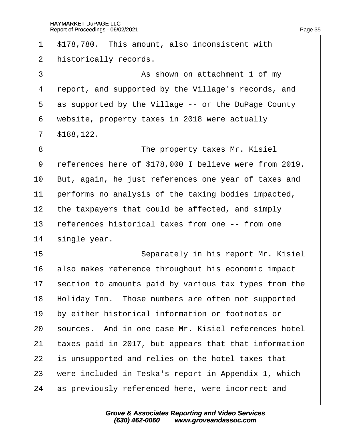| $\mathbf 1$    | \$178,780. This amount, also inconsistent with         |
|----------------|--------------------------------------------------------|
| 2              | historically records.                                  |
| 3              | As shown on attachment 1 of my                         |
| 4              | report, and supported by the Village's records, and    |
| 5              | as supported by the Village -- or the DuPage County    |
| 6              | website, property taxes in 2018 were actually          |
| $\overline{7}$ | \$188,122.                                             |
| 8              | The property taxes Mr. Kisiel                          |
| 9              | references here of \$178,000 I believe were from 2019. |
| 10             | But, again, he just references one year of taxes and   |
| 11             | performs no analysis of the taxing bodies impacted,    |
| 12             | the taxpayers that could be affected, and simply       |
| 13             | references historical taxes from one -- from one       |
| 14             | single year.                                           |
| 15             | Separately in his report Mr. Kisiel                    |
| 16             | also makes reference throughout his economic impact    |
| 17             | section to amounts paid by various tax types from the  |
| 18             | Holiday Inn. Those numbers are often not supported     |
| 19             | by either historical information or footnotes or       |
| 20             | sources. And in one case Mr. Kisiel references hotel   |
| 21             | taxes paid in 2017, but appears that that information  |
| 22             | s unsupported and relies on the hotel taxes that       |
| 23             | were included in Teska's report in Appendix 1, which   |
| 24             | as previously referenced here, were incorrect and      |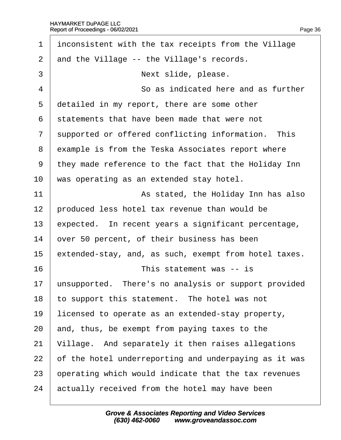| 1              | inconsistent with the tax receipts from the Village   |
|----------------|-------------------------------------------------------|
| 2              | and the Village -- the Village's records.             |
| 3              | Next slide, please.                                   |
| $\overline{4}$ | So as indicated here and as further                   |
| 5              | detailed in my report, there are some other           |
| 6              | statements that have been made that were not          |
| $\overline{7}$ | supported or offered conflicting information. This    |
| 8              | example is from the Teska Associates report where     |
| 9              | they made reference to the fact that the Holiday Inn  |
| 10             | was operating as an extended stay hotel.              |
| 11             | As stated, the Holiday Inn has also                   |
| 12             | produced less hotel tax revenue than would be         |
| 13             | expected. In recent years a significant percentage,   |
| 14             | over 50 percent, of their business has been           |
| 15             | extended-stay, and, as such, exempt from hotel taxes. |
| 16             | This statement was -- is                              |
| 17             | unsupported. There's no analysis or support provided  |
| 18             | to support this statement. The hotel was not          |
| 19             | licensed to operate as an extended-stay property,     |
| 20             | and, thus, be exempt from paying taxes to the         |
| 21             | Village. And separately it then raises allegations    |
| 22             | of the hotel underreporting and underpaying as it was |
| 23             | operating which would indicate that the tax revenues  |
| 24             | actually received from the hotel may have been        |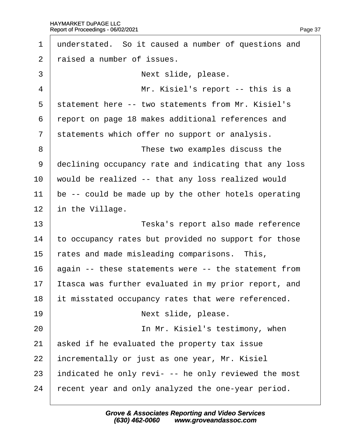| 1              | understated. So it caused a number of questions and   |
|----------------|-------------------------------------------------------|
| 2              | raised a number of issues.                            |
| 3              | Next slide, please.                                   |
| $\overline{4}$ | Mr. Kisiel's report -- this is a                      |
| 5              | statement here -- two statements from Mr. Kisiel's    |
| 6              | report on page 18 makes additional references and     |
| $\overline{7}$ | statements which offer no support or analysis.        |
| 8              | These two examples discuss the                        |
| 9              | declining occupancy rate and indicating that any loss |
| 10             | would be realized -- that any loss realized would     |
| 11             | be -- could be made up by the other hotels operating  |
| 12             | in the Village.                                       |
| 13             | Teska's report also made reference                    |
| 14             | to occupancy rates but provided no support for those  |
| 15             | rates and made misleading comparisons. This,          |
| 16             | again -- these statements were -- the statement from  |
| 17             | tasca was further evaluated in my prior report, and   |
| 18             | It misstated occupancy rates that were referenced.    |
| 19             | Next slide, please.                                   |
| 20             | In Mr. Kisiel's testimony, when                       |
| 21             | asked if he evaluated the property tax issue          |
| 22             |                                                       |
|                | incrementally or just as one year, Mr. Kisiel         |
| 23             | indicated he only revi- -- he only reviewed the most  |
| 24             | fecent year and only analyzed the one-year period.    |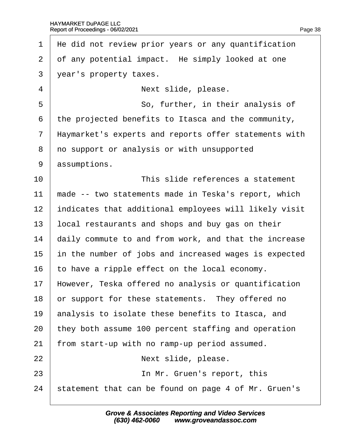$\Gamma$ 

| $\mathbf 1$    | He did not review prior years or any quantification   |
|----------------|-------------------------------------------------------|
| 2              | of any potential impact. He simply looked at one      |
| 3              | year's property taxes.                                |
| $\overline{4}$ | Next slide, please.                                   |
| 5              | So, further, in their analysis of                     |
| 6              | the projected benefits to Itasca and the community,   |
| $\overline{7}$ | Haymarket's experts and reports offer statements with |
| 8              | no support or analysis or with unsupported            |
| 9              | assumptions.                                          |
| 10             | This slide references a statement                     |
| 11             | made -- two statements made in Teska's report, which  |
| 12             | indicates that additional employees will likely visit |
| 13             | local restaurants and shops and buy gas on their      |
| 14             | daily commute to and from work, and that the increase |
| 15             | in the number of jobs and increased wages is expected |
| 16             | to have a ripple effect on the local economy.         |
| 17             | However, Teska offered no analysis or quantification  |
| 18             | or support for these statements. They offered no      |
| 19             | analysis to isolate these benefits to Itasca, and     |
| 20             | they both assume 100 percent staffing and operation   |
| 21             | from start-up with no ramp-up period assumed.         |
| 22             | Next slide, please.                                   |
| 23             | In Mr. Gruen's report, this                           |
|                |                                                       |

24 statement that can be found on page 4 of Mr. Gruen's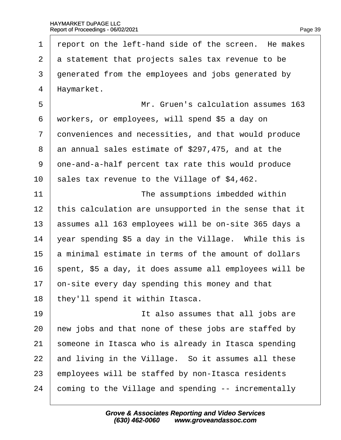1 report on the left-hand side of the screen. He makes 2 a statement that projects sales tax revenue to be 3 denerated from the employees and jobs generated by 4 Haymarket. 5 **I** Mr. Gruen's calculation assumes 163 ·6· ·workers, or employees, will spend \$5 a day on 7 donveniences and necessities, and that would produce 8 an annual sales estimate of \$297,475, and at the 9 dne-and-a-half percent tax rate this would produce 10 sales tax revenue to the Village of  $$4,462$ . 11 **I** The assumptions imbedded within 12 this calculation are unsupported in the sense that it 13 **bassumes all 163 employees will be on-site 365 days a** 14  $\sqrt{2}$  vear spending \$5 a day in the Village. While this is 15 **b** minimal estimate in terms of the amount of dollars 16 spent, \$5 a day, it does assume all employees will be 17 bn-site every day spending this money and that 18 they'll spend it within Itasca. 19 **If also assumes that all jobs are** 20 hew jobs and that none of these jobs are staffed by 21 someone in Itasca who is already in Itasca spending 22 and living in the Village. So it assumes all these 23 employees will be staffed by non-Itasca residents 24 coming to the Village and spending -- incrementally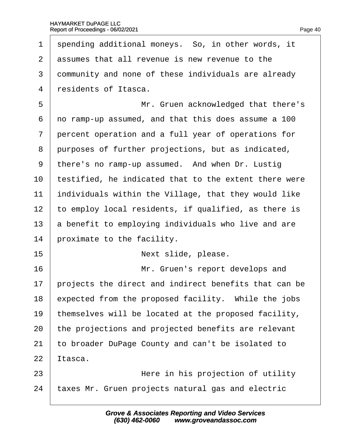1 spending additional moneys. So, in other words, it

| $\overline{2}$ | assumes that all revenue is new revenue to the        |
|----------------|-------------------------------------------------------|
| 3              | dommunity and none of these individuals are already   |
| 4              | residents of Itasca.                                  |
| 5              | Mr. Gruen acknowledged that there's                   |
| 6              | no ramp-up assumed, and that this does assume a 100   |
| 7              | percent operation and a full year of operations for   |
| 8              | purposes of further projections, but as indicated,    |
| 9              | there's no ramp-up assumed. And when Dr. Lustig       |
| 10             | testified, he indicated that to the extent there were |
| 11             | individuals within the Village, that they would like  |
| 12             | to employ local residents, if qualified, as there is  |
| 13             | a benefit to employing individuals who live and are   |
| 14             | proximate to the facility.                            |
| 15             | Next slide, please.                                   |
| 16             | Mr. Gruen's report develops and                       |
| 17             | projects the direct and indirect benefits that can be |
| 18             | expected from the proposed facility. While the jobs   |
| 19             | themselves will be located at the proposed facility,  |
| 20             | the projections and projected benefits are relevant   |
| 21             | to broader DuPage County and can't be isolated to     |
| 22             | tasca.                                                |
| 23             | Here in his projection of utility                     |
| 24             | taxes Mr. Gruen projects natural gas and electric     |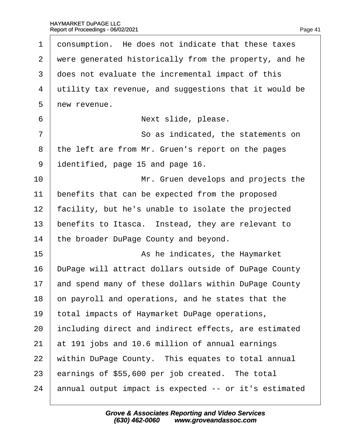| $\mathbf 1$    | donsumption. He does not indicate that these taxes    |
|----------------|-------------------------------------------------------|
| $\overline{2}$ | were generated historically from the property, and he |
| 3              | does not evaluate the incremental impact of this      |
| 4              | utility tax revenue, and suggestions that it would be |
| 5              | new revenue.                                          |
| 6              | Next slide, please.                                   |
| 7              | So as indicated, the statements on                    |
| 8              | the left are from Mr. Gruen's report on the pages     |
| 9              | identified, page 15 and page 16.                      |
| 10             | Mr. Gruen develops and projects the                   |
| 11             | benefits that can be expected from the proposed       |
| 12             | facility, but he's unable to isolate the projected    |
| 13             | benefits to Itasca. Instead, they are relevant to     |
| 14             | the broader DuPage County and beyond.                 |
| 15             | As he indicates, the Haymarket                        |
| 16             | DuPage will attract dollars outside of DuPage County  |
| 17             | and spend many of these dollars within DuPage County  |
| 18             | on payroll and operations, and he states that the     |
| 19             | total impacts of Haymarket DuPage operations,         |
| 20             | including direct and indirect effects, are estimated  |
| 21             | at 191 jobs and 10.6 million of annual earnings       |
| 22             | within DuPage County. This equates to total annual    |
| 23             | earnings of \$55,600 per job created. The total       |
| 24             | annual output impact is expected -- or it's estimated |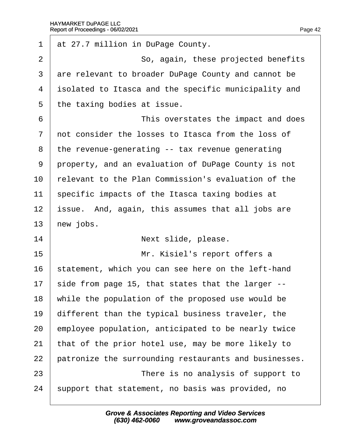| 1              | at 27.7 million in DuPage County.                     |
|----------------|-------------------------------------------------------|
| $\overline{2}$ | So, again, these projected benefits                   |
| 3              | are relevant to broader DuPage County and cannot be   |
| 4              | isolated to Itasca and the specific municipality and  |
| 5              | the taxing bodies at issue.                           |
| 6              | This overstates the impact and does                   |
| $\overline{7}$ | not consider the losses to Itasca from the loss of    |
| 8              | the revenue-generating -- tax revenue generating      |
| 9              | property, and an evaluation of DuPage County is not   |
| 10             | relevant to the Plan Commission's evaluation of the   |
| 11             | specific impacts of the Itasca taxing bodies at       |
| 12             | issue. And, again, this assumes that all jobs are     |
| 13             | hew jobs.                                             |
| 14             | Next slide, please.                                   |
| 15             | Mr. Kisiel's report offers a                          |
| 16             | statement, which you can see here on the left-hand    |
| 17             | side from page 15, that states that the larger --     |
| 18             | while the population of the proposed use would be     |
| 19             | different than the typical business traveler, the     |
| 20             | employee population, anticipated to be nearly twice   |
| 21             | that of the prior hotel use, may be more likely to    |
| 22             | patronize the surrounding restaurants and businesses. |
| 23             | There is no analysis of support to                    |
| 24             | support that statement, no basis was provided, no     |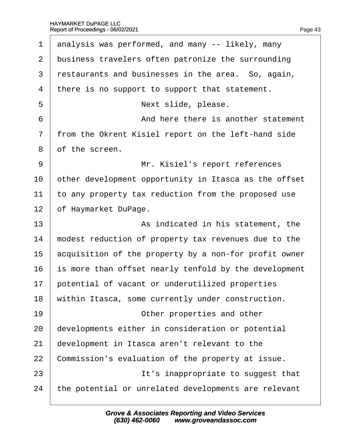| 1              | analysis was performed, and many -- likely, many      |
|----------------|-------------------------------------------------------|
| $\overline{2}$ | business travelers often patronize the surrounding    |
| 3              | restaurants and businesses in the area. So, again,    |
| $\overline{4}$ | there is no support to support that statement.        |
| 5              | Next slide, please.                                   |
| 6              | And here there is another statement                   |
| $\overline{7}$ | from the Okrent Kisiel report on the left-hand side   |
| 8              | of the screen.                                        |
| 9              | Mr. Kisiel's report references                        |
| 10             | other development opportunity in Itasca as the offset |
| 11             | to any property tax reduction from the proposed use   |
| 12             | of Haymarket DuPage.                                  |
| 13             | As indicated in his statement, the                    |
| 14             | modest reduction of property tax revenues due to the  |
| 15             | acquisition of the property by a non-for profit owner |
| 16             | is more than offset nearly tenfold by the development |
| 17             | potential of vacant or underutilized properties       |
| 18             | within Itasca, some currently under construction.     |
| 19             | Other properties and other                            |
| 20             | developments either in consideration or potential     |
| 21             | development in Itasca aren't relevant to the          |
| 22             | Commission's evaluation of the property at issue.     |
| 23             | It's inappropriate to suggest that                    |
| 24             | the potential or unrelated developments are relevant  |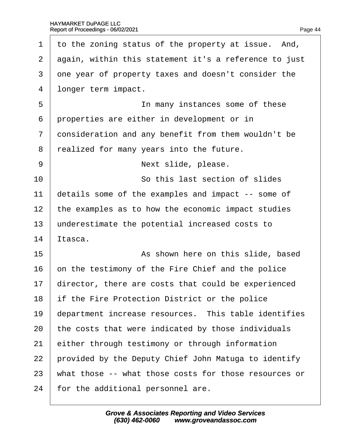| 1              | to the zoning status of the property at issue. And,   |
|----------------|-------------------------------------------------------|
| 2              | again, within this statement it's a reference to just |
| 3              | one year of property taxes and doesn't consider the   |
| 4              | Ibnger term impact.                                   |
| 5              | In many instances some of these                       |
| 6              | properties are either in development or in            |
| $\overline{7}$ | donsideration and any benefit from them wouldn't be   |
| 8              | realized for many years into the future.              |
| 9              | Next slide, please.                                   |
| 10             | So this last section of slides                        |
| 11             | details some of the examples and impact -- some of    |
| 12             | the examples as to how the economic impact studies    |
| 13             | underestimate the potential increased costs to        |
| 14             | ltasca.                                               |
| 15             | As shown here on this slide, based                    |
| 16             | on the testimony of the Fire Chief and the police     |
| 17             | director, there are costs that could be experienced   |
| 18             | If the Fire Protection District or the police         |
| 19             | department increase resources. This table identifies  |
| 20             | the costs that were indicated by those individuals    |
| 21             | either through testimony or through information       |
| 22             | provided by the Deputy Chief John Matuga to identify  |
| 23             | what those -- what those costs for those resources or |
| 24             | for the additional personnel are.                     |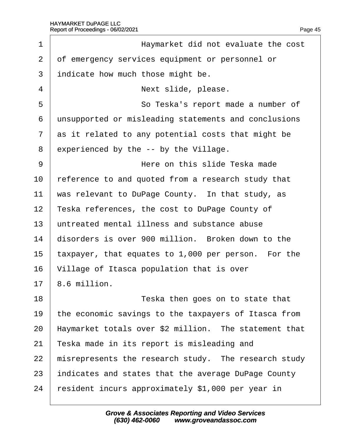| 1              | Haymarket did not evaluate the cost                   |
|----------------|-------------------------------------------------------|
| $\overline{2}$ | of emergency services equipment or personnel or       |
| 3              | indicate how much those might be.                     |
| 4              | Next slide, please.                                   |
| 5              | So Teska's report made a number of                    |
| 6              | unsupported or misleading statements and conclusions  |
| 7              | as it related to any potential costs that might be    |
| 8              | experienced by the -- by the Village.                 |
| 9              | Here on this slide Teska made                         |
| 10             | reference to and quoted from a research study that    |
| 11             | was relevant to DuPage County. In that study, as      |
| 12             | Teska references, the cost to DuPage County of        |
| 13             | untreated mental illness and substance abuse          |
| 14             | disorders is over 900 million. Broken down to the     |
| 15             | taxpayer, that equates to 1,000 per person. For the   |
| 16             | Village of Itasca population that is over             |
| 17             | 8.6 million.                                          |
| 18             | Teska then goes on to state that                      |
| 19             | the economic savings to the taxpayers of Itasca from  |
| 20             | Haymarket totals over \$2 million. The statement that |
| 21             | Teska made in its report is misleading and            |
| 22             | misrepresents the research study. The research study  |
| 23             | indicates and states that the average DuPage County   |
| 24             | resident incurs approximately \$1,000 per year in     |

Page 45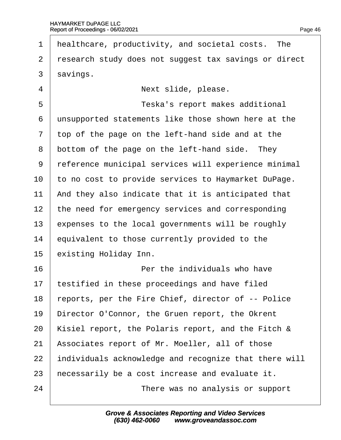- 1 Healthcare, productivity, and societal costs. The
- 2 research study does not suggest tax savings or direct
- 3 savings.
- 4 | **Next slide, please.**
- 5 **b Teska's report makes additional**
- 6 unsupported statements like those shown here at the
- ·7· ·top of the page on the left-hand side and at the
- 8 bottom of the page on the left-hand side. They
- 9 reference municipal services will experience minimal
- 10 to no cost to provide services to Haymarket DuPage.
- 11 And they also indicate that it is anticipated that
- 12 the need for emergency services and corresponding
- 13 expenses to the local governments will be roughly
- 14 equivalent to those currently provided to the
- 15 existing Holiday Inn.
- $16$   $\parallel$  **Per the individuals who have**
- 17 testified in these proceedings and have filed
- 18 reports, per the Fire Chief, director of -- Police
- 19 Director O'Connor, the Gruen report, the Okrent
- 20 Kisiel report, the Polaris report, and the Fitch &
- 21 Associates report of Mr. Moeller, all of those
- 22 individuals acknowledge and recognize that there will
- 23 hecessarily be a cost increase and evaluate it.
- 24 **There was no analysis or support**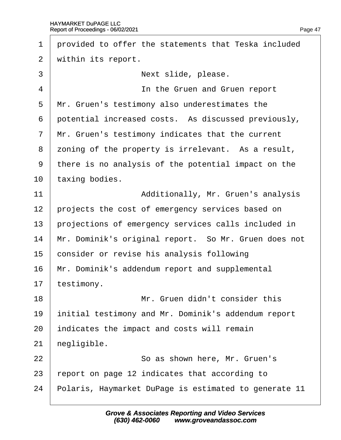1 provided to offer the statements that Teska included 2 within its report. 3 | **Next slide, please.** 4 **In the Gruen and Gruen report** 5 Mr. Gruen's testimony also underestimates the 6 potential increased costs. As discussed previously, 7 Mr. Gruen's testimony indicates that the current 8 zoning of the property is irrelevant. As a result, ·9· ·there is no analysis of the potential impact on the 10 taxing bodies. 11 | **Additionally, Mr. Gruen's analysis** 12 projects the cost of emergency services based on 13 projections of emergency services calls included in 14 Mr. Dominik's original report. So Mr. Gruen does not 15 consider or revise his analysis following 16 Mr. Dominik's addendum report and supplemental 17 testimony. 18· · · · · · · · · · ·Mr. Gruen didn't consider this 19 initial testimony and Mr. Dominik's addendum report 20 indicates the impact and costs will remain 21 hegligible. 22 **So as shown here, Mr. Gruen's** 23 report on page 12 indicates that according to 24 Polaris, Haymarket DuPage is estimated to generate 11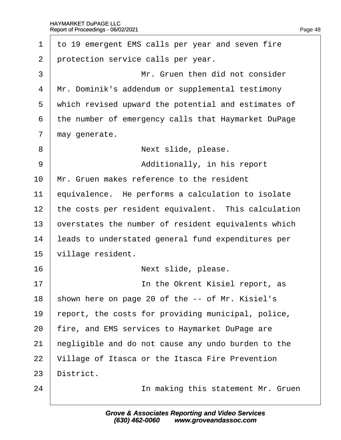| $\mathbf 1$    | to 19 emergent EMS calls per year and seven fire    |
|----------------|-----------------------------------------------------|
| $\overline{2}$ | protection service calls per year.                  |
| 3              | Mr. Gruen then did not consider                     |
| 4              | Mr. Dominik's addendum or supplemental testimony    |
| 5              | which revised upward the potential and estimates of |
| 6              | the number of emergency calls that Haymarket DuPage |
| 7              | may generate.                                       |
| 8              | Next slide, please.                                 |
| 9              | Additionally, in his report                         |
| 10             | Mr. Gruen makes reference to the resident           |
| 11             | equivalence. He performs a calculation to isolate   |
| 12             | the costs per resident equivalent. This calculation |
| 13             | overstates the number of resident equivalents which |
| 14             | leads to understated general fund expenditures per  |
| 15             | village resident.                                   |
| 16             | Next slide, please.                                 |
| 17             | In the Okrent Kisiel report, as                     |
| 18             | shown here on page 20 of the -- of Mr. Kisiel's     |
| 19             | report, the costs for providing municipal, police,  |
| 20             | fire, and EMS services to Haymarket DuPage are      |
| 21             | hegligible and do not cause any undo burden to the  |
| 22             | Village of Itasca or the Itasca Fire Prevention     |
| 23             | District.                                           |
| 24             | In making this statement Mr. Gruen                  |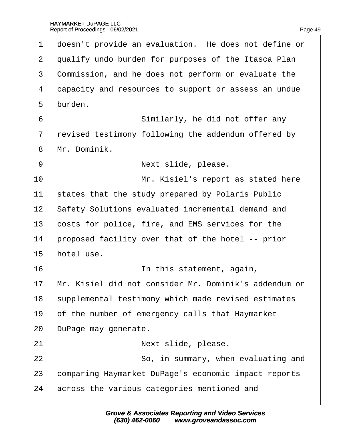| 1              | doesn't provide an evaluation. He does not define or  |
|----------------|-------------------------------------------------------|
| $\overline{2}$ | qualify undo burden for purposes of the Itasca Plan   |
| 3              | Commission, and he does not perform or evaluate the   |
| 4              | dapacity and resources to support or assess an undue  |
| 5              | burden.                                               |
| 6              | Similarly, he did not offer any                       |
| 7              | revised testimony following the addendum offered by   |
| 8              | Mr. Dominik.                                          |
| 9              | Next slide, please.                                   |
| 10             | Mr. Kisiel's report as stated here                    |
| 11             | states that the study prepared by Polaris Public      |
| 12             | Safety Solutions evaluated incremental demand and     |
| 13             | costs for police, fire, and EMS services for the      |
| 14             | proposed facility over that of the hotel -- prior     |
| 15             | hotel use.                                            |
| 16             | In this statement, again,                             |
| 17             | Mr. Kisiel did not consider Mr. Dominik's addendum or |
| 18             | supplemental testimony which made revised estimates   |
| 19             | of the number of emergency calls that Haymarket       |
| 20             | DuPage may generate.                                  |
| 21             | Next slide, please.                                   |
| 22             | So, in summary, when evaluating and                   |
| 23             | comparing Haymarket DuPage's economic impact reports  |
| 24             | across the various categories mentioned and           |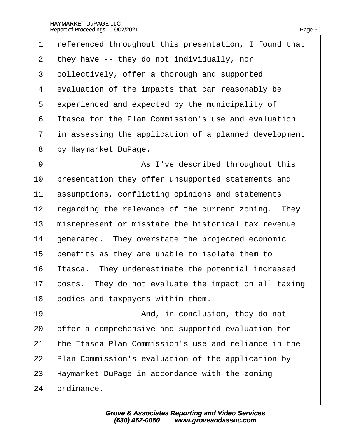1 referenced throughout this presentation, I found that 2 they have -- they do not individually, nor 3 dollectively, offer a thorough and supported 4 evaluation of the impacts that can reasonably be 5 experienced and expected by the municipality of ·6· ·Itasca for the Plan Commission's use and evaluation 7 in assessing the application of a planned development 8 by Haymarket DuPage. 9 | As I've described throughout this 10 presentation they offer unsupported statements and 11 **assumptions, conflicting opinions and statements** 12 regarding the relevance of the current zoning. They 13 misrepresent or misstate the historical tax revenue 14 generated. They overstate the projected economic 15 benefits as they are unable to isolate them to 16 Itasca. They underestimate the potential increased 17 costs. They do not evaluate the impact on all taxing 18 bodies and taxpayers within them. 19· · · · · · · · · · ·And, in conclusion, they do not 20 offer a comprehensive and supported evaluation for 21 the Itasca Plan Commission's use and reliance in the 22 Plan Commission's evaluation of the application by 23 Haymarket DuPage in accordance with the zoning 24 **brdinance**.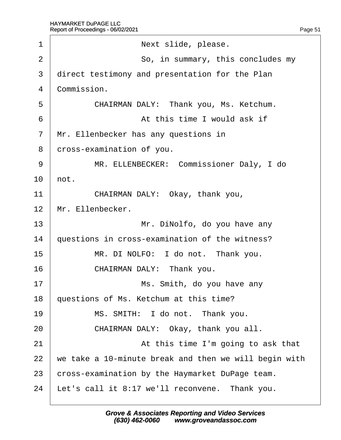| 1  | Next slide, please.                                   |
|----|-------------------------------------------------------|
| 2  | So, in summary, this concludes my                     |
| 3  | direct testimony and presentation for the Plan        |
| 4  | Commission.                                           |
| 5  | CHAIRMAN DALY: Thank you, Ms. Ketchum.                |
| 6  | At this time I would ask if                           |
| 7  | Mr. Ellenbecker has any questions in                  |
| 8  | dross-examination of you.                             |
| 9  | MR. ELLENBECKER: Commissioner Daly, I do              |
| 10 | hot.                                                  |
| 11 | CHAIRMAN DALY: Okay, thank you,                       |
| 12 | Mr. Ellenbecker.                                      |
| 13 | Mr. DiNolfo, do you have any                          |
| 14 | questions in cross-examination of the witness?        |
| 15 | MR. DI NOLFO: I do not. Thank you.                    |
| 16 | CHAIRMAN DALY: Thank you.                             |
| 17 | Ms. Smith, do you have any                            |
| 18 | questions of Ms. Ketchum at this time?                |
| 19 | MS. SMITH: I do not. Thank you.                       |
| 20 | CHAIRMAN DALY: Okay, thank you all.                   |
| 21 | At this time I'm going to ask that                    |
| 22 | we take a 10-minute break and then we will begin with |
| 23 | cross-examination by the Haymarket DuPage team.       |
| 24 | Let's call it 8:17 we'll reconvene. Thank you.        |
|    |                                                       |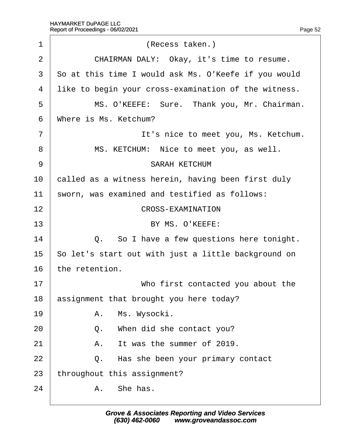| 1              | (Recess taken.)                                      |
|----------------|------------------------------------------------------|
| 2              | CHAIRMAN DALY: Okay, it's time to resume.            |
| 3              | So at this time I would ask Ms. O'Keefe if you would |
| 4              | like to begin your cross-examination of the witness. |
| 5              | MS. O'KEEFE: Sure. Thank you, Mr. Chairman.          |
| 6              | Where is Ms. Ketchum?                                |
| $\overline{7}$ | It's nice to meet you, Ms. Ketchum.                  |
| 8              | MS. KETCHUM: Nice to meet you, as well.              |
| 9              | <b>SARAH KETCHUM</b>                                 |
| 10             | called as a witness herein, having been first duly   |
| 11             | sworn, was examined and testified as follows:        |
| 12             | <b>CROSS-EXAMINATION</b>                             |
| 13             | BY MS. O'KEEFE:                                      |
| 14             | Q. So I have a few questions here tonight.           |
| 15             | So let's start out with just a little background on  |
| 16             | the retention.                                       |
| 17             | Who first contacted you about the                    |
| 18             | assignment that brought you here today?              |
| 19             | A. Ms. Wysocki.                                      |
| 20             | Q.<br>When did she contact you?                      |
| 21             | A. It was the summer of 2019.                        |
| 22             | Q. Has she been your primary contact                 |
| 23             | throughout this assignment?                          |
| 24             | A. She has.                                          |
|                |                                                      |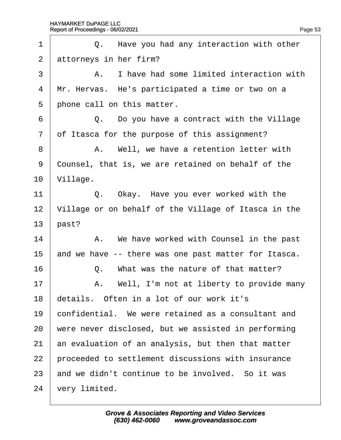| 1              | Q. Have you had any interaction with other           |
|----------------|------------------------------------------------------|
| 2              | attorneys in her firm?                               |
| 3              | A. I have had some limited interaction with          |
| 4              | Mr. Hervas. He's participated a time or two on a     |
| 5              | phone call on this matter.                           |
| 6              | Q. Do you have a contract with the Village           |
| $\overline{7}$ | of Itasca for the purpose of this assignment?        |
| 8              | A. Well, we have a retention letter with             |
| 9              | Counsel, that is, we are retained on behalf of the   |
| 10             | Village.                                             |
| 11             | Q. Okay. Have you ever worked with the               |
| 12             | Village or on behalf of the Village of Itasca in the |
| 13             | past?                                                |
| 14             | A. We have worked with Counsel in the past           |
| 15             | and we have -- there was one past matter for Itasca. |
| 16             | Q. What was the nature of that matter?               |
| 17             | A. Well, I'm not at liberty to provide many          |
| 18             | details. Often in a lot of our work it's             |
| 19             | confidential. We were retained as a consultant and   |
| 20             | were never disclosed, but we assisted in performing  |
| 21             | an evaluation of an analysis, but then that matter   |
| 22             | proceeded to settlement discussions with insurance   |
| 23             | and we didn't continue to be involved. So it was     |
| 24             | very limited.                                        |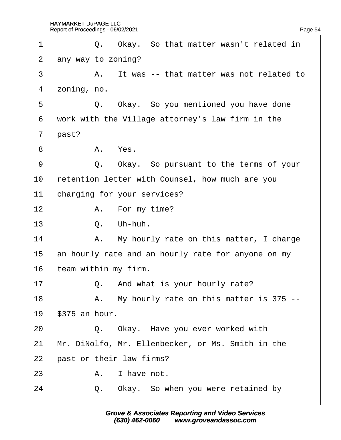| 1              | Q. Okay. So that matter wasn't related in          |
|----------------|----------------------------------------------------|
| $\overline{2}$ | any way to zoning?                                 |
| 3              | A. It was -- that matter was not related to        |
| 4              | zoning, no.                                        |
| 5              | Q. Okay. So you mentioned you have done            |
| 6              | work with the Village attorney's law firm in the   |
| $\overline{7}$ | past?                                              |
| 8              | A. Yes.                                            |
| 9              | Q. Okay. So pursuant to the terms of your          |
| 10             | retention letter with Counsel, how much are you    |
| 11             | charging for your services?                        |
| 12             | A. For my time?                                    |
| 13             | Q. Uh-huh.                                         |
| 14             | A. My hourly rate on this matter, I charge         |
| 15             | an hourly rate and an hourly rate for anyone on my |
| 16             | team within my firm.                               |
| 17             | Q. And what is your hourly rate?                   |
| 18             | A. My hourly rate on this matter is 375 --         |
| 19             | \$375 an hour.                                     |
| 20             | Q. Okay. Have you ever worked with                 |
| 21             | Mr. DiNolfo, Mr. Ellenbecker, or Ms. Smith in the  |
| 22             | past or their law firms?                           |
| 23             | I have not.<br>А.                                  |
| 24             | Okay. So when you were retained by<br>Q.           |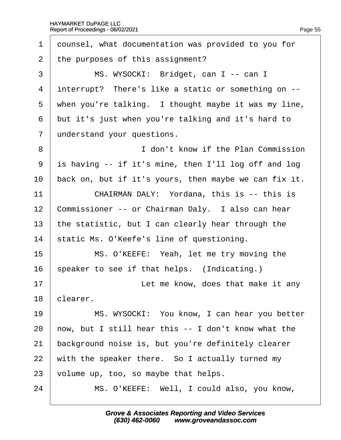| 1              | dounsel, what documentation was provided to you for   |
|----------------|-------------------------------------------------------|
| $\overline{2}$ | the purposes of this assignment?                      |
| 3              | MS. WYSOCKI: Bridget, can I -- can I                  |
| 4              | interrupt? There's like a static or something on --   |
| 5              | when you're talking. I thought maybe it was my line,  |
| 6              | but it's just when you're talking and it's hard to    |
| $\overline{7}$ | understand your questions.                            |
| 8              | I don't know if the Plan Commission                   |
| 9              | is having -- if it's mine, then I'll log off and log  |
| 10             | back on, but if it's yours, then maybe we can fix it. |
| 11             | CHAIRMAN DALY: Yordana, this is -- this is            |
| 12             | Commissioner -- or Chairman Daly. I also can hear     |
| 13             | the statistic, but I can clearly hear through the     |
| 14             | static Ms. O'Keefe's line of questioning.             |
| 15             | MS. O'KEEFE: Yeah, let me try moving the              |
| 16             | speaker to see if that helps. (Indicating.)           |
| 17             | Let me know, does that make it any                    |
| 18             | clearer.                                              |
| 19             | MS. WYSOCKI: You know, I can hear you better          |
| 20             | how, but I still hear this -- I don't know what the   |
| 21             | background noise is, but you're definitely clearer    |
| 22             | with the speaker there. So I actually turned my       |
| 23             | volume up, too, so maybe that helps.                  |
| 24             | MS. O'KEEFE: Well, I could also, you know,            |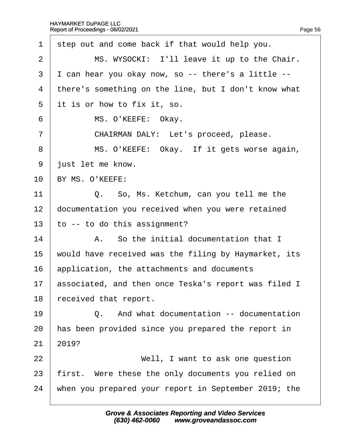| 1  | step out and come back if that would help you.          |
|----|---------------------------------------------------------|
| 2  | MS. WYSOCKI: I'll leave it up to the Chair.             |
| 3  | I can hear you okay now, so -- there's a little --      |
| 4  | there's something on the line, but I don't know what    |
| 5  | it is or how to fix it, so.                             |
| 6  | MS. O'KEEFE: Okay.                                      |
| 7  | CHAIRMAN DALY: Let's proceed, please.                   |
| 8  | MS. O'KEEFE: Okay. If it gets worse again,              |
| 9  | just let me know.                                       |
| 10 | BY MS. O'KEEFE:                                         |
| 11 | Q. So, Ms. Ketchum, can you tell me the                 |
| 12 | documentation you received when you were retained       |
| 13 | to -- to do this assignment?                            |
| 14 | A. So the initial documentation that I                  |
| 15 | would have received was the filing by Haymarket, its    |
| 16 | application, the attachments and documents              |
|    | 17 associated, and then once Teska's report was filed I |
| 18 | eceived that report.                                    |
| 19 | Q. And what documentation -- documentation              |
| 20 | has been provided since you prepared the report in      |
| 21 | 2019?                                                   |
| 22 | Well, I want to ask one question                        |
| 23 | first. Were these the only documents you relied on      |
| 24 | when you prepared your report in September 2019; the    |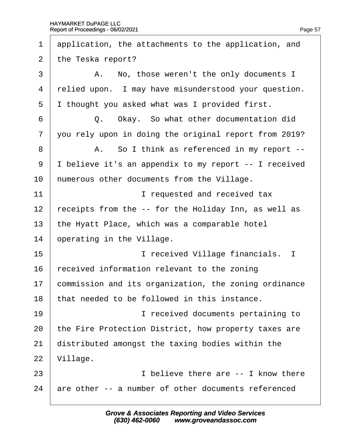| 1              | application, the attachments to the application, and  |
|----------------|-------------------------------------------------------|
| 2              | the Teska report?                                     |
| 3              | A. No, those weren't the only documents I             |
| $\overline{4}$ | relied upon. I may have misunderstood your question.  |
| 5              | I thought you asked what was I provided first.        |
| 6              | Q. Okay. So what other documentation did              |
| 7              | you rely upon in doing the original report from 2019? |
| 8              | A. So I think as referenced in my report --           |
| 9              | I believe it's an appendix to my report -- I received |
| 10             | humerous other documents from the Village.            |
| 11             | I requested and received tax                          |
| 12             | receipts from the -- for the Holiday Inn, as well as  |
| 13             | the Hyatt Place, which was a comparable hotel         |
| 14             | operating in the Village.                             |
| 15             | I received Village financials. I                      |
| 16             | received information relevant to the zoning           |
| 17             | commission and its organization, the zoning ordinance |
| 18             | that needed to be followed in this instance.          |
| 19             | I received documents pertaining to                    |
| 20             | the Fire Protection District, how property taxes are  |
| 21             | distributed amongst the taxing bodies within the      |
| 22             | Village.                                              |
| 23             | I believe there are -- I know there                   |
| 24             | are other -- a number of other documents referenced   |
|                |                                                       |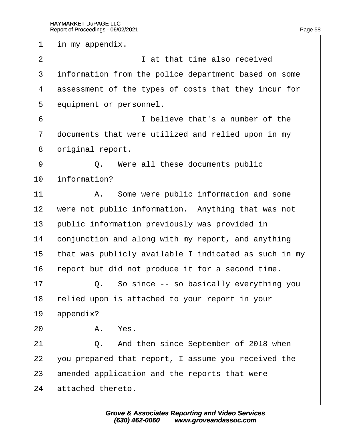1 in my appendix.  $2 \mid$  at that time also received 3 information from the police department based on some 4 dssessment of the types of costs that they incur for 5 **equipment or personnel.** 6 **believe that's a number of the** 7 documents that were utilized and relied upon in my 8 driginal report. 9 | Q. Were all these documents public 10 **information?** 11 | A. Some were public information and some 12 were not public information. Anything that was not 13 public information previously was provided in 14 conjunction and along with my report, and anything 15 that was publicly available I indicated as such in my 16 report but did not produce it for a second time.  $17$   $\Box$  Q. So since -- so basically everything you 18 relied upon is attached to your report in your 19 appendix?  $20$   $A$   $Y$ es 21 | Q. And then since September of 2018 when 22 you prepared that report, I assume you received the 23 amended application and the reports that were 24 attached thereto.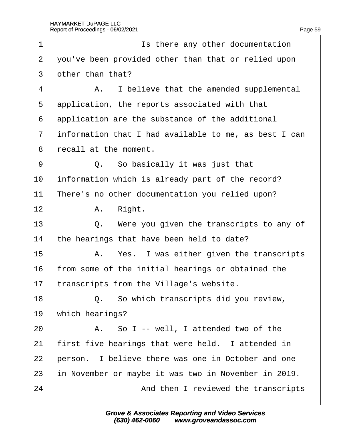| 1              | Is there any other documentation                      |  |  |
|----------------|-------------------------------------------------------|--|--|
| $\overline{2}$ | you've been provided other than that or relied upon   |  |  |
| 3              | other than that?                                      |  |  |
| 4              | A. I believe that the amended supplemental            |  |  |
| 5              | application, the reports associated with that         |  |  |
| 6              | application are the substance of the additional       |  |  |
| $\overline{7}$ | information that I had available to me, as best I can |  |  |
| 8              | recall at the moment.                                 |  |  |
| 9              | Q. So basically it was just that                      |  |  |
| 10             | information which is already part of the record?      |  |  |
| 11             | There's no other documentation you relied upon?       |  |  |
| 12             | A. Right.                                             |  |  |
| 13             | Q. Were you given the transcripts to any of           |  |  |
| 14             | the hearings that have been held to date?             |  |  |
| 15             | A. Yes. I was either given the transcripts            |  |  |
| 16             | from some of the initial hearings or obtained the     |  |  |
| 17             | transcripts from the Village's website.               |  |  |
| 18             | Q. So which transcripts did you review,               |  |  |
| 19             | which hearings?                                       |  |  |
| 20             | A. So I -- well, I attended two of the                |  |  |
| 21             | first five hearings that were held. I attended in     |  |  |
| 22             | person. I believe there was one in October and one    |  |  |
| 23             | in November or maybe it was two in November in 2019.  |  |  |
| 24             | And then I reviewed the transcripts                   |  |  |
|                |                                                       |  |  |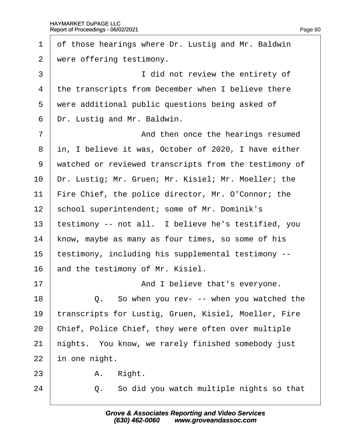| 1              | of those hearings where Dr. Lustig and Mr. Baldwin    |
|----------------|-------------------------------------------------------|
| 2              | were offering testimony.                              |
| 3              | I did not review the entirety of                      |
| 4              | the transcripts from December when I believe there    |
| 5              | were additional public questions being asked of       |
| 6              | Dr. Lustig and Mr. Baldwin.                           |
| $\overline{7}$ | And then once the hearings resumed                    |
| 8              | in, I believe it was, October of 2020, I have either  |
| 9              | watched or reviewed transcripts from the testimony of |
| 10             | Dr. Lustig; Mr. Gruen; Mr. Kisiel; Mr. Moeller; the   |
| 11             | Fire Chief, the police director, Mr. O'Connor; the    |
| 12             | school superintendent; some of Mr. Dominik's          |
| 13             | testimony -- not all. I believe he's testified, you   |
| 14             | know, maybe as many as four times, so some of his     |
| 15             | testimony, including his supplemental testimony --    |
| 16             | and the testimony of Mr. Kisiel.                      |
| 17             | And I believe that's everyone.                        |
| 18             | Q. So when you rev- -- when you watched the           |
| 19             | transcripts for Lustig, Gruen, Kisiel, Moeller, Fire  |
| 20             | Chief, Police Chief, they were often over multiple    |
| 21             | hights. You know, we rarely finished somebody just    |
| 22             | in one night.                                         |
| 23             | Right.<br>А.                                          |
| 24             | So did you watch multiple nights so that<br>Q.        |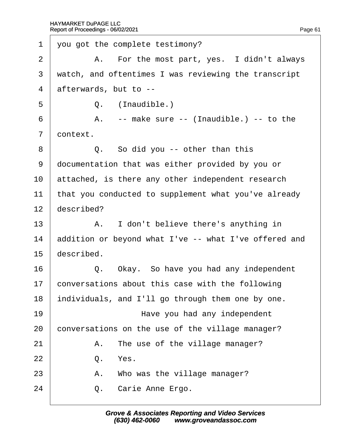| 1              | you got the complete testimony?                       |
|----------------|-------------------------------------------------------|
| 2              | A. For the most part, yes. I didn't always            |
| 3              | watch, and oftentimes I was reviewing the transcript  |
| 4              | afterwards, but to --                                 |
| 5              | Q. (Inaudible.)                                       |
| 6              | A. -- make sure -- (Inaudible.) -- to the             |
| $\overline{7}$ | dontext.                                              |
| 8              | Q. So did you -- other than this                      |
| 9              | documentation that was either provided by you or      |
| 10             | attached, is there any other independent research     |
| 11             | that you conducted to supplement what you've already  |
| 12             | described?                                            |
| 13             | A. I don't believe there's anything in                |
| 14             | addition or beyond what I've -- what I've offered and |
| 15             | described.                                            |
| 16             | Q. Okay. So have you had any independent              |
| 17             | conversations about this case with the following      |
| 18             | individuals, and I'll go through them one by one.     |
| 19             | Have you had any independent                          |
| 20             | conversations on the use of the village manager?      |
| 21             | The use of the village manager?<br>А.                 |
| 22             | Yes.<br>Q.                                            |
| 23             | A. Who was the village manager?                       |
| 24             | Carie Anne Ergo.<br>Q.                                |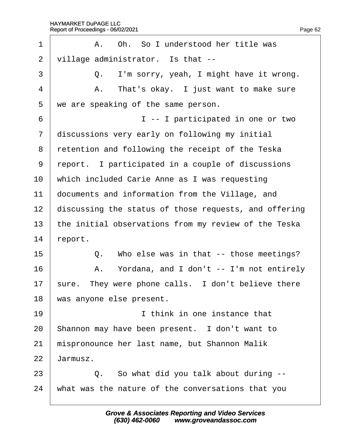| 1              | A. Oh. So I understood her title was                  |
|----------------|-------------------------------------------------------|
| $\overline{2}$ | village administrator. Is that --                     |
| 3              | Q. I'm sorry, yeah, I might have it wrong.            |
| $\overline{4}$ | A. That's okay. I just want to make sure              |
| 5              | we are speaking of the same person.                   |
| 6              | I -- I participated in one or two                     |
| $\overline{7}$ | discussions very early on following my initial        |
| 8              | retention and following the receipt of the Teska      |
| 9              | report. I participated in a couple of discussions     |
| 10             | which included Carie Anne as I was requesting         |
| 11             | documents and information from the Village, and       |
| 12             | discussing the status of those requests, and offering |
| 13             | the initial observations from my review of the Teska  |
| 14             | eport.                                                |
| 15             | Who else was in that -- those meetings?<br>Q.         |
| 16             | A. Yordana, and I don't -- I'm not entirely           |
| 17             | sure. They were phone calls. I don't believe there    |
| 18             | was anyone else present.                              |
| 19             | I think in one instance that                          |
| 20             | Shannon may have been present. I don't want to        |
| 21             | mispronounce her last name, but Shannon Malik         |
| 22             | Jarmusz.                                              |
| 23             | Q. So what did you talk about during --               |
| 24             | what was the nature of the conversations that you     |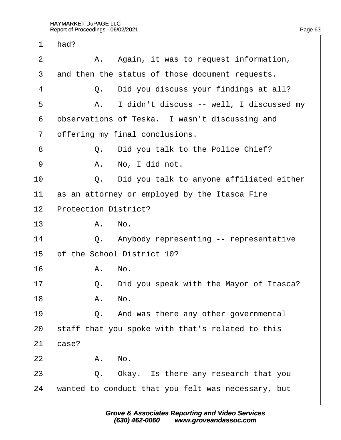| $\mathbf 1$    | had?  |                                                    |
|----------------|-------|----------------------------------------------------|
| $\overline{2}$ |       | A. Again, it was to request information,           |
| 3              |       | and then the status of those document requests.    |
| 4              |       | Q. Did you discuss your findings at all?           |
| 5              | А.    | I didn't discuss -- well, I discussed my           |
| 6              |       | dbservations of Teska. I wasn't discussing and     |
| $\overline{7}$ |       | offering my final conclusions.                     |
| 8              |       | Q. Did you talk to the Police Chief?               |
| 9              |       | A. No, I did not.                                  |
| 10             |       | Q. Did you talk to anyone affiliated either        |
| 11             |       | as an attorney or employed by the Itasca Fire      |
| 12             |       | <b>Protection District?</b>                        |
| 13             |       | A. No.                                             |
| 14             |       | Q. Anybody representing -- representative          |
| 15             |       | of the School District 10?                         |
| 16             |       | A. No.                                             |
| 17             | Q.    | Did you speak with the Mayor of Itasca?            |
| 18             |       | A. No.                                             |
| 19             |       | Q. And was there any other governmental            |
| 20             |       | staff that you spoke with that's related to this   |
| 21             | case? |                                                    |
| 22             |       | A. No.                                             |
| 23             | Q.    | Okay. Is there any research that you               |
| 24             |       | wanted to conduct that you felt was necessary, but |
|                |       |                                                    |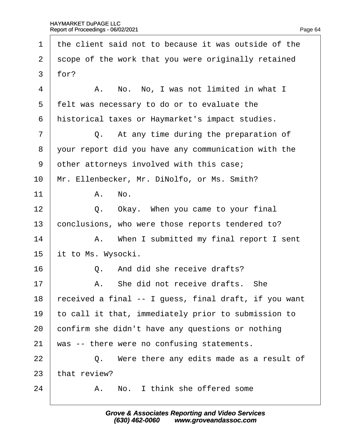1 the client said not to because it was outside of the 2 scope of the work that you were originally retained  $3$  for?  $4 \mid$  A. No. No. I was not limited in what I 5 felt was necessary to do or to evaluate the 6 historical taxes or Haymarket's impact studies.  $7 \mid$  Q. At any time during the preparation of ·8· ·your report did you have any communication with the 9 other attorneys involved with this case; 10 Mr. Ellenbecker, Mr. DiNolfo, or Ms. Smith?  $11$  A. No.  $12 \parallel Q$ . Okay. When you came to your final 13 conclusions, who were those reports tendered to? 14 | A. When I submitted my final report I sent 15 it to Ms. Wysocki.  $16 \quad | \quad Q$ . And did she receive drafts?  $17$   $\parallel$  A. She did not receive drafts. She 18  $\frac{1}{2}$  received a final -- I guess, final draft, if you want 19 to call it that, immediately prior to submission to 20 confirm she didn't have any questions or nothing 21 was -- there were no confusing statements.  $22$   $\Box$  Q. Were there any edits made as a result of 23 that review?  $24$   $\parallel$  A. No. I think she offered some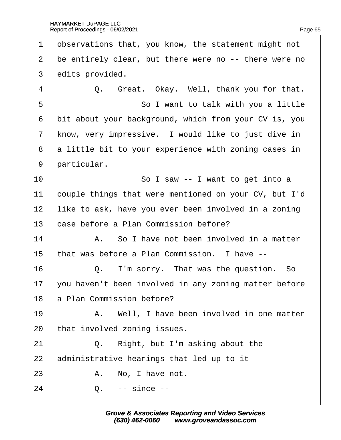1 dbservations that, you know, the statement might not 2 be entirely clear, but there were no -- there were no 3 dedits provided.  $4 \mid Q$ . Great. Okay. Well, thank you for that. 5 **So I want to talk with you a little** 6 bit about your background, which from your CV is, you 7 know, very impressive. I would like to just dive in 8 a little bit to your experience with zoning cases in 9 **particular.** 10 **So I saw -- I want to get into a** 11 couple things that were mentioned on your CV, but I'd 12 like to ask, have you ever been involved in a zoning 13 base before a Plan Commission before?  $14$  | A. So I have not been involved in a matter 15 that was before a Plan Commission. I have --16· · · · · ·Q.· ·I'm sorry.· That was the question.· So 17 you haven't been involved in any zoning matter before 18 **a** Plan Commission before? 19 | A. Well, I have been involved in one matter 20 that involved zoning issues.  $21$   $\Box$  Q. Right, but I'm asking about the 22  $\alpha$  administrative hearings that led up to it -- $23$   $\parallel$  A. No. I have not.  $24 \mid Q_{1} \cdot \cdot \cdot \text{ since --}$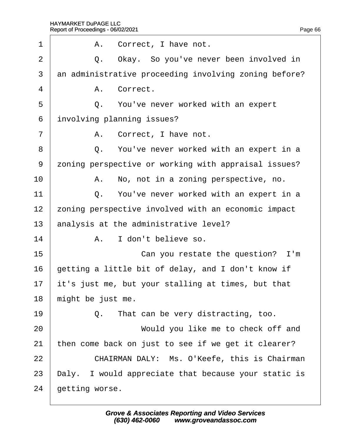| 1              | A. Correct, I have not.                               |
|----------------|-------------------------------------------------------|
| $\overline{2}$ | Q. Okay. So you've never been involved in             |
| 3              | an administrative proceeding involving zoning before? |
| 4              | A. Correct.                                           |
| 5              | Q. You've never worked with an expert                 |
| 6              | involving planning issues?                            |
| $\overline{7}$ | A. Correct, I have not.                               |
| 8              | Q. You've never worked with an expert in a            |
| 9              | zoning perspective or working with appraisal issues?  |
| 10             | A. No, not in a zoning perspective, no.               |
| 11             | Q. You've never worked with an expert in a            |
| 12             | zoning perspective involved with an economic impact   |
| 13             | analysis at the administrative level?                 |
| 14             | A. I don't believe so.                                |
| 15             | Can you restate the question? I'm                     |
| 16             | getting a little bit of delay, and I don't know if    |
| 17             | it's just me, but your stalling at times, but that    |
| 18             | might be just me.                                     |
| 19             | Q. That can be very distracting, too.                 |
| 20             | Would you like me to check off and                    |
| 21             | then come back on just to see if we get it clearer?   |
| 22             | CHAIRMAN DALY: Ms. O'Keefe, this is Chairman          |
| 23             | Daly. I would appreciate that because your static is  |
| 24             | getting worse.                                        |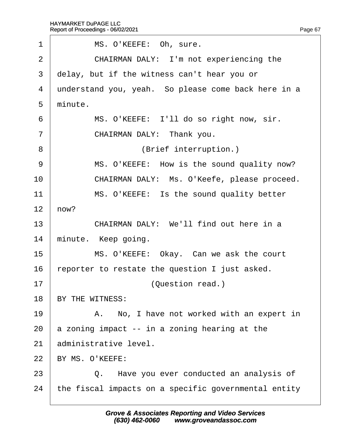| 1              | MS. O'KEEFE: Oh, sure.                               |
|----------------|------------------------------------------------------|
| $\overline{2}$ | CHAIRMAN DALY: I'm not experiencing the              |
| 3              | delay, but if the witness can't hear you or          |
| 4              | understand you, yeah. So please come back here in a  |
| 5              | minute.                                              |
| 6              | MS. O'KEEFE: I'll do so right now, sir.              |
| $\overline{7}$ | CHAIRMAN DALY: Thank you.                            |
| 8              | (Brief interruption.)                                |
| 9              | MS. O'KEEFE: How is the sound quality now?           |
| 10             | CHAIRMAN DALY: Ms. O'Keefe, please proceed.          |
| 11             | MS. O'KEEFE: Is the sound quality better             |
| 12             | how?                                                 |
| 13             | CHAIRMAN DALY: We'll find out here in a              |
| 14             | minute. Keep going.                                  |
| 15             | MS. O'KEEFE: Okay. Can we ask the court              |
| 16             | eporter to restate the question I just asked.        |
| 17             | (Question read.)                                     |
| 18             | BY THE WITNESS:                                      |
| 19             | A. No, I have not worked with an expert in           |
| 20             | a zoning impact -- in a zoning hearing at the        |
| 21             | administrative level.                                |
| 22             | BY MS. O'KEEFE:                                      |
| 23             | Q. Have you ever conducted an analysis of            |
| 24             | the fiscal impacts on a specific governmental entity |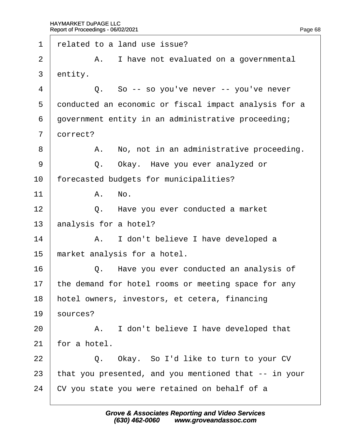| 1              | related to a land use issue?                          |
|----------------|-------------------------------------------------------|
| $\overline{2}$ | A. I have not evaluated on a governmental             |
| 3              | entity.                                               |
| 4              | Q. So -- so you've never -- you've never              |
| 5              | donducted an economic or fiscal impact analysis for a |
| 6              | government entity in an administrative proceeding;    |
| $\overline{7}$ | dorrect?                                              |
| 8              | A. No, not in an administrative proceeding.           |
| 9              | Q. Okay. Have you ever analyzed or                    |
| 10             | forecasted budgets for municipalities?                |
| 11             | A. No.                                                |
| 12             | Q. Have you ever conducted a market                   |
| 13             | analysis for a hotel?                                 |
| 14             | A. I don't believe I have developed a                 |
| 15             | market analysis for a hotel.                          |
| 16             | Q. Have you ever conducted an analysis of             |
| 17             | the demand for hotel rooms or meeting space for any   |
| 18             | hotel owners, investors, et cetera, financing         |
| 19             | sources?                                              |
| 20             | A. I don't believe I have developed that              |
| 21             | for a hotel.                                          |
| 22             | Q. Okay. So I'd like to turn to your CV               |
| 23             | that you presented, and you mentioned that -- in your |
| 24             | CV you state you were retained on behalf of a         |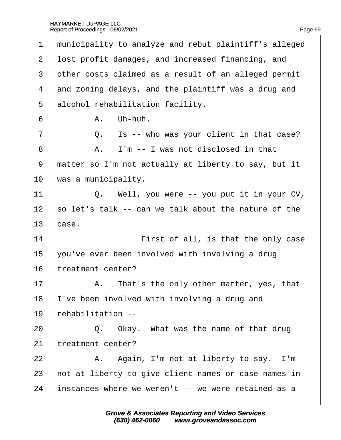1 municipality to analyze and rebut plaintiff's alleged 2 lost profit damages, and increased financing, and 3 dther costs claimed as a result of an alleged permit 4 and zoning delays, and the plaintiff was a drug and 5 alcohol rehabilitation facility.  $6$   $A.$  Uh-huh.  $7 \mid$  Q. Is -- who was your client in that case? 8 **A.** I'm -- I was not disclosed in that 9 matter so I'm not actually at liberty to say, but it 10 was a municipality. 11  $\vert$  Q. Well, you were -- you put it in your CV, 12 so let's talk -- can we talk about the nature of the 13 $\;$  case. 14 **First of all, is that the only case** 15  $\sqrt{2}$  you've ever been involved with involving a drug 16 treatment center?  $17$  | A. That's the only other matter, yes, that 18 I've been involved with involving a drug and 19 rehabilitation -- $20$   $\Box$  Q. Okay. What was the name of that drug 21 treatment center?  $22$  | A. Again, I'm not at liberty to say. I'm 23 hot at liberty to give client names or case names in 24 instances where we weren't -- we were retained as a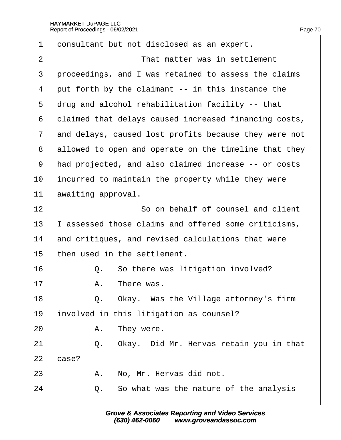Г

| 1              | donsultant but not disclosed as an expert.            |
|----------------|-------------------------------------------------------|
| 2              | That matter was in settlement                         |
| 3              | proceedings, and I was retained to assess the claims  |
| 4              | put forth by the claimant -- in this instance the     |
| 5              | drug and alcohol rehabilitation facility -- that      |
| 6              | dlaimed that delays caused increased financing costs, |
| $\overline{7}$ | and delays, caused lost profits because they were not |
| 8              | allowed to open and operate on the timeline that they |
| 9              | had projected, and also claimed increase -- or costs  |
| 10             | incurred to maintain the property while they were     |
| 11             | awaiting approval.                                    |
| 12             | So on behalf of counsel and client                    |
| 13             | assessed those claims and offered some criticisms,    |
| 14             | and critiques, and revised calculations that were     |
| 15             | then used in the settlement.                          |
| 16             | So there was litigation involved?<br>Q.               |
| 17             | A. There was.                                         |
| 18             | Q. Okay. Was the Village attorney's firm              |
| 19             | involved in this litigation as counsel?               |
| 20             | A. They were.                                         |
| 21             | Q. Okay. Did Mr. Hervas retain you in that            |
| 22             | case?                                                 |
| 23             | No, Mr. Hervas did not.<br>А.                         |
| 24             | Q. So what was the nature of the analysis             |
|                |                                                       |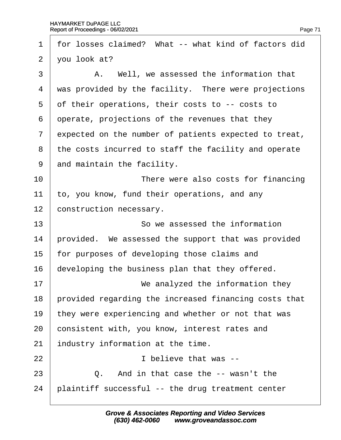| 1              | for losses claimed? What -- what kind of factors did  |
|----------------|-------------------------------------------------------|
| $\overline{2}$ | you look at?                                          |
| 3              | A. Well, we assessed the information that             |
| 4              | was provided by the facility. There were projections  |
| 5              | of their operations, their costs to -- costs to       |
| 6              | operate, projections of the revenues that they        |
| $\overline{7}$ | expected on the number of patients expected to treat, |
| 8              | the costs incurred to staff the facility and operate  |
| 9              | and maintain the facility.                            |
| 10             | There were also costs for financing                   |
| 11             | to, you know, fund their operations, and any          |
| 12             | construction necessary.                               |
| 13             | So we assessed the information                        |
| 14             | provided. We assessed the support that was provided   |
| 15             | for purposes of developing those claims and           |
| 16             | developing the business plan that they offered.       |
| 17             |                                                       |
|                | We analyzed the information they                      |
| 18             | provided regarding the increased financing costs that |
| 19             | they were experiencing and whether or not that was    |
| 20             | consistent with, you know, interest rates and         |
| 21             | industry information at the time.                     |
| 22             | I believe that was --                                 |
| 23             | Q. And in that case the -- wasn't the                 |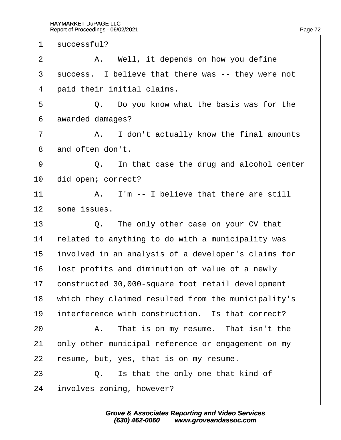1 successful?  $2 \mid$  A. Well, it depends on how you define 3 success. I believe that there was -- they were not 4 **paid their initial claims.**  $5 \mid Q_i$ . Do you know what the basis was for the 6 awarded damages?  $7$  | A. I don't actually know the final amounts 8 and often don't.  $9 \mid Q$ . In that case the drug and alcohol center 10 did open; correct? 11  $\parallel$  A. I'm -- I believe that there are still 12 some issues.  $13 \mid Q$ . The only other case on your CV that 14 related to anything to do with a municipality was 15 involved in an analysis of a developer's claims for 16 lost profits and diminution of value of a newly 17 constructed 30,000-square foot retail development 18 which they claimed resulted from the municipality's 19 interference with construction. Is that correct?  $20$  | A. That is on my resume. That isn't the 21 bnly other municipal reference or engagement on my 22 resume, but, yes, that is on my resume.  $23$   $\Box$  Q. Is that the only one that kind of 24 involves zoning, however?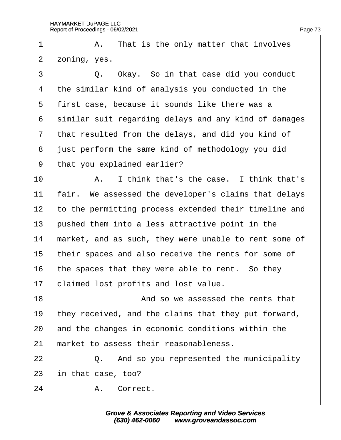| 1              | A. That is the only matter that involves              |
|----------------|-------------------------------------------------------|
| $\overline{2}$ | zoning, yes.                                          |
| 3              | Q. Okay. So in that case did you conduct              |
| 4              | the similar kind of analysis you conducted in the     |
| 5              | first case, because it sounds like there was a        |
| 6              | similar suit regarding delays and any kind of damages |
| $\overline{7}$ | that resulted from the delays, and did you kind of    |
| 8              | just perform the same kind of methodology you did     |
| 9              | that you explained earlier?                           |
| 10             | A. I think that's the case. I think that's            |
| 11             | fair. We assessed the developer's claims that delays  |
| 12             | to the permitting process extended their timeline and |
| 13             | pushed them into a less attractive point in the       |
| 14             | market, and as such, they were unable to rent some of |
| 15             | their spaces and also receive the rents for some of   |
| 16             | the spaces that they were able to rent. So they       |
| 17             | claimed lost profits and lost value.                  |
| 18             | And so we assessed the rents that                     |
| 19             | they received, and the claims that they put forward,  |
| 20             | and the changes in economic conditions within the     |
| 21             | market to assess their reasonableness.                |
| 22             | Q. And so you represented the municipality            |
| 23             | in that case, too?                                    |
| 24             | A. Correct.                                           |
|                |                                                       |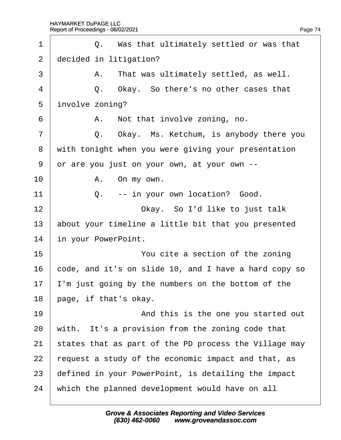| 1              | Q. Was that ultimately settled or was that            |
|----------------|-------------------------------------------------------|
| $\overline{2}$ | decided in litigation?                                |
| 3              | A. That was ultimately settled, as well.              |
| $\overline{4}$ | Q. Okay. So there's no other cases that               |
| 5              | involve zoning?                                       |
| 6              | A. Not that involve zoning, no.                       |
| $\overline{7}$ | Q. Okay. Ms. Ketchum, is anybody there you            |
| 8              | with tonight when you were giving your presentation   |
| 9              | or are you just on your own, at your own --           |
| 10             | A. On my own.                                         |
| 11             | Q. -- in your own location? Good.                     |
| 12             | Okay. So I'd like to just talk                        |
| 13             | about your timeline a little bit that you presented   |
| 14             | in your PowerPoint.                                   |
| 15             | You cite a section of the zoning                      |
| 16             | code, and it's on slide 10, and I have a hard copy so |
| 17             | 'm just going by the numbers on the bottom of the     |
| 18             | page, if that's okay.                                 |
| 19             | And this is the one you started out                   |
| 20             | with. It's a provision from the zoning code that      |
| 21             | states that as part of the PD process the Village may |
| 22             | request a study of the economic impact and that, as   |
| 23             | defined in your PowerPoint, is detailing the impact   |
| 24             | which the planned development would have on all       |
|                |                                                       |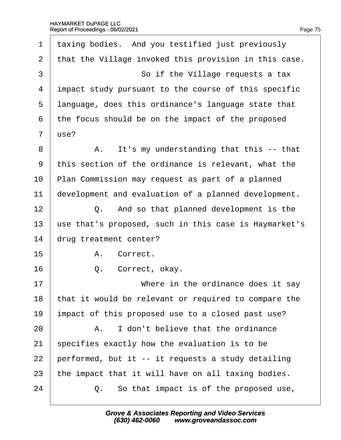| 1              | taxing bodies. And you testified just previously      |
|----------------|-------------------------------------------------------|
| 2              | that the Village invoked this provision in this case. |
| 3              | So if the Village requests a tax                      |
| 4              | impact study pursuant to the course of this specific  |
| 5              | language, does this ordinance's language state that   |
| 6              | the focus should be on the impact of the proposed     |
| $\overline{7}$ | use?                                                  |
| 8              | A. It's my understanding that this -- that            |
| 9              | this section of the ordinance is relevant, what the   |
| 10             | Plan Commission may request as part of a planned      |
| 11             | development and evaluation of a planned development.  |
| 12             | Q. And so that planned development is the             |
| 13             | use that's proposed, such in this case is Haymarket's |
| 14             | drug treatment center?                                |
| 15             | A. Correct.                                           |
| 16             | Correct, okay.<br>Q.                                  |
| 17             | Where in the ordinance does it say                    |
| 18             | that it would be relevant or required to compare the  |
| 19             | impact of this proposed use to a closed past use?     |
| 20             | I don't believe that the ordinance<br>А.              |
| 21             | specifies exactly how the evaluation is to be         |
| 22             | performed, but it -- it requests a study detailing    |
| 23             | the impact that it will have on all taxing bodies.    |
| 24             | Q. So that impact is of the proposed use,             |
|                |                                                       |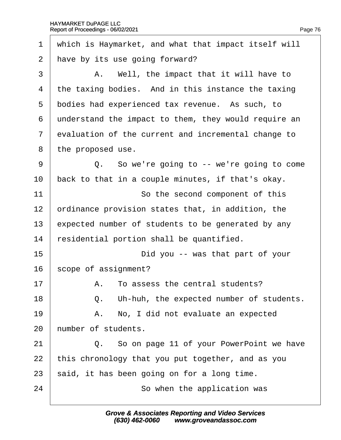| 1              | which is Haymarket, and what that impact itself will |
|----------------|------------------------------------------------------|
| 2              | have by its use going forward?                       |
| 3              | A. Well, the impact that it will have to             |
| 4              | the taxing bodies. And in this instance the taxing   |
| 5              | bodies had experienced tax revenue. As such, to      |
| 6              | understand the impact to them, they would require an |
| $\overline{7}$ | evaluation of the current and incremental change to  |
| 8              | the proposed use.                                    |
| 9              | Q. So we're going to -- we're going to come          |
| 10             | back to that in a couple minutes, if that's okay.    |
| 11             | So the second component of this                      |
| 12             | prdinance provision states that, in addition, the    |
| 13             | expected number of students to be generated by any   |
| 14             | residential portion shall be quantified.             |
| 15             | Did you -- was that part of your                     |
| 16             | scope of assignment?                                 |
| 17             | A. To assess the central students?                   |
| 18             | Q. Uh-huh, the expected number of students.          |
| 19             | A. No, I did not evaluate an expected                |
| 20             | humber of students.                                  |
| 21             | Q. So on page 11 of your PowerPoint we have          |
| 22             | this chronology that you put together, and as you    |
| 23             | said, it has been going on for a long time.          |
| 24             | So when the application was                          |
|                |                                                      |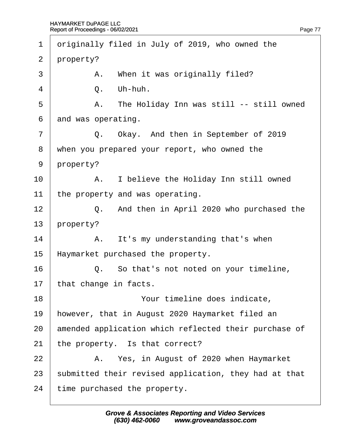1 driginally filed in July of 2019, who owned the 2 property?  $\overline{3}$  | A. When it was originally filed?  $4 \mid$  Q. Uh-huh. 5 **A.** The Holiday Inn was still -- still owned 6 and was operating.  $7 \mid$  Q. Okay. And then in September of 2019 8 when you prepared your report, who owned the 9 property? 10 | A. I believe the Holiday Inn still owned 11 the property and was operating. 12 **Q.** And then in April 2020 who purchased the 13 property?  $14$  | A. It's my understanding that's when 15 Haymarket purchased the property. 16 **Q.** So that's not noted on your timeline, 17 that change in facts. 18 **I** Your timeline does indicate, 19 however, that in August 2020 Haymarket filed an 20 amended application which reflected their purchase of 21 the property. Is that correct? 22 A. Yes, in August of 2020 when Haymarket 23 submitted their revised application, they had at that 24 time purchased the property.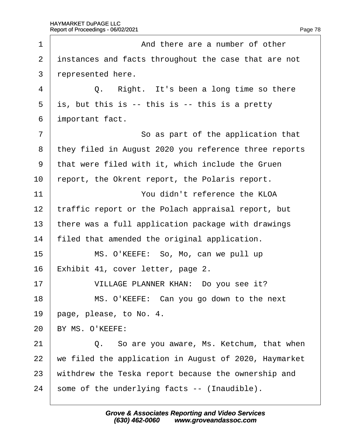| 1              | And there are a number of other                       |
|----------------|-------------------------------------------------------|
| $\overline{2}$ | instances and facts throughout the case that are not  |
| 3              | represented here.                                     |
| 4              | Q. Right. It's been a long time so there              |
| 5              | $i$ \$, but this is $-$ this is $-$ this is a pretty  |
| 6              | important fact.                                       |
| $\overline{7}$ | So as part of the application that                    |
| 8              | they filed in August 2020 you reference three reports |
| 9              | that were filed with it, which include the Gruen      |
| 10             | report, the Okrent report, the Polaris report.        |
| 11             | You didn't reference the KLOA                         |
| 12             | traffic report or the Polach appraisal report, but    |
| 13             | there was a full application package with drawings    |
| 14             | filed that amended the original application.          |
| 15             | MS. O'KEEFE: So, Mo, can we pull up                   |
| 16             | Exhibit 41, cover letter, page 2.                     |
| 17             | VILLAGE PLANNER KHAN: Do you see it?                  |
| 18             | MS. O'KEEFE: Can you go down to the next              |
| 19             | page, please, to No. 4.                               |
| 20             | BY MS. O'KEEFE:                                       |
| 21             | Q. So are you aware, Ms. Ketchum, that when           |
| 22             | we filed the application in August of 2020, Haymarket |
| 23             | withdrew the Teska report because the ownership and   |
| 24             | some of the underlying facts -- (Inaudible).          |
|                |                                                       |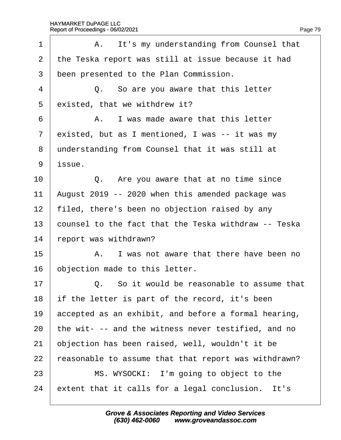| 1              | A. It's my understanding from Counsel that           |
|----------------|------------------------------------------------------|
| $\overline{2}$ | the Teska report was still at issue because it had   |
| 3              | been presented to the Plan Commission.               |
| 4              | Q. So are you aware that this letter                 |
| 5              | existed, that we withdrew it?                        |
| 6              | A. I was made aware that this letter                 |
| $\overline{7}$ | existed, but as I mentioned, I was -- it was my      |
| 8              | understanding from Counsel that it was still at      |
| 9              | issue.                                               |
| 10             | Q. Are you aware that at no time since               |
| 11             | August 2019 -- 2020 when this amended package was    |
| 12             | filed, there's been no objection raised by any       |
| 13             | counsel to the fact that the Teska withdraw -- Teska |
| 14             | report was withdrawn?                                |
| 15             | A. I was not aware that there have been no           |
| 16             | objection made to this letter.                       |
| 17             | Q. So it would be reasonable to assume that          |
| 18             | if the letter is part of the record, it's been       |
| 19             | accepted as an exhibit, and before a formal hearing, |
| 20             | the wit- -- and the witness never testified, and no  |
| 21             | objection has been raised, well, wouldn't it be      |
| 22             | easonable to assume that that report was withdrawn?  |
| 23             | MS. WYSOCKI: I'm going to object to the              |
| 24             | extent that it calls for a legal conclusion. It's    |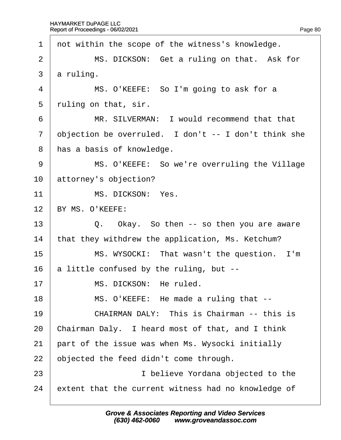1 not within the scope of the witness's knowledge. 2 | MS. DICKSON: Get a ruling on that. Ask for 3 a ruling. 4 | MS. O'KEEFE: So I'm going to ask for a 5 ruling on that, sir. 6 **I** MR. SILVERMAN: I would recommend that that 7 dbjection be overruled. I don't -- I don't think she 8 has a basis of knowledge. 9 | MS. O'KEEFE: So we're overruling the Village 10 attorney's objection? 11 | MS. DICKSON: Yes. 12 BY MS. O'KEEFE: 13  $\vert$  Q. Okay. So then -- so then you are aware 14 that they withdrew the application, Ms. Ketchum? 15 | MS. WYSOCKI: That wasn't the question. I'm 16 a little confused by the ruling, but --17 | MS. DICKSON: He ruled. 18 | MS. O'KEEFE: He made a ruling that --19 **CHAIRMAN DALY: This is Chairman -- this is** 20 Chairman Daly. I heard most of that, and I think 21 part of the issue was when Ms. Wysocki initially 22 b bjected the feed didn't come through. 23 **I** believe Yordana objected to the 24 extent that the current witness had no knowledge of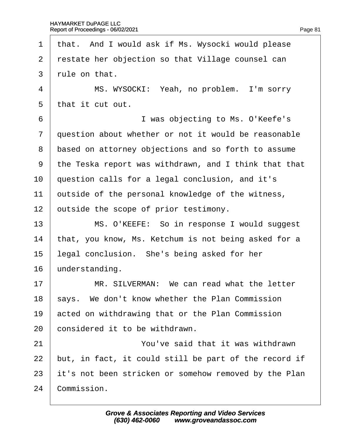1 that. And I would ask if Ms. Wysocki would please 2 restate her objection so that Village counsel can 3 rule on that. 4 | MS. WYSOCKI: Yeah, no problem. I'm sorry 5 that it cut out. 6 **I** was objecting to Ms. O'Keefe's 7 duestion about whether or not it would be reasonable 8 based on attorney objections and so forth to assume ·9· ·the Teska report was withdrawn, and I think that that 10 question calls for a legal conclusion, and it's 11 butside of the personal knowledge of the witness, 12 butside the scope of prior testimony. 13 | MS. O'KEEFE: So in response I would suggest 14 that, you know, Ms. Ketchum is not being asked for a 15 legal conclusion. She's being asked for her 16 **understanding.** 17 **I** MR, SILVERMAN: We can read what the letter 18 says. We don't know whether the Plan Commission 19 acted on withdrawing that or the Plan Commission 20 **considered it to be withdrawn.** 21 **You've said that it was withdrawn** 22 but, in fact, it could still be part of the record if 23 it's not been stricken or somehow removed by the Plan 24 Commission.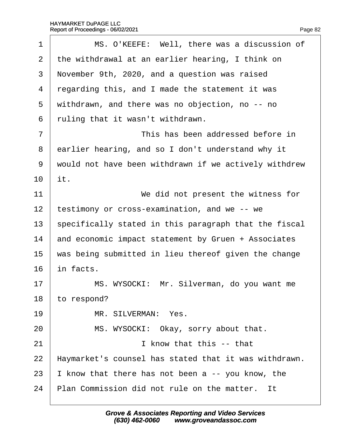| MS. O'KEEFE: Well, there was a discussion of          |
|-------------------------------------------------------|
| the withdrawal at an earlier hearing, I think on      |
| November 9th, 2020, and a question was raised         |
| regarding this, and I made the statement it was       |
| withdrawn, and there was no objection, no -- no       |
| ruling that it wasn't withdrawn.                      |
| This has been addressed before in                     |
| earlier hearing, and so I don't understand why it     |
| would not have been withdrawn if we actively withdrew |
| it.                                                   |
| We did not present the witness for                    |
| testimony or cross-examination, and we -- we          |
| specifically stated in this paragraph that the fiscal |
| and economic impact statement by Gruen + Associates   |
| was being submitted in lieu thereof given the change  |
| in facts.                                             |
| MS. WYSOCKI: Mr. Silverman, do you want me            |
| to respond?                                           |
| MR. SILVERMAN: Yes.                                   |
| MS. WYSOCKI: Okay, sorry about that.                  |
| I know that this -- that                              |
| Haymarket's counsel has stated that it was withdrawn. |
| know that there has not been a -- you know, the       |
| Plan Commission did not rule on the matter. It        |
|                                                       |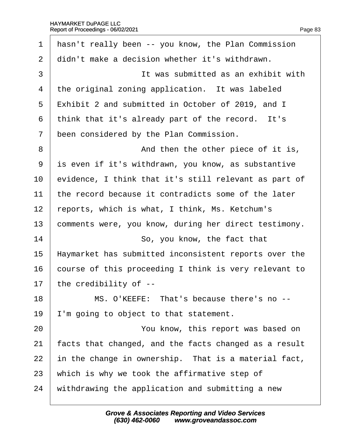| 1              | hasn't really been -- you know, the Plan Commission   |
|----------------|-------------------------------------------------------|
| 2              | didn't make a decision whether it's withdrawn.        |
| 3              | It was submitted as an exhibit with                   |
| 4              | the original zoning application. It was labeled       |
| 5              | Exhibit 2 and submitted in October of 2019, and I     |
| 6              | think that it's already part of the record. It's      |
| $\overline{7}$ | been considered by the Plan Commission.               |
| 8              | And then the other piece of it is,                    |
| 9              | is even if it's withdrawn, you know, as substantive   |
| 10             | evidence, I think that it's still relevant as part of |
| 11             | the record because it contradicts some of the later   |
| 12             | reports, which is what, I think, Ms. Ketchum's        |
| 13             | comments were, you know, during her direct testimony. |
| 14             | So, you know, the fact that                           |
| 15             | Haymarket has submitted inconsistent reports over the |
| 16             | course of this proceeding I think is very relevant to |
| 17             | the credibility of --                                 |
| 18             | MS. O'KEEFE: That's because there's no --             |
| 19             | 'm going to object to that statement.                 |
| 20             | You know, this report was based on                    |
| 21             | acts that changed, and the facts changed as a result  |
| 22             | in the change in ownership. That is a material fact,  |
| 23             | which is why we took the affirmative step of          |
| 24             | withdrawing the application and submitting a new      |
|                |                                                       |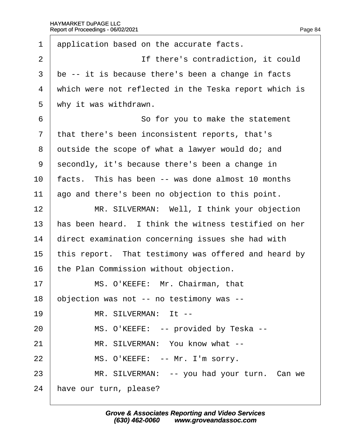| 1              | application based on the accurate facts.              |
|----------------|-------------------------------------------------------|
| $\overline{2}$ | If there's contradiction, it could                    |
| 3              | be -- it is because there's been a change in facts    |
| 4              | which were not reflected in the Teska report which is |
| 5              | why it was withdrawn.                                 |
| 6              | So for you to make the statement                      |
| $\overline{7}$ | that there's been inconsistent reports, that's        |
| 8              | dutside the scope of what a lawyer would do; and      |
| 9              | secondly, it's because there's been a change in       |
| 10             | facts. This has been -- was done almost 10 months     |
| 11             | ago and there's been no objection to this point.      |
| 12             | MR. SILVERMAN: Well, I think your objection           |
| 13             | has been heard. I think the witness testified on her  |
| 14             | direct examination concerning issues she had with     |
| 15             | this report. That testimony was offered and heard by  |
| 16             | the Plan Commission without objection.                |
| 17             | MS. O'KEEFE: Mr. Chairman, that                       |
| 18             | objection was not -- no testimony was --              |
| 19             | MR. SILVERMAN: It --                                  |
| 20             | MS. O'KEEFE: -- provided by Teska --                  |
| 21             | MR. SILVERMAN: You know what --                       |
| 22             | MS. O'KEEFE: -- Mr. I'm sorry.                        |
| 23             | MR. SILVERMAN: -- you had your turn. Can we           |
| 24             | have our turn, please?                                |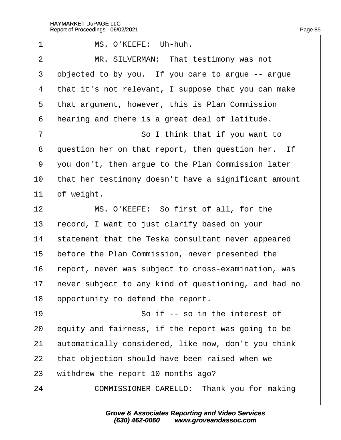$\sqrt{ }$ 

| 1              | MS. O'KEEFE: Uh-huh.                                 |
|----------------|------------------------------------------------------|
| $\overline{2}$ | MR. SILVERMAN: That testimony was not                |
| 3              | objected to by you. If you care to argue -- argue    |
| 4              | that it's not relevant, I suppose that you can make  |
| 5              | that argument, however, this is Plan Commission      |
| 6              | hearing and there is a great deal of latitude.       |
| 7              | So I think that if you want to                       |
| 8              | question her on that report, then question her. If   |
| $9\,$          | you don't, then argue to the Plan Commission later   |
| 10             | that her testimony doesn't have a significant amount |
| 11             | of weight.                                           |
| 12             | MS. O'KEEFE: So first of all, for the                |
| 13             | record, I want to just clarify based on your         |
| 14             | statement that the Teska consultant never appeared   |
| 15             | before the Plan Commission, never presented the      |
| 16             | report, never was subject to cross-examination, was  |
| 17             | hever subject to any kind of questioning, and had no |
| 18             | opportunity to defend the report.                    |
| 19             | So if -- so in the interest of                       |
| 20             | equity and fairness, if the report was going to be   |
| 21             | automatically considered, like now, don't you think  |
| 22             | that objection should have been raised when we       |
| 23             | withdrew the report 10 months ago?                   |
| 24             | COMMISSIONER CARELLO: Thank you for making           |
|                |                                                      |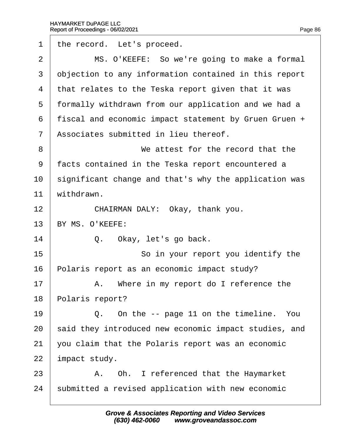$\sqrt{ }$ 

| 1              | the record. Let's proceed.                            |
|----------------|-------------------------------------------------------|
| $\overline{2}$ | MS. O'KEEFE: So we're going to make a formal          |
| 3              | objection to any information contained in this report |
| 4              | that relates to the Teska report given that it was    |
| 5              | formally withdrawn from our application and we had a  |
| 6              | fiscal and economic impact statement by Gruen Gruen + |
| $\overline{7}$ | Associates submitted in lieu thereof.                 |
| 8              | We attest for the record that the                     |
| 9              | facts contained in the Teska report encountered a     |
| 10             | significant change and that's why the application was |
| 11             | withdrawn.                                            |
| 12             | CHAIRMAN DALY: Okay, thank you.                       |
| 13             | BY MS. O'KEEFE:                                       |
| 14             | Q. Okay, let's go back.                               |
| 15             | So in your report you identify the                    |
| 16             | Polaris report as an economic impact study?           |
| 17             | A. Where in my report do I reference the              |
| 18             | Polaris report?                                       |
| 19             | Q. On the -- page 11 on the timeline. You             |
| 20             | said they introduced new economic impact studies, and |
| 21             | you claim that the Polaris report was an economic     |
| 22             | impact study.                                         |
| 23             | A. Oh. I referenced that the Haymarket                |
| 24             | submitted a revised application with new economic     |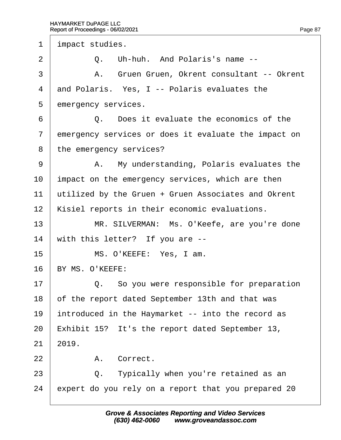1 *i*mpact studies.  $2 \quad | \quad Q$ . Uh-huh. And Polaris's name --3 | A. Gruen Gruen, Okrent consultant -- Okrent 4 and Polaris. Yes, I -- Polaris evaluates the 5 emergency services. 6 **0 Q.** Does it evaluate the economics of the 7 emergency services or does it evaluate the impact on 8 the emergency services? 9 | A. My understanding, Polaris evaluates the 10 impact on the emergency services, which are then 11  $\mu$ tilized by the Gruen + Gruen Associates and Okrent 12 Kisiel reports in their economic evaluations. 13 | MR. SILVERMAN: Ms. O'Keefe, are you're done 14 with this letter? If you are --15 | MS. O'KEEFE: Yes, I am. 16 BY MS. O'KEEFE:  $17$   $\Box$  Q. So you were responsible for preparation 18 of the report dated September 13th and that was 19 introduced in the Haymarket -- into the record as 20 Exhibit 15? It's the report dated September 13,  $21$   $2019$ . 22 | A. Correct.  $23$   $\Box$  Q. Typically when you're retained as an 24 expert do you rely on a report that you prepared 20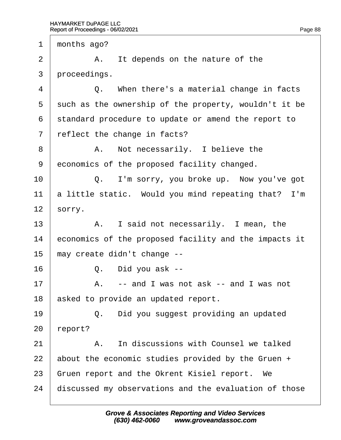1 months ago?

 $2 \mid$  A. It depends on the nature of the

3 proceedings.

 $4 \mid Q$ . When there's a material change in facts

5 such as the ownership of the property, wouldn't it be

6 standard procedure to update or amend the report to

7 reflect the change in facts?

8 | A. Not necessarily. I believe the

9 economics of the proposed facility changed.

 $10$   $\Box$  Q. I'm sorry, you broke up. Now you've got 11 a little static. Would you mind repeating that? I'm

12  $\frac{1}{2}$  sorry.

13 | A. I said not necessarily. I mean, the

14 economics of the proposed facility and the impacts it

15 may create didn't change --

 $16$   $\phantom{0}$  Q. Did you ask --

 $17$   $\parallel$  A. -- and I was not ask -- and I was not

18 asked to provide an updated report.

19  $\vert$  Q. Did you suggest providing an updated

20 report?

21 A. In discussions with Counsel we talked

22 about the economic studies provided by the Gruen  $+$ 

23 Gruen report and the Okrent Kisiel report. We

24 discussed my observations and the evaluation of those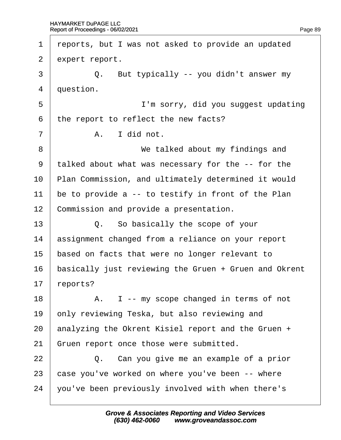| 1              | reports, but I was not asked to provide an updated    |
|----------------|-------------------------------------------------------|
| $\overline{2}$ | expert report.                                        |
| 3              | Q. But typically -- you didn't answer my              |
| 4              | duestion.                                             |
| 5              | I'm sorry, did you suggest updating                   |
| 6              | the report to reflect the new facts?                  |
| 7              | A. I did not.                                         |
| 8              | We talked about my findings and                       |
| 9              | talked about what was necessary for the -- for the    |
| 10             | Plan Commission, and ultimately determined it would   |
| 11             | be to provide a -- to testify in front of the Plan    |
| 12             | Commission and provide a presentation.                |
| 13             | Q. So basically the scope of your                     |
| 14             | assignment changed from a reliance on your report     |
| 15             | based on facts that were no longer relevant to        |
| 16             | basically just reviewing the Gruen + Gruen and Okrent |
| 17             | reports?                                              |
| 18             | A. I -- my scope changed in terms of not              |
| 19             | only reviewing Teska, but also reviewing and          |
| 20             | analyzing the Okrent Kisiel report and the Gruen +    |
| 21             | Gruen report once those were submitted.               |
| 22             | Q. Can you give me an example of a prior              |
| 23             | case you've worked on where you've been -- where      |
| 24             | you've been previously involved with when there's     |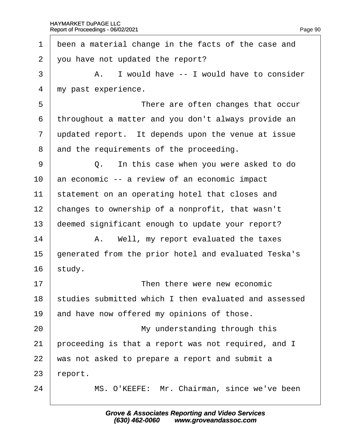| 1              | been a material change in the facts of the case and   |
|----------------|-------------------------------------------------------|
| $\overline{2}$ | you have not updated the report?                      |
| 3              | A. I would have -- I would have to consider           |
| 4              | my past experience.                                   |
| 5              | There are often changes that occur                    |
| 6              | throughout a matter and you don't always provide an   |
| $\overline{7}$ | updated report. It depends upon the venue at issue    |
| 8              | and the requirements of the proceeding.               |
| 9              | Q. In this case when you were asked to do             |
| 10             | an economic -- a review of an economic impact         |
| 11             | statement on an operating hotel that closes and       |
| 12             | changes to ownership of a nonprofit, that wasn't      |
| 13             | deemed significant enough to update your report?      |
| 14             | A. Well, my report evaluated the taxes                |
| 15             | generated from the prior hotel and evaluated Teska's  |
| 16             | study.                                                |
| 17             | Then there were new economic                          |
| 18             | studies submitted which I then evaluated and assessed |
| 19             | and have now offered my opinions of those.            |
| 20             | My understanding through this                         |
| 21             | proceeding is that a report was not required, and I   |
| 22             | was not asked to prepare a report and submit a        |
| 23             | report.                                               |
| 24             | MS. O'KEEFE: Mr. Chairman, since we've been           |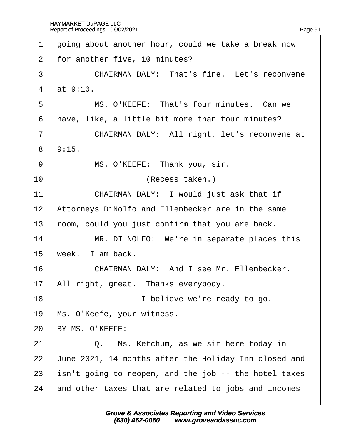| 1              | going about another hour, could we take a break now   |
|----------------|-------------------------------------------------------|
| 2              | for another five, 10 minutes?                         |
| 3              | <b>CHAIRMAN DALY: That's fine. Let's reconvene</b>    |
| $\overline{4}$ | at 9:10.                                              |
| 5              | MS. O'KEEFE: That's four minutes. Can we              |
| 6              | have, like, a little bit more than four minutes?      |
| 7              | CHAIRMAN DALY: All right, let's reconvene at          |
| 8              | 9:15.                                                 |
| 9              | MS. O'KEEFE: Thank you, sir.                          |
| 10             | (Recess taken.)                                       |
| 11             | CHAIRMAN DALY: I would just ask that if               |
| 12             | Attorneys DiNolfo and Ellenbecker are in the same     |
| 13             | room, could you just confirm that you are back.       |
| 14             | MR. DI NOLFO: We're in separate places this           |
| 15             | week. I am back.                                      |
| 16             | CHAIRMAN DALY: And I see Mr. Ellenbecker.             |
| 17             | All right, great. Thanks everybody.                   |
| 18             | I believe we're ready to go.                          |
| 19             | Ms. O'Keefe, your witness.                            |
| 20             | BY MS. O'KEEFE:                                       |
| 21             | Q. Ms. Ketchum, as we sit here today in               |
| 22             | June 2021, 14 months after the Holiday Inn closed and |
| 23             | isn't going to reopen, and the job -- the hotel taxes |
| 24             | and other taxes that are related to jobs and incomes  |
|                |                                                       |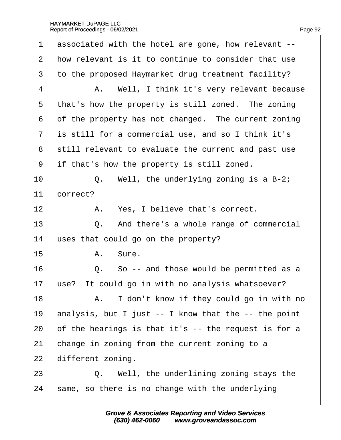| 1              | associated with the hotel are gone, how relevant --  |
|----------------|------------------------------------------------------|
| $\overline{2}$ | how relevant is it to continue to consider that use  |
| 3              | to the proposed Haymarket drug treatment facility?   |
| $\overline{4}$ | A. Well, I think it's very relevant because          |
| 5              | that's how the property is still zoned. The zoning   |
| 6              | of the property has not changed. The current zoning  |
| $\overline{7}$ | is still for a commercial use, and so I think it's   |
| 8              | still relevant to evaluate the current and past use  |
| 9              | if that's how the property is still zoned.           |
| 10             | Q. Well, the underlying zoning is a B-2;             |
| 11             | correct?                                             |
| 12             | A. Yes, I believe that's correct.                    |
| 13             | Q. And there's a whole range of commercial           |
| 14             | uses that could go on the property?                  |
| 15             | A. Sure.                                             |
| 16             | Q. So -- and those would be permitted as a           |
| 17             | use? It could go in with no analysis whatsoever?     |
| 18             | A. I don't know if they could go in with no          |
| 19             | analysis, but I just -- I know that the -- the point |
| 20             | of the hearings is that it's -- the request is for a |
| 21             | change in zoning from the current zoning to a        |
| 22             | different zoning.                                    |
| 23             | Q. Well, the underlining zoning stays the            |
| 24             | same, so there is no change with the underlying      |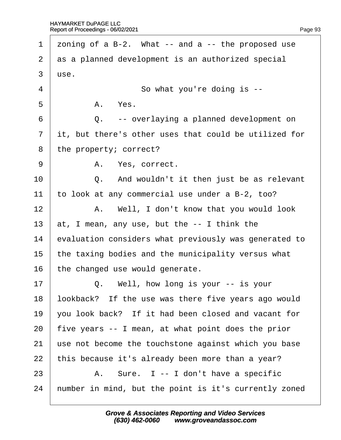| 1              | zoning of a B-2. What -- and a -- the proposed use    |
|----------------|-------------------------------------------------------|
| 2              | as a planned development is an authorized special     |
| 3              | use.                                                  |
| 4              | So what you're doing is --                            |
| 5              | A. Yes.                                               |
| 6              | Q. -- overlaying a planned development on             |
| $\overline{7}$ | it, but there's other uses that could be utilized for |
| 8              | the property; correct?                                |
| 9              | A. Yes, correct.                                      |
| 10             | Q. And wouldn't it then just be as relevant           |
| 11             | to look at any commercial use under a B-2, too?       |
| 12             | A. Well, I don't know that you would look             |
| 13             | at, I mean, any use, but the -- I think the           |
| 14             | evaluation considers what previously was generated to |
| 15             | the taxing bodies and the municipality versus what    |
| 16             | the changed use would generate.                       |
| 17             | Q. Well, how long is your -- is your                  |
| 18             | lookback? If the use was there five years ago would   |
| 19             | you look back? If it had been closed and vacant for   |
| 20             | five years -- I mean, at what point does the prior    |
| 21             | use not become the touchstone against which you base  |
| 22             | this because it's already been more than a year?      |
| 23             | A. Sure. I -- I don't have a specific                 |
| 24             | humber in mind, but the point is it's currently zoned |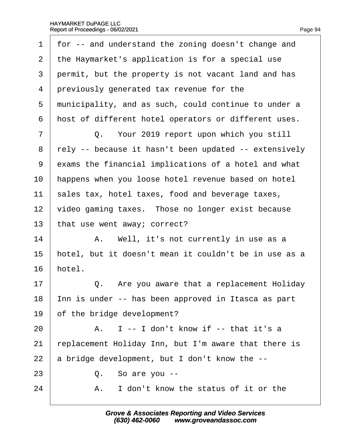|  | Page 94 |
|--|---------|

| 1              | for -- and understand the zoning doesn't change and   |
|----------------|-------------------------------------------------------|
| $\overline{2}$ | the Haymarket's application is for a special use      |
| 3              | permit, but the property is not vacant land and has   |
| 4              | previously generated tax revenue for the              |
| 5              | municipality, and as such, could continue to under a  |
| 6              | host of different hotel operators or different uses.  |
| $\overline{7}$ | Q. Your 2019 report upon which you still              |
| 8              | rely -- because it hasn't been updated -- extensively |
| 9              | exams the financial implications of a hotel and what  |
| 10             | happens when you loose hotel revenue based on hotel   |
| 11             | sales tax, hotel taxes, food and beverage taxes,      |
| 12             | video gaming taxes. Those no longer exist because     |
| 13             | that use went away; correct?                          |
| 14             | A. Well, it's not currently in use as a               |
| 15             | hotel, but it doesn't mean it couldn't be in use as a |
| 16             | hotel.                                                |
| 17             | Q. Are you aware that a replacement Holiday           |
| 18             | Inn is under -- has been approved in Itasca as part   |
| 19             | of the bridge development?                            |
| 20             | A. I -- I don't know if -- that it's a                |
| 21             | replacement Holiday Inn, but I'm aware that there is  |
| 22             | a bridge development, but I don't know the --         |
| 23             | Q. So are you --                                      |
| 24             | I don't know the status of it or the<br>А.            |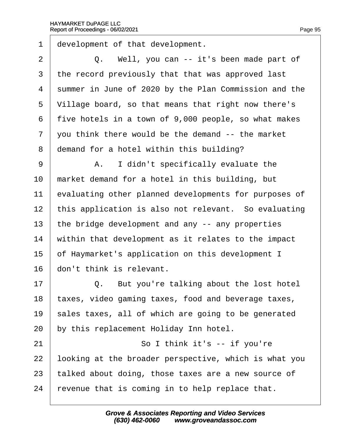Г

| 1              | development of that development.                      |
|----------------|-------------------------------------------------------|
| $\overline{2}$ | Q. Well, you can -- it's been made part of            |
| 3              | the record previously that that was approved last     |
| 4              | summer in June of 2020 by the Plan Commission and the |
| 5              | Village board, so that means that right now there's   |
| 6              | five hotels in a town of 9,000 people, so what makes  |
| 7              | you think there would be the demand -- the market     |
| 8              | demand for a hotel within this building?              |
| 9              | A. I didn't specifically evaluate the                 |
| 10             | market demand for a hotel in this building, but       |
| 11             | evaluating other planned developments for purposes of |
| 12             | this application is also not relevant. So evaluating  |
| 13             | the bridge development and any -- any properties      |
| 14             | within that development as it relates to the impact   |
| 15             | of Haymarket's application on this development I      |
| 16             | don't think is relevant.                              |
| 17             | Q. But you're talking about the lost hotel            |
| 18             | taxes, video gaming taxes, food and beverage taxes,   |
| 19             | sales taxes, all of which are going to be generated   |
| 20             | by this replacement Holiday Inn hotel.                |
| 21             | So I think it's -- if you're                          |
| 22             | looking at the broader perspective, which is what you |
| 23             | talked about doing, those taxes are a new source of   |
| 24             | revenue that is coming in to help replace that.       |
|                |                                                       |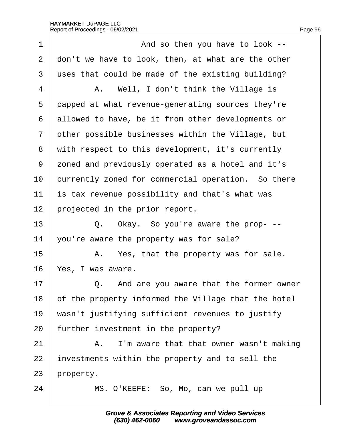| 1              | And so then you have to look --                     |
|----------------|-----------------------------------------------------|
| $\overline{2}$ | don't we have to look, then, at what are the other  |
| 3              | uses that could be made of the existing building?   |
| $\overline{4}$ | A. Well, I don't think the Village is               |
| 5              | dapped at what revenue-generating sources they're   |
| 6              | allowed to have, be it from other developments or   |
| $\overline{7}$ | other possible businesses within the Village, but   |
| 8              | with respect to this development, it's currently    |
| 9              | zoned and previously operated as a hotel and it's   |
| 10             | currently zoned for commercial operation. So there  |
| 11             | is tax revenue possibility and that's what was      |
| 12             | projected in the prior report.                      |
| 13             | Q. Okay. So you're aware the prop- --               |
| 14             | you're aware the property was for sale?             |
| 15             | A. Yes, that the property was for sale.             |
| 16             | Yes, I was aware.                                   |
| 17             | Q. And are you aware that the former owner          |
| 18             | of the property informed the Village that the hotel |
| 19             | wasn't justifying sufficient revenues to justify    |
| 20             | further investment in the property?                 |
| 21             | A. I'm aware that that owner wasn't making          |
| 22             | investments within the property and to sell the     |
| 23             | property.                                           |
| 24             | MS. O'KEEFE: So, Mo, can we pull up                 |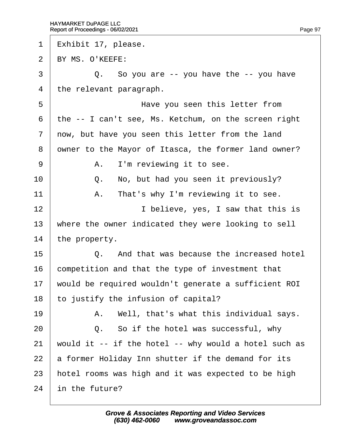- 1 Exhibit 17, please. 2 BY MS. O'KEEFE:
- $\overline{3}$   $\overline{Q}$ . So you are -- you have the -- you have
- 4 the relevant paragraph.
- 5 **I EXECUTE:** Have you seen this letter from
- ·6· ·the -- I can't see, Ms. Ketchum, on the screen right
- 7 now, but have you seen this letter from the land
- 8 dwner to the Mayor of Itasca, the former land owner?
- $9 \mid$  A. I'm reviewing it to see.
- $10$   $\Box$  Q. No, but had you seen it previously?
- 11  $\parallel$  A. That's why I'm reviewing it to see.
- 12 **I** believe, yes, I saw that this is
- 13 where the owner indicated they were looking to sell
- 14 the property.
- $15 \quad | \quad Q$  And that was because the increased hotel
- 16 competition and that the type of investment that
- 17 would be required wouldn't generate a sufficient ROI
- 18 to justify the infusion of capital?
- 19  $\parallel$  A. Well, that's what this individual says.
- $20$   $\vert$  Q. So if the hotel was successful, why
- 21 would it  $-$  if the hotel  $-$  why would a hotel such as
- 22 a former Holiday Inn shutter if the demand for its
- 23 hotel rooms was high and it was expected to be high
- 24 in the future?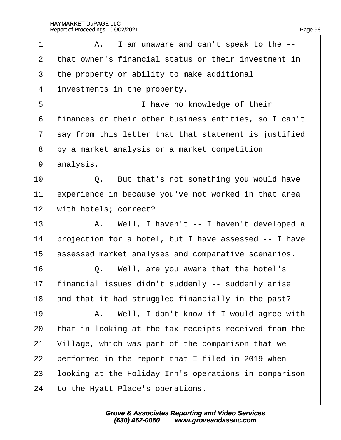| 1              | A. I am unaware and can't speak to the --             |
|----------------|-------------------------------------------------------|
| $\overline{2}$ | that owner's financial status or their investment in  |
| 3              | the property or ability to make additional            |
| 4              | investments in the property.                          |
| 5              | I have no knowledge of their                          |
| 6              | finances or their other business entities, so I can't |
| $\overline{7}$ | say from this letter that that statement is justified |
| 8              | by a market analysis or a market competition          |
| 9              | analysis.                                             |
| 10             | Q. But that's not something you would have            |
| 11             | experience in because you've not worked in that area  |
| 12             | with hotels; correct?                                 |
| 13             | A. Well, I haven't -- I haven't developed a           |
| 14             | projection for a hotel, but I have assessed -- I have |
| 15             | assessed market analyses and comparative scenarios.   |
| 16             | Q. Well, are you aware that the hotel's               |
| 17             | financial issues didn't suddenly -- suddenly arise    |
| 18             | and that it had struggled financially in the past?    |
| 19             | A. Well, I don't know if I would agree with           |
| 20             | that in looking at the tax receipts received from the |
| 21             | Village, which was part of the comparison that we     |
| 22             | performed in the report that I filed in 2019 when     |
| 23             | looking at the Holiday Inn's operations in comparison |
| 24             | to the Hyatt Place's operations.                      |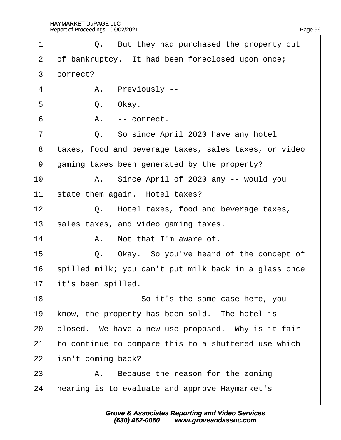| 1              |          | Q. But they had purchased the property out            |
|----------------|----------|-------------------------------------------------------|
| 2              |          | of bankruptcy. It had been foreclosed upon once;      |
| 3              | dorrect? |                                                       |
| 4              |          | A. Previously --                                      |
| 5              | Q.       | Okay.                                                 |
| 6              | А.       | -- correct.                                           |
| $\overline{7}$ |          | Q. So since April 2020 have any hotel                 |
| 8              |          | taxes, food and beverage taxes, sales taxes, or video |
| 9              |          | gaming taxes been generated by the property?          |
| 10             |          | A. Since April of 2020 any -- would you               |
| 11             |          | state them again. Hotel taxes?                        |
| 12             |          | Q. Hotel taxes, food and beverage taxes,              |
| 13             |          | sales taxes, and video gaming taxes.                  |
| 14             |          | A. Not that I'm aware of.                             |
| 15             |          | Q. Okay. So you've heard of the concept of            |
| 16             |          | spilled milk; you can't put milk back in a glass once |
| 17             |          | it's been spilled.                                    |
| 18             |          | So it's the same case here, you                       |
| 19             |          | know, the property has been sold. The hotel is        |
| 20             |          | closed. We have a new use proposed. Why is it fair    |
| 21             |          | to continue to compare this to a shuttered use which  |
| 22             |          | sn't coming back?                                     |
| 23             |          | A. Because the reason for the zoning                  |
| 24             |          | hearing is to evaluate and approve Haymarket's        |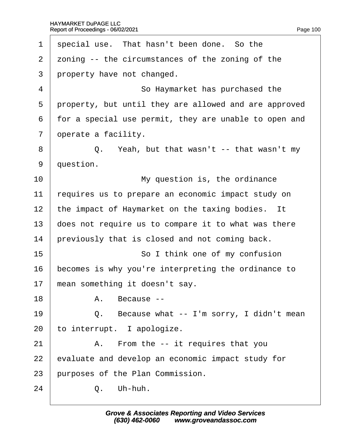| special use. That hasn't been done. So the            |
|-------------------------------------------------------|
| zoning -- the circumstances of the zoning of the      |
| property have not changed.                            |
| So Haymarket has purchased the                        |
| property, but until they are allowed and are approved |
| for a special use permit, they are unable to open and |
| operate a facility.                                   |
| Q. Yeah, but that wasn't -- that wasn't my            |
| question.                                             |
| My question is, the ordinance                         |
| requires us to prepare an economic impact study on    |
| the impact of Haymarket on the taxing bodies. It      |
| does not require us to compare it to what was there   |
| previously that is closed and not coming back.        |
| So I think one of my confusion                        |
| becomes is why you're interpreting the ordinance to   |
| mean something it doesn't say.                        |
| A. Because --                                         |
| Q. Because what -- I'm sorry, I didn't mean           |
| to interrupt. I apologize.                            |
| A. From the -- it requires that you                   |
| evaluate and develop an economic impact study for     |
| purposes of the Plan Commission.                      |
| Q. Uh-huh.                                            |
|                                                       |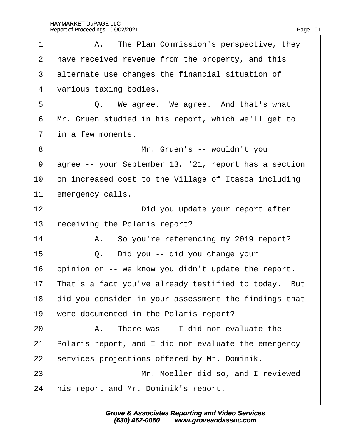| 1              | A. The Plan Commission's perspective, they            |
|----------------|-------------------------------------------------------|
| 2              | have received revenue from the property, and this     |
| 3              | alternate use changes the financial situation of      |
| $\overline{4}$ | various taxing bodies.                                |
| 5              | Q. We agree. We agree. And that's what                |
| 6              | Mr. Gruen studied in his report, which we'll get to   |
| $\overline{7}$ | in a few moments.                                     |
| 8              | Mr. Gruen's -- wouldn't you                           |
| 9              | agree -- your September 13, '21, report has a section |
| 10             | on increased cost to the Village of Itasca including  |
| 11             | emergency calls.                                      |
| 12             | Did you update your report after                      |
| 13             | eceiving the Polaris report?                          |
| 14             | A. So you're referencing my 2019 report?              |
| 15             | Did you -- did you change your<br>Q.                  |
| 16             | opinion or -- we know you didn't update the report.   |
| 17             | That's a fact you've already testified to today. But  |
| 18             | did you consider in your assessment the findings that |
| 19             | were documented in the Polaris report?                |
| 20             | A. There was -- I did not evaluate the                |
| 21             | Polaris report, and I did not evaluate the emergency  |
| 22             | services projections offered by Mr. Dominik.          |
| 23             | Mr. Moeller did so, and I reviewed                    |
| 24             | his report and Mr. Dominik's report.                  |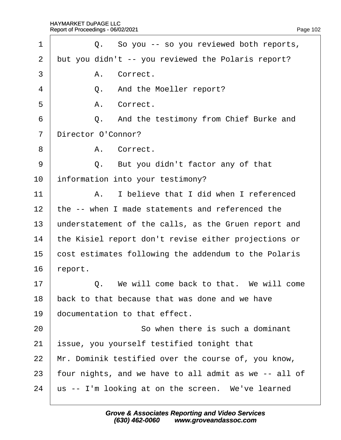| 1               | Q. So you -- so you reviewed both reports,            |
|-----------------|-------------------------------------------------------|
| 2               | but you didn't -- you reviewed the Polaris report?    |
| 3               | A. Correct.                                           |
| 4               | Q. And the Moeller report?                            |
| 5               | A. Correct.                                           |
| 6               | Q. And the testimony from Chief Burke and             |
| $\overline{7}$  | Director O'Connor?                                    |
| 8               | A. Correct.                                           |
| 9               | Q. But you didn't factor any of that                  |
| 10              | information into your testimony?                      |
| 11              | I believe that I did when I referenced<br>А.          |
| 12 <sub>2</sub> | the -- when I made statements and referenced the      |
| 13              | understatement of the calls, as the Gruen report and  |
| 14              | the Kisiel report don't revise either projections or  |
| 15              | cost estimates following the addendum to the Polaris  |
| 16              | report.                                               |
| 17              | Q. We will come back to that. We will come            |
| 18              | back to that because that was done and we have        |
| 19              | documentation to that effect.                         |
| 20              | So when there is such a dominant                      |
| 21              | ssue, you yourself testified tonight that             |
| 22              | Mr. Dominik testified over the course of, you know,   |
| 23              | four nights, and we have to all admit as we -- all of |
| 24              | us -- I'm looking at on the screen. We've learned     |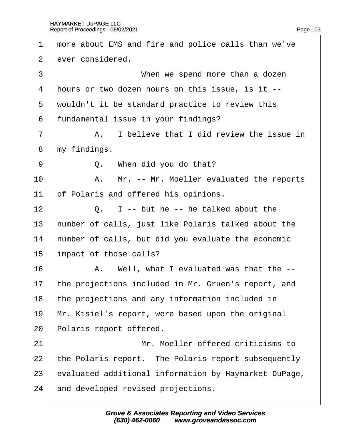| 1              | more about EMS and fire and police calls than we've   |
|----------------|-------------------------------------------------------|
| $\overline{2}$ | ever considered.                                      |
| 3              | When we spend more than a dozen                       |
| 4              | hours or two dozen hours on this issue, is it --      |
| 5              | wouldn't it be standard practice to review this       |
| 6              | fundamental issue in your findings?                   |
| $\overline{7}$ | A. I believe that I did review the issue in           |
| 8              | my findings.                                          |
| 9              | Q. When did you do that?                              |
| 10             | A. Mr. -- Mr. Moeller evaluated the reports           |
| 11             | of Polaris and offered his opinions.                  |
| 12             | Q. I -- but he -- he talked about the                 |
| 13             | humber of calls, just like Polaris talked about the   |
| 14             | humber of calls, but did you evaluate the economic    |
| 15             | impact of those calls?                                |
| 16             | A. Well, what I evaluated was that the --             |
| 17             | the projections included in Mr. Gruen's report, and   |
| 18             | the projections and any information included in       |
| 19             | Mr. Kisiel's report, were based upon the original     |
| 20             | Polaris report offered.                               |
| 21             | Mr. Moeller offered criticisms to                     |
| 22             | the Polaris report. The Polaris report subsequently   |
| 23             | evaluated additional information by Haymarket DuPage, |
| 24             | and developed revised projections.                    |
|                |                                                       |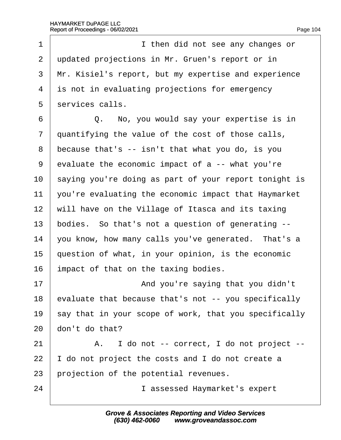| 1              | I then did not see any changes or                     |
|----------------|-------------------------------------------------------|
| $\overline{2}$ | updated projections in Mr. Gruen's report or in       |
| 3              | Mr. Kisiel's report, but my expertise and experience  |
| 4              | is not in evaluating projections for emergency        |
| 5              | services calls.                                       |
| 6              | Q. No, you would say your expertise is in             |
| 7              | quantifying the value of the cost of those calls,     |
| 8              | because that's -- isn't that what you do, is you      |
| 9              | evaluate the economic impact of a -- what you're      |
| 10             | saying you're doing as part of your report tonight is |
| 11             | you're evaluating the economic impact that Haymarket  |
| 12             | will have on the Village of Itasca and its taxing     |
| 13             | bodies. So that's not a question of generating --     |
| 14             | you know, how many calls you've generated. That's a   |
| 15             | question of what, in your opinion, is the economic    |
| 16             | impact of that on the taxing bodies.                  |
| 17             | And you're saying that you didn't                     |
| 18             | evaluate that because that's not -- you specifically  |
| 19             | say that in your scope of work, that you specifically |
| 20             | don't do that?                                        |
| 21             | A. I do not -- correct, I do not project --           |
| 22             | do not project the costs and I do not create a        |
| 23             | projection of the potential revenues.                 |
| 24             | I assessed Haymarket's expert                         |
|                |                                                       |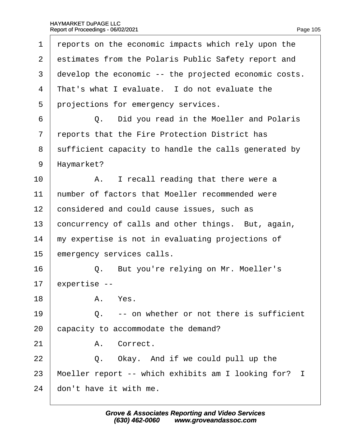| 1              | reports on the economic impacts which rely upon the   |
|----------------|-------------------------------------------------------|
| $\overline{2}$ | estimates from the Polaris Public Safety report and   |
| 3              | develop the economic -- the projected economic costs. |
| 4              | That's what I evaluate. I do not evaluate the         |
| 5              | projections for emergency services.                   |
| 6              | Q. Did you read in the Moeller and Polaris            |
| $\overline{7}$ | reports that the Fire Protection District has         |
| 8              | sufficient capacity to handle the calls generated by  |
| 9              | Haymarket?                                            |
| 10             | A. I recall reading that there were a                 |
| 11             | humber of factors that Moeller recommended were       |
| 12             | considered and could cause issues, such as            |
| 13             | concurrency of calls and other things. But, again,    |
| 14             | my expertise is not in evaluating projections of      |
| 15             | emergency services calls.                             |
| 16             | But you're relying on Mr. Moeller's<br>Q.             |
| 17             | expertise --                                          |
| 18             | A. Yes.                                               |
| 19             | Q. -- on whether or not there is sufficient           |
| 20             | capacity to accommodate the demand?                   |
| 21             | A. Correct.                                           |
| 22             | Q. Okay. And if we could pull up the                  |
| 23             | Moeller report -- which exhibits am I looking for? I  |
| 24             | don't have it with me.                                |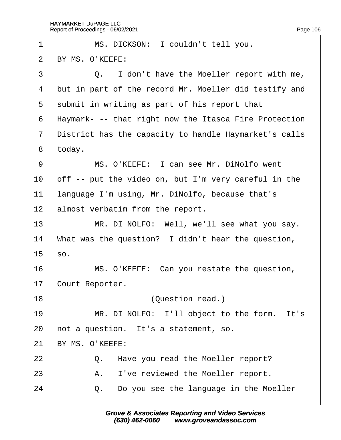| 1              | MS. DICKSON: I couldn't tell you.                     |
|----------------|-------------------------------------------------------|
| 2              | BY MS. O'KEEFE:                                       |
| 3              | Q. I don't have the Moeller report with me,           |
| 4              | but in part of the record Mr. Moeller did testify and |
| 5              | submit in writing as part of his report that          |
| 6              | Haymark- -- that right now the Itasca Fire Protection |
| $\overline{7}$ | District has the capacity to handle Haymarket's calls |
| 8              | today.                                                |
| 9              | MS. O'KEEFE: I can see Mr. DiNolfo went               |
| 10             | off -- put the video on, but I'm very careful in the  |
| 11             | language I'm using, Mr. DiNolfo, because that's       |
| 12             | almost verbatim from the report.                      |
| 13             | MR. DI NOLFO: Well, we'll see what you say.           |
| 14             | What was the question? I didn't hear the question,    |
| 15             | \$0.                                                  |
| 16             | MS. O'KEEFE: Can you restate the question,            |
| 17             | Court Reporter.                                       |
| 18             | (Question read.)                                      |
| 19             | MR. DI NOLFO: I'll object to the form. It's           |
| 20             | not a question. It's a statement, so.                 |
| 21             | BY MS. O'KEEFE:                                       |
| 22             | Q. Have you read the Moeller report?                  |
| 23             | I've reviewed the Moeller report.<br>А.               |
| 24             | Do you see the language in the Moeller<br>Q.          |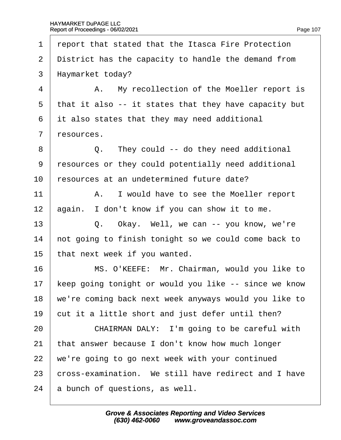·1· ·report that stated that the Itasca Fire Protection 2 District has the capacity to handle the demand from 3 Haymarket today? 4 | A. My recollection of the Moeller report is 5 that it also -- it states that they have capacity but ·6· ·it also states that they may need additional 7 resources.  $8 \mid$  Q. They could -- do they need additional ·9· ·resources or they could potentially need additional 10 resources at an undetermined future date? 11 | A. I would have to see the Moeller report 12 again. I don't know if you can show it to me. 13  $\vert$  Q. Okay. Well, we can -- you know, we're 14 hot going to finish tonight so we could come back to 15 that next week if you wanted. 16 | MS. O'KEEFE: Mr. Chairman, would you like to 17 keep going tonight or would you like -- since we know 18 we're coming back next week anyways would you like to 19 cut it a little short and just defer until then? 20 **CHAIRMAN DALY:** I'm going to be careful with 21 that answer because I don't know how much longer 22 we're going to go next week with your continued 23 **cross-examination.** We still have redirect and I have 24 a bunch of questions, as well.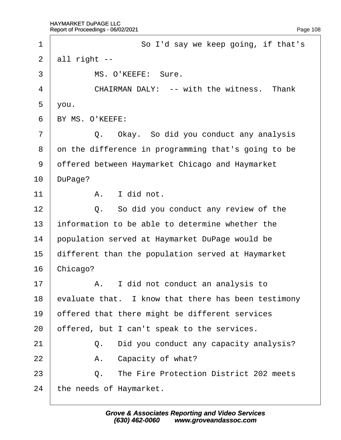<span id="page-108-0"></span>

| 1              |                 | So I'd say we keep going, if that's                 |
|----------------|-----------------|-----------------------------------------------------|
| $\overline{2}$ | all right --    |                                                     |
| 3              |                 | MS. O'KEEFE: Sure.                                  |
| 4              |                 | <b>CHAIRMAN DALY: -- with the witness. Thank</b>    |
| 5              | you.            |                                                     |
| 6              | BY MS. O'KEEFE: |                                                     |
| 7              |                 | Q. Okay. So did you conduct any analysis            |
| 8              |                 | on the difference in programming that's going to be |
| 9              |                 | dffered between Haymarket Chicago and Haymarket     |
| 10             | DuPage?         |                                                     |
| 11             |                 | A. I did not.                                       |
| 12             |                 | Q. So did you conduct any review of the             |
| 13             |                 | information to be able to determine whether the     |
| 14             |                 | population served at Haymarket DuPage would be      |
| 15             |                 | different than the population served at Haymarket   |
| 16             | Chicago?        |                                                     |
| 17             |                 | A. I did not conduct an analysis to                 |
| 18             |                 | evaluate that. I know that there has been testimony |
| 19             |                 | offered that there might be different services      |
| 20             |                 | offered, but I can't speak to the services.         |
| 21             |                 | Q. Did you conduct any capacity analysis?           |
| 22             |                 | A. Capacity of what?                                |
| 23             | Q.              | The Fire Protection District 202 meets              |
| 24             |                 | the needs of Haymarket.                             |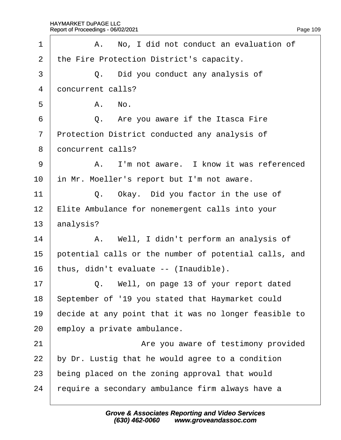<span id="page-109-0"></span>

| 1              | A. No, I did not conduct an evaluation of             |
|----------------|-------------------------------------------------------|
| $\overline{2}$ | the Fire Protection District's capacity.              |
| 3              | Q. Did you conduct any analysis of                    |
| 4              | doncurrent calls?                                     |
| 5              | A. No.                                                |
| 6              | Q. Are you aware if the Itasca Fire                   |
| $\overline{7}$ | Protection District conducted any analysis of         |
| 8              | doncurrent calls?                                     |
| 9              | A. I'm not aware. I know it was referenced            |
| 10             | in Mr. Moeller's report but I'm not aware.            |
| 11             | Q. Okay. Did you factor in the use of                 |
| 12             | Elite Ambulance for nonemergent calls into your       |
| 13             | analysis?                                             |
| 14             | A. Well, I didn't perform an analysis of              |
| 15             | potential calls or the number of potential calls, and |
| 16             | thus, didn't evaluate -- (Inaudible).                 |
| 17             | Q. Well, on page 13 of your report dated              |
| 18             | September of '19 you stated that Haymarket could      |
| 19             | decide at any point that it was no longer feasible to |
| 20             | employ a private ambulance.                           |
| 21             | Are you aware of testimony provided                   |
| 22             | by Dr. Lustig that he would agree to a condition      |
| 23             | being placed on the zoning approval that would        |
| 24             | require a secondary ambulance firm always have a      |
|                |                                                       |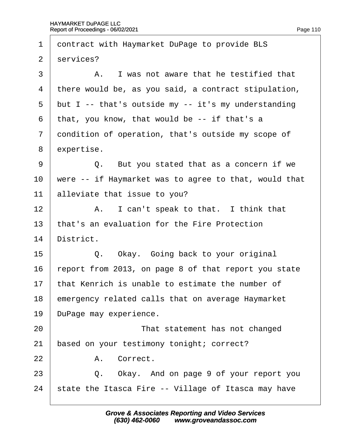<span id="page-110-0"></span>

| 1              | dontract with Haymarket DuPage to provide BLS         |
|----------------|-------------------------------------------------------|
| $\overline{2}$ | services?                                             |
| 3              | A. I was not aware that he testified that             |
| 4              | there would be, as you said, a contract stipulation,  |
| 5              | but I -- that's outside my -- it's my understanding   |
| 6              | that, you know, that would be -- if that's a          |
| $\overline{7}$ | dondition of operation, that's outside my scope of    |
| 8              | expertise.                                            |
| 9              | Q. But you stated that as a concern if we             |
| 10             | were -- if Haymarket was to agree to that, would that |
| 11             | alleviate that issue to you?                          |
| 12             | A. I can't speak to that. I think that                |
| 13             | that's an evaluation for the Fire Protection          |
| 14             | District.                                             |
| 15             | Q. Okay. Going back to your original                  |
| 16             | report from 2013, on page 8 of that report you state  |
| 17             | that Kenrich is unable to estimate the number of      |
| 18             | emergency related calls that on average Haymarket     |
| 19             | DuPage may experience.                                |
| 20             | That statement has not changed                        |
| 21             | based on your testimony tonight; correct?             |
| 22             | A. Correct.                                           |
| 23             | Q. Okay. And on page 9 of your report you             |
| 24             | state the Itasca Fire -- Village of Itasca may have   |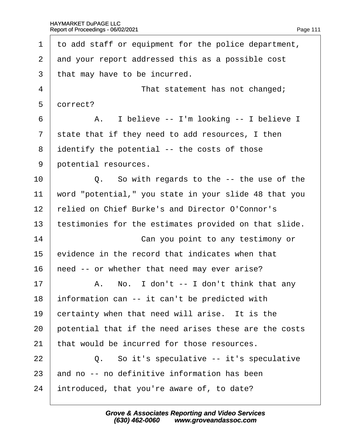<span id="page-111-0"></span>

| 1              | to add staff or equipment for the police department,  |
|----------------|-------------------------------------------------------|
| 2              | and your report addressed this as a possible cost     |
| 3              | that may have to be incurred.                         |
| 4              | That statement has not changed;                       |
| 5              | dorrect?                                              |
| 6              | A. I believe -- I'm looking -- I believe I            |
| $\overline{7}$ | state that if they need to add resources, I then      |
| 8              | identify the potential -- the costs of those          |
| 9              | potential resources.                                  |
| 10             | Q. So with regards to the -- the use of the           |
| 11             | word "potential," you state in your slide 48 that you |
| 12             | relied on Chief Burke's and Director O'Connor's       |
| 13             | testimonies for the estimates provided on that slide. |
| 14             | Can you point to any testimony or                     |
| 15             | evidence in the record that indicates when that       |
| 16             | heed -- or whether that need may ever arise?          |
| 17             | A. No. I don't -- I don't think that any              |
| 18             | information can -- it can't be predicted with         |
| 19             | certainty when that need will arise. It is the        |
| 20             | potential that if the need arises these are the costs |
| 21             | that would be incurred for those resources.           |
| 22             | Q. So it's speculative -- it's speculative            |
| 23             | and no -- no definitive information has been          |
| 24             | introduced, that you're aware of, to date?            |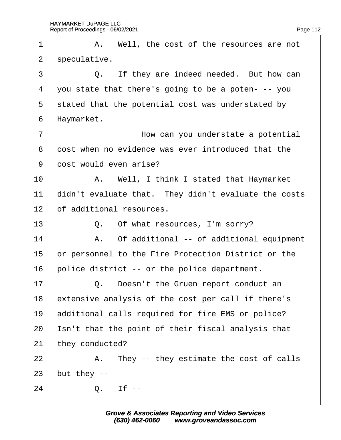<span id="page-112-0"></span>

| 1               |              | A. Well, the cost of the resources are not           |
|-----------------|--------------|------------------------------------------------------|
| $\overline{2}$  | speculative. |                                                      |
| 3               |              | Q. If they are indeed needed. But how can            |
| 4               |              | you state that there's going to be a poten- -- you   |
| 5               |              | stated that the potential cost was understated by    |
| 6               | Haymarket.   |                                                      |
| 7               |              | How can you understate a potential                   |
| 8               |              | dost when no evidence was ever introduced that the   |
| 9               |              | dost would even arise?                               |
| 10              |              | A. Well, I think I stated that Haymarket             |
| 11              |              | didn't evaluate that. They didn't evaluate the costs |
| 12 <sub>2</sub> |              | of additional resources.                             |
| 13              |              | Q. Of what resources, I'm sorry?                     |
| 14              |              | A. Of additional -- of additional equipment          |
| 15              |              | or personnel to the Fire Protection District or the  |
| 16              |              | police district -- or the police department.         |
| 17              |              | Q. Doesn't the Gruen report conduct an               |
| 18              |              | extensive analysis of the cost per call if there's   |
| 19              |              | additional calls required for fire EMS or police?    |
| 20              |              | Isn't that the point of their fiscal analysis that   |
| 21              |              | they conducted?                                      |
| 22              |              | A. They -- they estimate the cost of calls           |
| 23              | but they --  |                                                      |
| 24              |              | $Q.$ If $-$                                          |
|                 |              |                                                      |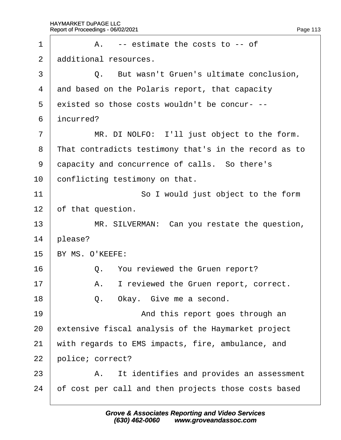<span id="page-113-0"></span>

| 1              | A. -- estimate the costs to -- of                     |
|----------------|-------------------------------------------------------|
| $\overline{2}$ | additional resources.                                 |
| 3              | Q. But wasn't Gruen's ultimate conclusion,            |
| 4              | and based on the Polaris report, that capacity        |
| 5              | existed so those costs wouldn't be concur---          |
| 6              | incurred?                                             |
| 7              | MR. DI NOLFO: I'll just object to the form.           |
| 8              | That contradicts testimony that's in the record as to |
| 9              | dapacity and concurrence of calls. So there's         |
| 10             | conflicting testimony on that.                        |
| 11             | So I would just object to the form                    |
| 12             | of that question.                                     |
| 13             | MR. SILVERMAN: Can you restate the question,          |
| 14             | please?                                               |
| 15             | BY MS. O'KEEFE:                                       |
| 16             | Q. You reviewed the Gruen report?                     |
| 17             | I reviewed the Gruen report, correct.<br>А.           |
| 18             | Q. Okay. Give me a second.                            |
| 19             | And this report goes through an                       |
| 20             | extensive fiscal analysis of the Haymarket project    |
| 21             | with regards to EMS impacts, fire, ambulance, and     |
| 22             | police; correct?                                      |
| 23             | A. It identifies and provides an assessment           |
| 24             | of cost per call and then projects those costs based  |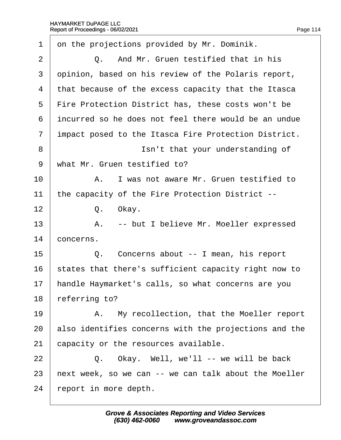<span id="page-114-0"></span>

| 1              | on the projections provided by Mr. Dominik.           |
|----------------|-------------------------------------------------------|
| $\overline{2}$ | Q. And Mr. Gruen testified that in his                |
| 3              | dpinion, based on his review of the Polaris report,   |
| 4              | that because of the excess capacity that the Itasca   |
| 5              | Fire Protection District has, these costs won't be    |
| 6              | incurred so he does not feel there would be an undue  |
| $\overline{7}$ | impact posed to the Itasca Fire Protection District.  |
| 8              | Isn't that your understanding of                      |
| 9              | what Mr. Gruen testified to?                          |
| 10             | A. I was not aware Mr. Gruen testified to             |
| 11             | the capacity of the Fire Protection District --       |
| 12             | Q. Okay.                                              |
| 13             | A. -- but I believe Mr. Moeller expressed             |
| 14             | concerns.                                             |
| 15             | Q. Concerns about -- I mean, his report               |
| 16             | states that there's sufficient capacity right now to  |
| 17             | handle Haymarket's calls, so what concerns are you    |
| 18             | referring to?                                         |
| 19             | A. My recollection, that the Moeller report           |
| 20             | also identifies concerns with the projections and the |
| 21             | capacity or the resources available.                  |
| 22             | Q. Okay. Well, we'll -- we will be back               |
| 23             | hext week, so we can -- we can talk about the Moeller |
| 24             | report in more depth.                                 |
|                |                                                       |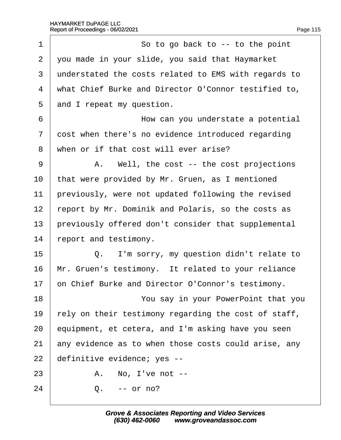<span id="page-115-0"></span>

| $\mathbf 1$    | So to go back to -- to the point                     |
|----------------|------------------------------------------------------|
| $\overline{2}$ | you made in your slide, you said that Haymarket      |
| 3              | understated the costs related to EMS with regards to |
| $\overline{4}$ | what Chief Burke and Director O'Connor testified to, |
| 5              | and I repeat my question.                            |
| 6              | How can you understate a potential                   |
| 7              | dost when there's no evidence introduced regarding   |
| 8              | when or if that cost will ever arise?                |
| 9              | A. Well, the cost -- the cost projections            |
| 10             | that were provided by Mr. Gruen, as I mentioned      |
| 11             | previously, were not updated following the revised   |
| 12             | report by Mr. Dominik and Polaris, so the costs as   |
| 13             | previously offered don't consider that supplemental  |
| 14             | report and testimony.                                |
| 15             | Q. I'm sorry, my question didn't relate to           |
| 16             | Mr. Gruen's testimony. It related to your reliance   |
| 17             | on Chief Burke and Director O'Connor's testimony.    |
| 18             | You say in your PowerPoint that you                  |
| 19             | rely on their testimony regarding the cost of staff, |
| 20             | equipment, et cetera, and I'm asking have you seen   |
| 21             | any evidence as to when those costs could arise, any |
| 22             | definitive evidence; yes --                          |
| 23             | A. No, I've not --                                   |
| 24             | $Q. -$ or no?                                        |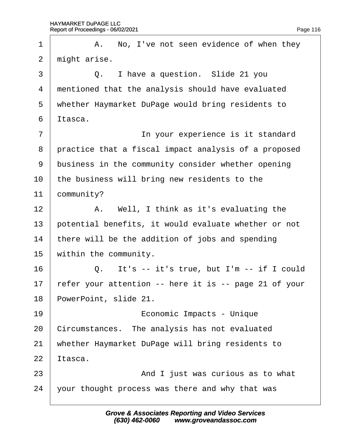<span id="page-116-0"></span>

| 1              | A. No, I've not seen evidence of when they            |
|----------------|-------------------------------------------------------|
| $\overline{2}$ | might arise.                                          |
| 3              | Q. I have a question. Slide 21 you                    |
| 4              | mentioned that the analysis should have evaluated     |
| 5              | whether Haymarket DuPage would bring residents to     |
| 6              | Itasca.                                               |
| 7              | In your experience is it standard                     |
| 8              | practice that a fiscal impact analysis of a proposed  |
| 9              | business in the community consider whether opening    |
| 10             | the business will bring new residents to the          |
| 11             | community?                                            |
| 12             | A. Well, I think as it's evaluating the               |
| 13             | potential benefits, it would evaluate whether or not  |
| 14             | there will be the addition of jobs and spending       |
| 15             | within the community.                                 |
| 16             | It's -- it's true, but I'm -- if I could<br>Q.        |
| 17             | refer your attention -- here it is -- page 21 of your |
| 18             | PowerPoint, slide 21.                                 |
| 19             | Economic Impacts - Unique                             |
| 20             | Circumstances. The analysis has not evaluated         |
| 21             | whether Haymarket DuPage will bring residents to      |
| 22             | ltasca.                                               |
| 23             | And I just was curious as to what                     |
| 24             | your thought process was there and why that was       |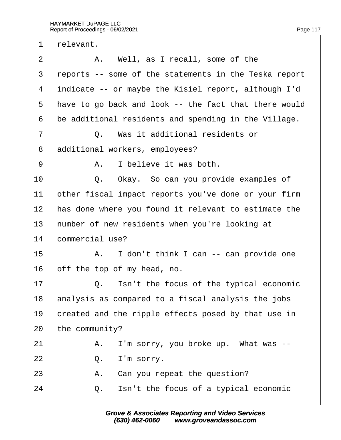<span id="page-117-0"></span>

| $\mathbf 1$    | relevant.      |                                                       |
|----------------|----------------|-------------------------------------------------------|
| 2              |                | A. Well, as I recall, some of the                     |
| 3              |                | reports -- some of the statements in the Teska report |
| 4              |                | indicate -- or maybe the Kisiel report, although I'd  |
| 5              |                | have to go back and look -- the fact that there would |
| 6              |                | be additional residents and spending in the Village.  |
| $\overline{7}$ |                | Q. Was it additional residents or                     |
| 8              |                | additional workers, employees?                        |
| 9              |                | A. I believe it was both.                             |
| 10             |                | Q. Okay. So can you provide examples of               |
| 11             |                | other fiscal impact reports you've done or your firm  |
| 12             |                | has done where you found it relevant to estimate the  |
| 13             |                | humber of new residents when you're looking at        |
| 14             |                | commercial use?                                       |
| 15             |                | A. I don't think I can -- can provide one             |
| 16             |                | off the top of my head, no.                           |
| 17             | Q.             | Isn't the focus of the typical economic               |
| 18             |                | analysis as compared to a fiscal analysis the jobs    |
| 19             |                | created and the ripple effects posed by that use in   |
| 20             | the community? |                                                       |
| 21             | Α.             | I'm sorry, you broke up. What was --                  |
| 22             | Q.             | I'm sorry.                                            |
| 23             | Α.             | Can you repeat the question?                          |
| 24             | Q.             | Isn't the focus of a typical economic                 |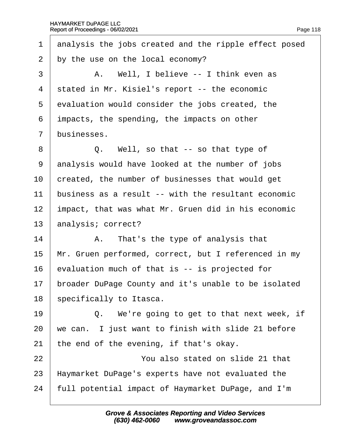<span id="page-118-0"></span>

| $\mathbf 1$    | analysis the jobs created and the ripple effect posed |
|----------------|-------------------------------------------------------|
| $\overline{2}$ | by the use on the local economy?                      |
| 3              | A. Well, I believe -- I think even as                 |
| 4              | stated in Mr. Kisiel's report -- the economic         |
| 5              | evaluation would consider the jobs created, the       |
| 6              | impacts, the spending, the impacts on other           |
| $\overline{7}$ | businesses.                                           |
| 8              | Q. Well, so that -- so that type of                   |
| 9              | analysis would have looked at the number of jobs      |
| 10             | created, the number of businesses that would get      |
| 11             | business as a result -- with the resultant economic   |
| 12             | impact, that was what Mr. Gruen did in his economic   |
| 13             | analysis; correct?                                    |
| 14             | A. That's the type of analysis that                   |
| 15             | Mr. Gruen performed, correct, but I referenced in my  |
| 16             | evaluation much of that is -- is projected for        |
| 17             | broader DuPage County and it's unable to be isolated  |
| 18             | specifically to Itasca.                               |
| 19             | Q. We're going to get to that next week, if           |
| 20             | we can. I just want to finish with slide 21 before    |
| 21             | the end of the evening, if that's okay.               |
| 22             | You also stated on slide 21 that                      |
| 23             | Haymarket DuPage's experts have not evaluated the     |
| 24             | full potential impact of Haymarket DuPage, and I'm    |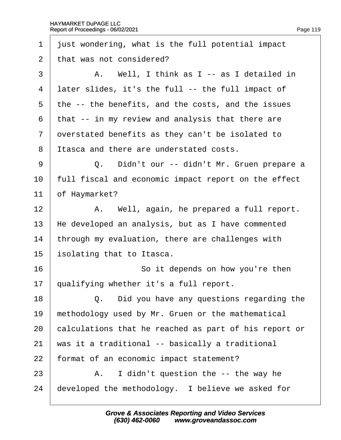<span id="page-119-0"></span>

| 1  | just wondering, what is the full potential impact     |
|----|-------------------------------------------------------|
| 2  | that was not considered?                              |
| 3  | A. Well, I think as I -- as I detailed in             |
| 4  | later slides, it's the full -- the full impact of     |
| 5  | the -- the benefits, and the costs, and the issues    |
| 6  | that -- in my review and analysis that there are      |
| 7  | dverstated benefits as they can't be isolated to      |
| 8  | Itasca and there are understated costs.               |
| 9  | Q. Didn't our -- didn't Mr. Gruen prepare a           |
| 10 | full fiscal and economic impact report on the effect  |
| 11 | of Haymarket?                                         |
| 12 | A. Well, again, he prepared a full report.            |
| 13 | He developed an analysis, but as I have commented     |
| 14 | through my evaluation, there are challenges with      |
| 15 | solating that to Itasca.                              |
| 16 | So it depends on how you're then                      |
| 17 | qualifying whether it's a full report.                |
| 18 | Q. Did you have any questions regarding the           |
| 19 | methodology used by Mr. Gruen or the mathematical     |
| 20 | calculations that he reached as part of his report or |
| 21 | was it a traditional -- basically a traditional       |
| 22 | format of an economic impact statement?               |
| 23 | A. I didn't question the -- the way he                |
| 24 | developed the methodology. I believe we asked for     |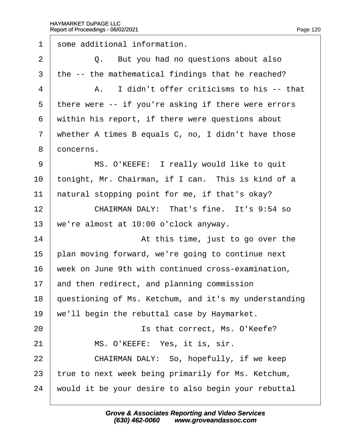<span id="page-120-0"></span>1 some additional information.  $2 \mid Q$ . But you had no questions about also 3 the -- the mathematical findings that he reached?  $4$  | A. I didn't offer criticisms to his -- that 5 there were -- if you're asking if there were errors 6 within his report, if there were questions about 7 whether A times B equals C, no, I didn't have those 8 doncerns. 9 | MS. O'KEEFE: I really would like to quit 10 tonight, Mr. Chairman, if I can. This is kind of a 11 hatural stopping point for me, if that's okay? 12  $\parallel$  CHAIRMAN DALY: That's fine. It's 9:54 so 13 we're almost at 10:00 o'clock anyway. 14 **14** At this time, just to go over the 15 blan moving forward, we're going to continue next 16 week on June 9th with continued cross-examination, 17 and then redirect, and planning commission 18 guestioning of Ms. Ketchum, and it's my understanding 19 we'll begin the rebuttal case by Haymarket. 20 **Solution** Is that correct, Ms. O'Keefe? 21 | MS. O'KEEFE: Yes, it is, sir. 22 **CHAIRMAN DALY: So, hopefully, if we keep** 23 true to next week being primarily for Ms. Ketchum, 24 would it be your desire to also begin your rebuttal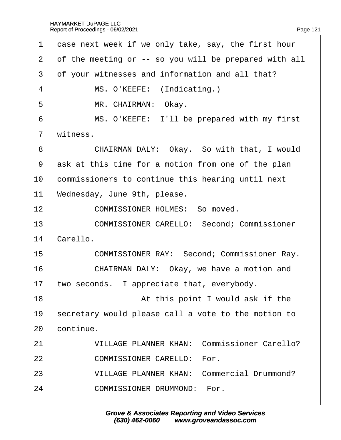<span id="page-121-0"></span>

| 1              | dase next week if we only take, say, the first hour   |
|----------------|-------------------------------------------------------|
| 2              | of the meeting or -- so you will be prepared with all |
| 3              | of your witnesses and information and all that?       |
| 4              | MS. O'KEEFE: (Indicating.)                            |
| 5              | MR. CHAIRMAN: Okay.                                   |
| 6              | MS. O'KEEFE: I'll be prepared with my first           |
| $\overline{7}$ | witness.                                              |
| 8              | CHAIRMAN DALY: Okay. So with that, I would            |
| 9              | ask at this time for a motion from one of the plan    |
| 10             | commissioners to continue this hearing until next     |
| 11             | Wednesday, June 9th, please.                          |
| 12             | <b>COMMISSIONER HOLMES: So moved.</b>                 |
| 13             | <b>COMMISSIONER CARELLO: Second; Commissioner</b>     |
| 14             | Carello.                                              |
| 15             | <b>COMMISSIONER RAY: Second; Commissioner Ray.</b>    |
| 16             | CHAIRMAN DALY: Okay, we have a motion and             |
| 17             | two seconds. I appreciate that, everybody.            |
| 18             | At this point I would ask if the                      |
| 19             | secretary would please call a vote to the motion to   |
| 20             | continue.                                             |
| 21             | <b>VILLAGE PLANNER KHAN: Commissioner Carello?</b>    |
| 22             | <b>COMMISSIONER CARELLO: For.</b>                     |
| 23             | <b>VILLAGE PLANNER KHAN: Commercial Drummond?</b>     |
| 24             | <b>COMMISSIONER DRUMMOND: For.</b>                    |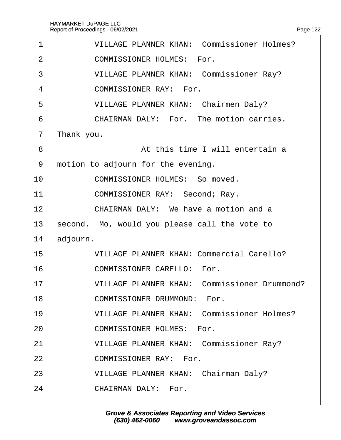<span id="page-122-0"></span>

| 1              | <b>VILLAGE PLANNER KHAN: Commissioner Holmes?</b>   |
|----------------|-----------------------------------------------------|
| 2              | <b>COMMISSIONER HOLMES: For.</b>                    |
| 3              | <b>VILLAGE PLANNER KHAN: Commissioner Ray?</b>      |
| 4              | <b>COMMISSIONER RAY: For.</b>                       |
| 5              | <b>VILLAGE PLANNER KHAN: Chairmen Daly?</b>         |
| 6              | CHAIRMAN DALY: For. The motion carries.             |
| $\overline{7}$ | Thank you.                                          |
| 8              | At this time I will entertain a                     |
| 9              | motion to adjourn for the evening.                  |
| 10             | <b>COMMISSIONER HOLMES: So moved.</b>               |
| 11             | COMMISSIONER RAY: Second; Ray.                      |
| 12             | CHAIRMAN DALY: We have a motion and a               |
| 13             | second. Mo, would you please call the vote to       |
| 14             | adjourn.                                            |
| 15             | <b>VILLAGE PLANNER KHAN: Commercial Carello?</b>    |
| 16             | <b>COMMISSIONER CARELLO: For.</b>                   |
| 17             | <b>VILLAGE PLANNER KHAN: Commissioner Drummond?</b> |
| 18             | <b>COMMISSIONER DRUMMOND: For.</b>                  |
| 19             | <b>VILLAGE PLANNER KHAN: Commissioner Holmes?</b>   |
| 20             | <b>COMMISSIONER HOLMES: For.</b>                    |
| 21             | <b>VILLAGE PLANNER KHAN: Commissioner Ray?</b>      |
| 22             | <b>COMMISSIONER RAY: For.</b>                       |
| 23             | <b>VILLAGE PLANNER KHAN: Chairman Daly?</b>         |
| 24             | <b>CHAIRMAN DALY: For.</b>                          |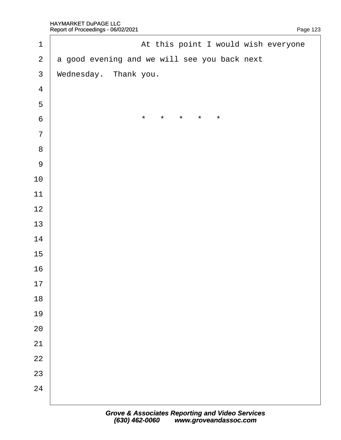<span id="page-123-0"></span>

| $\mathbf 1$             | At this point I would wish everyone          |
|-------------------------|----------------------------------------------|
| $\overline{2}$          | a good evening and we will see you back next |
| $\mathfrak{S}$          | Wednesday. Thank you.                        |
| $\overline{\mathbf{4}}$ |                                              |
| $\overline{5}$          |                                              |
| $\,6$                   | $\star$<br>*<br>$\star$<br>*<br>*            |
| $\overline{7}$          |                                              |
| $\bf 8$                 |                                              |
| $9$                     |                                              |
| 10                      |                                              |
| 11                      |                                              |
| 12                      |                                              |
| 13                      |                                              |
| 14                      |                                              |
| 15                      |                                              |
| 16                      |                                              |
| 17                      |                                              |
| 18                      |                                              |
| 19                      |                                              |
| 20                      |                                              |
| 21                      |                                              |
| 22                      |                                              |
| 23                      |                                              |
| 24                      |                                              |
|                         |                                              |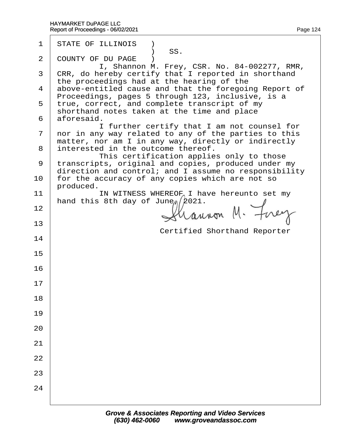| 1              | <b>STATE OF ILLINOIS</b> )<br>SS.                                                                            |  |
|----------------|--------------------------------------------------------------------------------------------------------------|--|
| $\overline{2}$ | <b>COUNTY OF DU PAGE</b><br>I, Shannon M. Frey, CSR. No. 84-002277, RMR,                                     |  |
| 3              | CRR, do hereby certify that I reported in shorthand                                                          |  |
|                | the proceedings had at the hearing of the<br>4 above-entitled cause and that the foregoing Report of         |  |
|                | Proceedings, pages 5 through 123, inclusive, is a<br>5 true, correct, and complete transcript of my          |  |
|                | shorthand notes taken at the time and place<br>6 aforesaid.                                                  |  |
|                | I further certify that I am not counsel for<br>7 nor in any way related to any of the parties to this        |  |
|                | matter, nor am I in any way, directly or indirectly                                                          |  |
|                | 8 interested in the outcome thereof.<br>This certification applies only to those                             |  |
| 9              | transcripts, original and copies, produced under my<br>direction and control; and I assume no responsibility |  |
| 10             | for the accuracy of any copies which are not so<br>produced.                                                 |  |
| 11             | IN WITNESS WHEREOF I have hereunto set my<br>hand this 8th day of June, 2021.                                |  |
| 12             |                                                                                                              |  |
| 13             |                                                                                                              |  |
| 14             | <b>Certified Shorthand Reporter</b>                                                                          |  |
| 15             |                                                                                                              |  |
| 16             |                                                                                                              |  |
| 17             |                                                                                                              |  |
| 18             |                                                                                                              |  |
| 19             |                                                                                                              |  |
| 20             |                                                                                                              |  |
| 21             |                                                                                                              |  |
| 22             |                                                                                                              |  |
| 23             |                                                                                                              |  |
| 24             |                                                                                                              |  |
|                |                                                                                                              |  |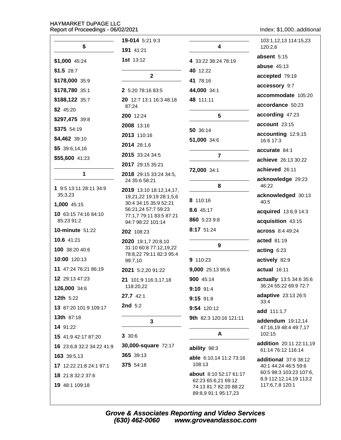Index: \$1,000..additional

|                           | 19-014 5:21 9:3                                                          |                                                | 103:1,12,13 114:15,23                             |
|---------------------------|--------------------------------------------------------------------------|------------------------------------------------|---------------------------------------------------|
| \$                        | 191 41:21                                                                | 4                                              | 120:2,6                                           |
| \$1,000 45:24             | <b>1st</b> 13:12                                                         | 4 33:22 38:24 78:19                            | absent 5:15                                       |
| $$1.5$ 28:7               |                                                                          | 40 12:22                                       | <b>abuse 45:13</b>                                |
| \$178,000 35:9            | $\mathbf{2}$                                                             | 41 78:16                                       | accepted 79:19                                    |
| \$178,780 35:1            | 2 5:20 78:16 83:5                                                        | 44,000 34:1                                    | accessory 9:7                                     |
| \$188,122 35:7            | 20 12:7 13:1 16:3 48:18                                                  | 48 111:11                                      | accommodate 105:20                                |
| $$2$ 45:20                | 87:24                                                                    |                                                | accordance 50:23                                  |
| \$297,475 39:8            | 200 12:24                                                                | $5\phantom{1}$                                 | according 47:23                                   |
| \$375 54:19               | 2008 13:16                                                               | 50 36:14                                       | account 23:15                                     |
| \$4,462 39:10             | 2013 110:16                                                              | 51,000 34:6                                    | accounting 12:9,15<br>16:6 17:3                   |
| \$539:6,14,16             | 2014 28:1,6                                                              |                                                |                                                   |
| \$55,600 41:23            | 2015 33:24 34:5                                                          | $\overline{\mathbf{r}}$                        | accurate 84:1<br>achieve 26:13 30:22              |
|                           | 2017 29:15 35:21                                                         |                                                | achieved 26:11                                    |
| 1                         | 2018 29:15 33:24 34:5,                                                   | 72,000 34:1                                    |                                                   |
| 1 9:5 13:11 28:11 34:9    | 24 35:6 58:21                                                            | 8                                              | acknowledge 29:23<br>46:22                        |
| 35:3,23                   | 2019 13:10 18:12,14,17,<br>19,21,22 19:19 28:1,5,6                       |                                                | acknowledged 30:13                                |
| 1,000 45:15               | 30:4 34:15 35:9 52:21                                                    | 8 110:16                                       | 40:5                                              |
| 10 63:15 74:16 84:10      | 56:21,24 57:7 59:23<br>77:1,7 79:11 83:5 87:21                           | 8.6 45:17                                      | acquired 13:6,9 14:3                              |
| 85:23 91:2                | 94:7 98:22 101:14                                                        | 860 5:23 9:8                                   | acquisition 43:15                                 |
| <b>10-minute 51:22</b>    | 202 108:23                                                               | 8:17 51:24                                     | <b>across</b> 8:4 49:24                           |
| 10.6 41:21                | 2020 19:1,7 20:8,10<br>31:10 60:8 77:12,19,22<br>78:8,22 79:11 82:3 95:4 | $\boldsymbol{9}$                               | acted 81:19                                       |
| 100 38:20 40:6            |                                                                          |                                                | acting 6:23                                       |
| 10:00 120:13              | 99:7,10                                                                  | 9 110:23                                       | actively 82:9                                     |
| 11 47:24 76:21 86:19      | 2021 5:2,20 91:22                                                        | 9,000 25:13 95:6                               | actual 16:11                                      |
| 12 29:13 47:23            | 21 101:9 116:3,17,18                                                     | 900 45:14                                      | actually 13:5 34:6 35:6                           |
| 126,000 34:6              | 118:20,22                                                                | 9:10 91:4                                      | 36:24 55:22 69:9 72:7                             |
| <b>12th</b> 5:22          | 27.7 42:1                                                                | 9:15 91:8                                      | adaptive 23:13 26:5<br>33:4                       |
| 13 87:20 101:9 109:17     | <b>2nd</b> 5:2                                                           | 9:54 120:12                                    | add 111:1,7                                       |
| <b>13th 87:18</b>         | 3                                                                        | 9th 82:3 120:16 121:11                         | addendum 19:12,14                                 |
| 14 91:22                  |                                                                          |                                                | 47:16,19 48:4 49:7,17                             |
| 15 41:9 42:17 87:20       | 3 30:6                                                                   | A                                              | 102:15                                            |
| 16 23:6,8 32:2 34:22 41:9 | 30,000-square 72:17                                                      | ability 98:3                                   | addition 20:11 22:11,19<br>61:14 76:12 116:14     |
| 163 39:5,13               | 365 39:13                                                                | able 6:10,14 11:2 73:16                        | <b>additional</b> 37:6 38:12                      |
| 17 12:22 21:8 24:1 97:1   | 375 54:18                                                                | 108:13                                         | 40:1 44:24 46:5 59:6                              |
| 18 21:8 32:2 37:6         |                                                                          | about 8:10 52:17 61:17<br>62:23 65:6,21 69:12  | 60:5 98:3 103:23 107:6,<br>8,9 112:12,14,19 113:2 |
| 19 48:1 109:18            |                                                                          | 74:13 81:7 82:20 88:22<br>89:8,9 91:1 95:17,23 | 117:6,7,8 120:1                                   |

Grove & Associates Reporting and Video Services<br>(630) 462-0060 www.groveandassoc.com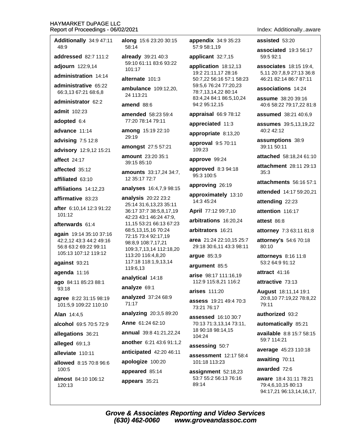#### HA) Rep

| Additionally 34:9 47:11                         | along             |
|-------------------------------------------------|-------------------|
| 48:9                                            | 58:14             |
| addressed 82:7 111:2                            | already<br>59:10  |
| adjourn 122:9,14                                | 101:17            |
| administration 14:14                            | alterna           |
| administrative 65:22<br>66:3,13 67:21 68:6,8    | ambula<br>24 113  |
| administrator 62:2                              | amend             |
| admit 102:23                                    | amend             |
| adopted 6:4                                     | 77:20             |
| advance 11:14                                   | among<br>29:19    |
| advising 7:5 12:8                               | among             |
| advisory 12:9,12 15:21                          | amoun             |
| affect 24:17                                    | 39:15             |
| affected 35:12                                  | amoun             |
| affiliated 63:10                                | 12 35:            |
| affiliations 14:12,23                           | analys            |
| affirmative 83:23                               | analysi<br>25:14: |
| after 6:10,14 12:3 91:22<br>101:12              | 36:17:            |
| afterwards 61:4                                 | 42:23<br>11,15    |
| again 19:14 35:10 37:16                         | 68:5,13           |
| 42:2,12 43:3 44:2 49:16                         | 72:15<br>98:8,9   |
| 56:8 63:2 69:22 99:11<br>105:13 107:12 119:12   | 109:3,            |
| against 93:21                                   | 113:20<br>117:18  |
| agenda 11:16                                    | 119:6,            |
| ago 84:11 85:23 88:1                            | analyti           |
| 93:18                                           | analyz            |
| agree 8:22 31:15 98:19<br>101:5,9 109:22 110:10 | analyz<br>71:17   |
| <b>Alan 14:4,5</b>                              | analyzi           |
| alcohol 69:5 70:5 72:9                          | Anne 6            |
| allegations 36:21                               | annual            |
| alleged 69:1,3                                  | anothe            |
| alleviate 110:11                                | anticip           |
| allowed 8:15 70:8 96:6                          | apolog            |
| 100:5                                           | appear            |
| <b>almost</b> 84:10 106:12<br>120:13            | appear            |

15:6 23:20 30:15

 $\sqrt{39:2140:3}$ 61:11 83:6 93:22

**ite**  $101:3$ 

ance 109:12,20,  $3:21$ 

88:6

led 58:23 59:4 78:14 79:11

15:19 22:10

**st** 27:5 57:21

it  $23:2035:1$ 85:10

**ts** 33:17,24 34:7, 17 72:7

es 16:4,7,9 98:15

 $is$  20:22 23:2 31:6,13,23 35:11 37:7 38:5,8,17,19 43:1 46:24 47:9, 53:21 66:13 67:23 3,15,16 70:24 73:4 92:17,19 108:7,17,21 7,13,14 112:18,20 0 116:4,8,20 3 118:1,9,13,14  $13$ 

cal 14:18

e 69:1

**ed** 37:24 68:9

**ing** 20:3,5 89:20

61:24 62:10

39:8 41:21,22,24

r 6:21 43:6 91:1,2 ated 42:20 46:11

lize 100:20

ed 85:14

 $S$  35:21

appendix 34:9 35:23 57:9 58:1.19

applicant 32:7,15

application 18:12,13 19:2 21:11,17 28:16 50:7,22 56:16 57:1 58:23 59:5,6 76:24 77:20,23 78:7,13,14,22 80:14 83:4,24 84:1 86:5,10,24 94:2 95:12,15

appraisal 66:9 78:12

appreciated 11:3

appropriate 8:13,20

approval 9:5 70:11 109:23

approve 99:24

approved 8:3 94:18 95:3 100:5

approving 26:19

approximately 13:10 14:3 45:24

April 77:12 99:7,10

arbitrations 16:20,24

arbitrators 16:21

area 21:24 22:10,15 25:7 29:18 30:6,11 43:3 98:11

# argue 85:3,9

argument 85:5

arise 98:17 111:16.19 112:9 115:8,21 116:2

**arises** 111:20

assess 19:21 49:4 70:3 73:21 76:17

assessed 16:10 30:7 70:13 71:3,13,14 73:11, 18 90:18 98:14,15 104:24

assessing 50:7

**assessment** 12:17 58:4 101:18 113:23

assignment 52:18,23 53:7 55:2 56:13 76:16 89:14

assisted 53:20

associated 19:3 56:17 59:5 92:1

**associates** 18:15 19:4, 5,11 20:7,8,9 27:13 36:8 46:21 82:14 86:7 87:11

associations 14:24

assume 38:20 39:16 40:6 58:22 79:17,22 81:8

assumed 38:21 40:6.9

**assumes** 39:5,13,19,22 40:2 42:12

assumptions 38:9 39:11 50:11

attached 58:18,24 61:10

attachment 28:11 29:13  $35:3$ 

attachments 56:16 57:1

attended 14:17 59:20,21

attending 22:23

attention 116:17

attest 86:8

attorney 7:3 63:11 81:8

**attorney's 54:6 70:18** 80:10

attorneys 8:16 11:8 53:2 64:9 91:12

attract 41:16

attractive 73:13

**August** 18:11,14 19:1 20:8,10 77:19,22 78:8,22 79:11

authorized 93:2

automatically 85:21

available 8:8 15:7 58:15 59:7 114:21

average 45:23 110:18

awaiting 70:11

awarded 72:6

aware 18:4 31:11 78:21 79:4,6,10,15 80:13 94:17,21 96:13,14,16,17,

**Grove & Associates Reporting and Video Services** (630) 462-0060 www.groveandassoc.com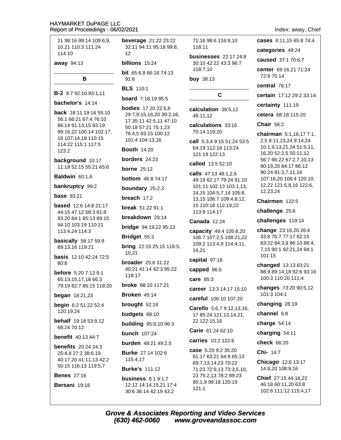beverage 21:22 23:22 21 98:16 99:14 109:6.9. 71:16 98:6 116:9.10 cases 6:11,15 65:8 74:4 10.21 110:3 111:24 32:11 94:11 95:18 99:8. 118:11 categories 49:24 114:10  $12$ **businesses** 22:17 24:8 caused 37:1 70:6,7 away 94:13 billions 15:24 30:10 42:22 43:3 96:7 118:7,10 center 69:16,21 71:24 bit 65:6,8 66:16 74:13 72:9 75:14 B  $91:6$ **buy** 38:13 central 76:17 **BLS** 110:1 **B-2** 9:7 92:10 93:1.11  $\mathbf c$ certain 17:12 29:2 33:14 **board** 7:18,19 95:5 bachelor's 14:14 certainty 111:19 **bodies** 17:20 22:5.6 calculation 39:5,12 back 18:11 19:16 55:10 29:7,9,15,16,20 30:2,16, cetera 68:18 115:20 48:11,12 56:1 66:21 67:4 76:10 17 35:11 42:5,11 47:10 calculations 33:16 **Chair 56:2** 86:14 91:13,15 93:19 50:18 57:21 75:1,23 99:16,22 100:14 102:17, 70:14 119:20 76:4.5 93:15 100:12 chairman 5:1,16,17 7:1, 18 107:14.18 110:15 101:4 104:13,16 2,5 8:11,23,24 9:14,24 call 5:3.4 9:15 51:24 53:5 114:22 115:1 117:5 10:1,9,13,21,24 51:5,11, 64:19 112:18 113:24 **Booth 14:20**  $123:2$ 16,20 52:2,5 55:11,12 121:19 122:13 **borders** 24:23 56:7 66:22 67:2,7,10,13 background 10:17 called 13:5 52:10 80:19.20 84:17 86:12 11:18 52:15 55:21 65:6 **borne** 25:12 90:24 91:3,7,11,16 calls 47:13 48:1.2.6 **Baldwin** 60:1.6 **bottom** 46:8 74:17 107:16,20 108:4 120:10, 49:19 62:17 79:24 81:10 12,22 121:5,8,16 122:6, bankruptcy 99:2 101:11 102:13 103:1,13, **boundary** 25:2,3 12,23,24 14,15 104:5,7,14 105:8, **base** 93:21 breach 17:2 13,15 106:7 109:4,8,12, Chairmen 122:5 **based** 12:6 14:8 21:17 15 110:18 112:19,22 **break** 51:22 91:1 challenge 25:8 113:9 114:17 44:15 47:12 58:3 81:8 breakdown 29:14 83:20 84:1 85:13 89:15 challenges 119:14 **Canada 12:24** 94:10 103:19 110:21 **bridge** 94:19,22 95:13 change 23:16.20 26:6 113:4,24 114:3 **capacity** 49:4 105:8,20 33:8 76:7 77:17 82:15 Bridget 55:3 106:7 107:2,5 108:21,22 **basically** 58:17 59:9 83:22 84:3,9 86:10 88:4, 109:2 113:4,9 114:4,11, **bring** 22:15 25:15 116:5, 89:13,16 119:21 7.15 90:1 92:21.24 94:1 16,21  $10,21$ 101:15 **basis** 12:10 42:24 72:5 capital 97:18 **broader** 25:6 31:22  $80.8$ changed 13:13 83:21 40:21 41:14 42:3 95:22 capped 96:5 88:9 89:14,18 92:6 93:16 before 5:20 7:13 9:1 118:17 100:3 110:20 111:4 care  $85:3$ 65:13,15,17,18 66:3 broke 88:10 117:21 79:19 82:7 85:15 118:20 changes 73:20 90:5,12 career 13:3 14:17 15:10 101:3 104:1 **began** 18:21,23 **Broken 45:14** careful 106:10 107:20 changing 26:19 brought  $52:18$ begin 6:2 51:22 52:4 Carello 5:6,7 9:12,13,16, 120:19,24 budgets 68:10 channel 6:8 17 85:24 121:13,14,21, behalf 19:18 53:9,12 22 122:15,16 charge 54:14 **building** 95:8,10 96:3 68:24 70:12 Carie 61:24 62:10 **bunch** 107:24 charging 54:11 **benefit** 40:13 44:7 carries 10:2 122:6 check 66:20 **burden** 48:21 49:2.5 **benefits** 20:24 24:3 case 5:20 9:2 35:20 Chi- 14:7 **Burke** 27:14 102:6 25:4,8 27:2 38:6,19 61:17 63:21 64:9 65:13 40:17,20 41:11,13 42:2 115:4,17 Chicago 12:6 13:17 69:7,13,14,23 70:22 50:15 116:13 119:5,7 14:8,20 108:9,16 **Burke's 111:12** 71:23 72:9,13 73:3,5,10, **Benes 27:16** 23 75:2.13 78:2 89:23 Chief 27:15 44:16,22 **business** 8:1 9:1.7 90:1,9 99:18 120:19 46:18 60:11.20 63:8 Bersani 19:18 12:12 14:14,15,21 17:4  $121:1$ 

Index: away..Chief

102:6 111:12 115:4,17

**Grove & Associates Reporting and Video Services** (630) 462-0060 www.groveandassoc.com

30:6 36:14 42:19 43:2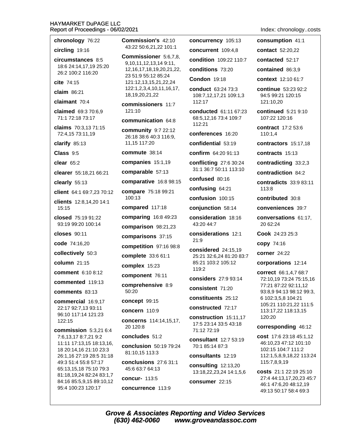chronology 76:22 circling 19:16 circumstances 8:5 18:6 24:14,17,19 25:20 26:2 100:2 116:20 cite 74:15 claim  $86:21$ claimant 70:4 claimed 69:3 70:6.9 71:1 72:18 73:17 claims 70:3,13 71:15 72:4,15 73:11,19 clarify  $85:13$  $Class 9:5$ clear  $65:2$ clearer 55:18,21 66:21 clearly  $55:13$ client 64:1 69:7,23 70:12 clients 12:8,14,20 14:1 15:15 closed 75:19 91:22 93:19 99:20 100:14 closes  $90:11$ code 74:16.20 collectively 50:3 column  $21:15$ comment 6:10 8:12

commented 119:13

comments 83:13

commercial 16:9,17 22:17 92:7.13 93:11 96:10 117:14 121:23  $122:15$ 

commission  $5:3,216:4$ 7:6,13,17 8:7,21 9:2 11:11 17:13.15 18:13.16. 18 20:14,16 21:10 23:3 26:1,16 27:19 28:5 31:18 49:3 51:4 55:8 57:17 65:13,15,18 75:10 79:3 81:18,19,24 82:24 83:1,7 84:16 85:5,9,15 89:10,12 95:4 100:23 120:17

Commission's 42:10 43:22 50:6.21.22 101:1

**Commissioner** 5:6,7,8, 9,10,11,12,13,14 9:11, 12, 16, 17, 18, 19, 20, 21, 22, 23 51:9 55:12 85:24 121:12,13,15,21,22,24 122:1,2,3,4,10,11,16,17, 18, 19, 20, 21, 22

commissioners 11:7 121:10

communication 64:8

community 9:7 22:12 26:18 38:6 40:3 116:9. 11,15 117:20

commute 38:14

companies 15:1,19

comparable 57:13

comparative 16:8 98:15

compare 75:18 99:21 100:13

compared 117:18

comparing 16:8 49:23

comparison 98:21,23

comparisons 37:15

competition 97:16 98:8

complete 33:6 61:1

complex 15:23

component 76:11

comprehensive 8:9 50:20

concept 99:15

concern 110:9

concerns 114:14,15,17, 20 120:8

concludes  $51.2$ 

conclusion 50:19 79:24 81:10,15 113:3

conclusions 27:6 31:1 45:6 63:7 64:13

concur- 113:5

concurrence 113:9

concurrency 105:13 concurrent 109:4,8 condition 109:22 110:7 conditions 73:20 **Condon 19:18** conduct 63:24 73:3 108:7,12,17,21 109:1,3 112:17 conducted 61:11 67:23 68:5.12.16 73:4 109:7 112:21 conferences 16:20 confidential 53:19 confirm 64:20 91:13 conflicting 27:6 30:24 31:1 36:7 50:11 113:10 confused 80:16 confusing 64:21 confusion 100:15 conjunction 58:14 consideration 18:16 43:20 44:7 considerations 12:1  $21:9$ considered 24:15.19 25:21 32:6,24 81:20 83:7 85:21 103:2 105:12 119:2 considers 27:9 93:14 consistent 71:20 constituents 25:12 constructed 72:17 construction 15:11.17 17:5 23:14 33:5 43:18 71:12 72:19

consultant 12:7 53:19 70:1 85:14 87:3

consultants 12:19

consulting 12:13,20 13:18,22,23,24 14:1,5,6

consumer 22:15

Index: chronology..costs consumption 41:1 contact 52:20.22 contacted 52:17 contained 86:3,9 context 12:10 61:7 continue 53:23 92:2 94:5 99:21 120:15 121:10.20 **continued** 5:21 9:10  $107.22120.16$ contract 17:2 53:6 110:1,4 contractors 15:17,18 contracts 15:13 contradicting 33:2,3 contradiction 84:2 contradicts 33:9 83:11 113:8 contributed 30:8 conveniences 39:7 conversations 61:17, 20 62:24 Cook 24:23 25:3 copy 74:16 corner 24:22 corporations 12:14 correct 66:1,4,7 68:7 72:10,19 73:24 75:15,16 77:21 87:22 92:11,12 93:8.9 94:13 98:12 99:3. 6 102:3,5,8 104:21 105:21 110:21,22 111:5 113:17,22 118:13,15 120:20 corresponding 46:12 cost 17:6 23:18 45:1,12 46:10,23 47:12 101:10 102:15 104:7 111:2 112:1,5,8,9,18,22 113:24 115:7,8,9,19

costs 21:1 22:19 25:10 27:4 44:13,17,20,23 45:7 46:1 47:6,20 48:12,19 49:13 50:17 58:4 69:3

**Grove & Associates Reporting and Video Services** (630) 462-0060 www.groveandassoc.com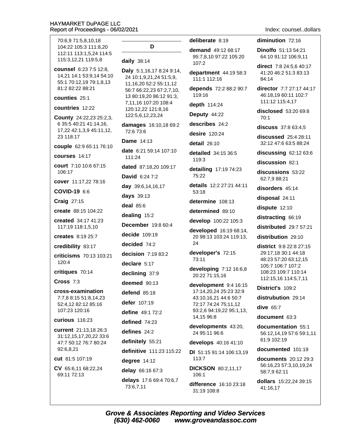| 70:6,9 71:5,8,10,18<br>104:22 105:3 111:8,20                                                             | D                                                                                                       |  |
|----------------------------------------------------------------------------------------------------------|---------------------------------------------------------------------------------------------------------|--|
| 112:11 113:1,5,24 114:5<br>115:3,12,21 119:5,8                                                           | daily 38:14                                                                                             |  |
| <b>counsel</b> 6:23 7:5 12:8,<br>14,21 14:1 53:9,14 54:10<br>55:1 70:12,19 79:1,8,13<br>81:2 82:22 88:21 | Daly 5:1,16,17 8:24 9:<br>24 10:1,9,21,24 51:5,9<br>11, 16, 20 52: 2 55: 11, 1<br>56:7 66:22,23 67:2,7, |  |
| counties 25:1                                                                                            | 13 80:19,20 86:12 91:<br>7,11,16 107:20 108:4                                                           |  |
| countries 12:22                                                                                          | 120:12,22 121:8,16                                                                                      |  |
| County 24:22,23 25:2,3,                                                                                  | 122:5,6,12,23,24                                                                                        |  |
| 6 35:5 40:21 41:14,16,<br>17,22 42:1,3,9 45:11,12,<br>23 118:17                                          | damages 16:10,18 69<br>72:6 73:6                                                                        |  |
| <b>couple</b> 62:9 65:11 76:10                                                                           | <b>Dame</b> 14:13                                                                                       |  |
| courses 14:17                                                                                            | <b>date</b> 6:21 59:14 107:1<br>111:24                                                                  |  |
| court 7:10 10:6 67:15                                                                                    | <b>dated</b> 87:18,20 109:1                                                                             |  |
| 106:17                                                                                                   | <b>David 6:24 7:2</b>                                                                                   |  |
| cover 11:17,22 78:16                                                                                     | <b>day</b> 39:6,14,16,17                                                                                |  |
| COVID-19 6:6                                                                                             | days 39:13                                                                                              |  |
| <b>Craig 27:15</b>                                                                                       | deal $85:6$                                                                                             |  |
| create 88:15 104:22                                                                                      | dealing 15:2                                                                                            |  |
| created 34:17 41:23<br>117:19 118:1,5,10                                                                 | December 19:8 60:4                                                                                      |  |
| <b>creates</b> 8:19 25:7                                                                                 | decide 109:19                                                                                           |  |
| credibility 83:17                                                                                        | decided 74:2                                                                                            |  |
| criticisms 70:13 103:21                                                                                  | decision 7:19 83:2                                                                                      |  |
| 120:4                                                                                                    | declare 5:17                                                                                            |  |
| critiques 70:14                                                                                          | declining 37:9                                                                                          |  |
| Cross $7:3$                                                                                              | deemed $90:13$                                                                                          |  |
| cross-examination                                                                                        | defend 85:18                                                                                            |  |
| 7:7,8 8:15 51:8,14,23<br>52:4,12 82:12 85:16                                                             | <b>defer</b> 107:19                                                                                     |  |
| 107:23 120:16                                                                                            | define 49:1 72:2                                                                                        |  |
| <b>curious</b> 116:23                                                                                    | defined $74:23$                                                                                         |  |
| current 21:13,18 26:3                                                                                    | defines $24:2$                                                                                          |  |
| 31:12,15,17,20,22 33:6<br>47:7 50:12 76:7 80:24                                                          | definitely 55:21                                                                                        |  |
| 92:6,8,21                                                                                                | definitive 111:23 115                                                                                   |  |
| cut 81:5 107:19                                                                                          | degree $14:12$                                                                                          |  |
| CV 65:6,11 68:22,24                                                                                      | delay 66:16 67:3                                                                                        |  |
| 69:11 72:13                                                                                              | delays 17:6 69:4 70:6<br>73:6,7,11                                                                      |  |
|                                                                                                          |                                                                                                         |  |

deliberate 8:19 **demand** 49:12 68:17 95:7,8,10 97:22 105:20 107:2 17 8:24 9:14, department 44:19 58:3 ,24 51:5,9, 111:1 112:16  $2:255:11.12$ depends 72:2 88:2 90:7 23 67:2,7,10, 119:16 86:12 91:3, depth 114:24 Deputy 44:22 describes 24:2 6:10,18 69:2 desire 120:24 detail 26:10 9:14 107:10 detailed 34:15 36:5 119:3 ,20 109:17 detailing 17:19 74:23 75:22 details 12:2 27:21 44:11 53:18 determine 108:13 determined 89:10 develop 100:22 105:3 developed 16:19 68:14, 20 98:13 103:24 119:13, 24 developer's 72:15 73:11 developing 7:12 16:6,8 20:22 71:15,16 development 9:4 16:15 17:14,20,24 25:23 32:9 43:10.16.21 44:6 50:7 72:17 74:24 75:11,12 93:2,6 94:19,22 95:1,13, 14,15 96:8 developments 43:20, 24 95:11 96:6 develops 40:16 41:10 11:23 115:22 DI 51:15 91:14 106:13.19 113:7 **DICKSON 80:2,11,17** 106:1 69:4 70:6.7 difference 16:10 23:18

Index: counsel..dollars

#### diminution 72:16

**Dinolfo** 51:13 54:21 64:10 91:12 106:9,11

direct 7:8 24:5,6 40:17 41:20 46:2 51:3 83:13 84:14

director 7:7 27:17 44:17 46:18,19 60:11 102:7 111:12 115:4,17

disclosed 53:20 69:8  $70:1$ 

discuss 37:8 63:4,5

discussed 25:4 28:11 32:12 47:6 63:5 88:24

discussing 62:12 63:6

discussion 82:1

discussions 53:22 62:7.9 88:21

disorders 45:14

disposal 24:11

dispute 12:10

distracting 66:19

distributed 29:7 57:21

distribution 29:10

district 9:8 22:8 27:15 29:17,18 30:1 44:18 48:23 57:20 63:12,15 105:7 106:7 107:2 108:23 109:7 110:14 112:15,16 114:5,7,11

District's 109:2

distrubution 29:14

dive 65:7

document 63:3

documentation 55:1 56:12,14,19 57:6 59:1,11 61:9 102:19

documented 101:19

**documents** 20:12 29:3 56:16,23 57:3,10,19,24 58:7,9 62:11

dollars 15:22,24 39:15 41:16,17

**Grove & Associates Reporting and Video Services** (630) 462-0060 www.groveandassoc.com

31:19 108:8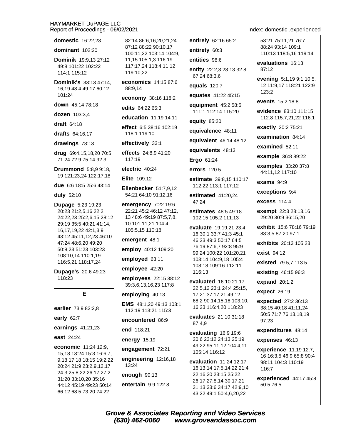**domestic** 16:22.23

dominant  $102:20$ 

Dominik 19:9.13 27:12 49:8 101:22 102:22 114:1 115:12

Dominik's 33:13 47:14. 16,19 48:4 49:17 60:12 101:24

down 45:14 78:18

dozen 103:3.4

**draft** 64:18

drafts 64:16.17

drawings 78:13

drug 69:4,15,18,20 70:5 71:24 72:9 75:14 92:3

**Drummond** 5:8.9 9:18. 19 121:23,24 122:17,18

due 6:6 18:5 25:6 43:14

duly 52:10

**Dupage 5:23 19:23** 20:23 21:2,5,16 22:2 24:22,23 25:2,6,15 28:12 29:19 35:5 40:21 41:14, 16.17.19.22 42:1.3.9 43:12 45:11,12,23 46:10 47:24 48:6,20 49:20 50:8.23 51:23 103:23 108:10,14 110:1,19 116:5,21 118:17,24

Dupage's 20:6 49:23 118:23

E

earlier 73:9 82:2,8

early  $62:7$ 

earnings 41:21,23

east 24:24

economic 11:24 12:9, 15,18 13:24 15:3 16:6,7, 9,18 17:18 18:15 19:2,22 20:24 21:9 23:2,9,12,17 24:3 25:8,22 26:17 27:2 31:20 33:10,20 35:16 44:12 45:19 49:23 50:14 66:12 68:5 73:20 74:22

82:14 86:6.16.20.21.24 87:12 88:22 90:10.17 100:11,22 103:14 104:9, 11,15 105:1,3 116:19 117:17,24 118:4,11,12 119:10.22

economics 14:15 87:6 88:9.14

economy 38:16 118:2

edits 64:22 65:3

education 11:19 14:11

effect 6:5 38:16 102:19 118:1 119:10

effectively 33:1

effects 24:8,9 41:20 117:19

electric 40:24

Elite 109:12

Ellenbecker 51:7,9,12 54:21 64:10 91:12,16

emergency 7:22 19:6 22:21 45:2 46:12 47:12, 13 48:6 49:19 87:5,7,8, 10 101:11,21 104:4 105:5,15 110:18

emergent 48:1

employ 40:12 109:20

employed 63:11

employee 42:20

employees 22:15 38:12 39:3,6,13,16,23 117:8

employing 40:13

EMS 48:1.20 49:13 103:1 112:19 113:21 115:3

encountered 86:9

end 118:21

energy 15:19

engagement 72:21

engineering 12:16,18 13:24

enough 90:13

entertain 9:9 122:8

entirely 62:16 65:2

entirety 60:3 entities 98:6

entity 22:2,3 28:13 32:8 67:24 68:3,6

equals 120:7

equates 41:22 45:15

equipment 45:2 58:5 111:1 112:14 115:20

equity 85:20

equivalence 48:11

equivalent 46:14 48:12

equivalents 48:13

Ergo 61:24

errors 120:5

estimate 39:8.15 110:17 112:22 113:1 117:12

estimated 41:20.24 47:24

estimates 48:5 49:18 102:15 105:2 111:13

evaluate 19:19,21 23:4, 16 30:1 33:7 41:3 45:1 46:23 49:3 50:17 64:5 76:19 87:6.7 92:8 95:9 99:24 100:22 101:20,21 103:14 104:9,18 105:4 108:18 109:16 112:11 116:13

evaluated 16:10 21:17 22:5,12 23:1 24:4 25:15, 17,21 37:17,21 49:12 68:2 90:14,15,18 103:10, 16,23 116:4,20 118:23

evaluates 21:10 31:18 87:4.9

evaluating 16:9 19:6 20:6 23:12 24:13 25:19 49:22 95:11,12 104:4,11 105:14 116:12

evaluation  $11:24$  12:17 16:13.14 17:5.14.22 21:4 22:16,20 23:15 25:22 26:17 27:8,14 30:17,21 31:13 33:6 34:17 42:9,10 43:22 49:1 50:4,6,20,22

Index: domestic..experienced

53:21 75:11.21 76:7 88:24 93:14 109:1 110:13 118:5.16 119:14

evaluations 16:13  $87.12$ 

evening 5:1,19 9:1 10:5, 12 11:9,17 118:21 122:9  $123:2$ 

events 15:2 18:8

evidence 83:10 111:15 112:8 115:7,21,22 116:1

exactly 20:2 75:21

examination 84:14

examined 52:11

example 36:8 89:22

examples 33:20 37:8 44:11.12 117:10

exams  $94:9$ 

exceptions 9:4

**excess** 114:4

exempt 22:3 28:13,16 29:20 30:9 36:15,20

exhibit 15:6 78:16 79:19 83:3.5 87:20 97:1

exhibits 20:13 105:23

exist 94:12

existed 79:5.7 113:5

existing 46:15 96:3

expand  $20:1,2$ 

expect 26:19

expected 27:2 36:13 38:15 40:18 41:11,24 50:5 71:7 76:13,18,19 97:23

expenditures 48:14

expenses 46:13

experience 11:19 12:7. 16 16:3,5 46:9 65:8 90:4 98:11 104:3 110:19  $116.7$ 

experienced 44:17 45:8 50:5 76:5

**Grove & Associates Reporting and Video Services** (630) 462-0060 www.groveandassoc.com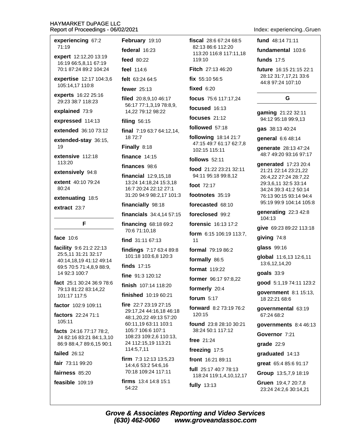| experiencing 67:2<br>71:19                           | Fel                           |
|------------------------------------------------------|-------------------------------|
|                                                      | fed                           |
| expert 12:12,20 13:19<br>16:19 66:5,8,11 67:19       | fee                           |
| 70:1 87:24 89:2 104:24                               | fee                           |
| expertise 12:17 104:3,6                              | felt                          |
| 105:14,17 110:8                                      | fev                           |
| experts 16:22 25:16<br>29:23 38:7 118:23             | file<br>56                    |
| explained 73:9                                       | 14                            |
| expressed 114:13                                     | filiı                         |
| extended 36:10 73:12                                 | fina                          |
| extended-stay 36:15,<br>19                           | 18<br>Fin                     |
|                                                      |                               |
| extensive 112:18<br>113:20                           | fin<br>fina                   |
| extensively 94:8                                     | fin                           |
| extent 40:10 79:24                                   | 13                            |
| 80:24                                                | 16<br>31                      |
| extenuating 18:5                                     | fina                          |
| extract 23:7                                         | fin                           |
| F                                                    | fina                          |
|                                                      | 7(                            |
| face 10:6                                            | fin                           |
| facility 9:6 21:2 22:13<br>25:5,11 31:21 32:17       | fin                           |
| 40:14,18,19 41:12 49:14                              | 1 <sup>1</sup>                |
| 69:5 70:5 71:4,8,9 88:9,                             | fin                           |
| 14 92:3 100:7                                        | fin                           |
| fact 25:1 30:24 36:9 78:6<br>79:13 81:22 83:14,22    | fini                          |
| 101:17 117:5                                         | fini                          |
| factor 102:9 109:11                                  | firc<br>29                    |
| factors 22:24 71:1                                   | 48                            |
| 105:11                                               | 60                            |
|                                                      |                               |
| facts 24:16 77:17 78:2,                              | 1 <sup>1</sup>                |
| 24 82:16 83:21 84:1,3,10<br>86:9 88:4,7 89:6,15 90:1 | 1 <sub>0</sub><br>$2\epsilon$ |
| failed 26:12                                         | 1 <sup>1</sup>                |
| fair 73:11 99:20                                     | firr<br>14                    |
| fairness 85:20                                       | 70                            |
| feasible 109:19                                      | firr                          |

**bruary** 19:10 **leral** 16:23  $d$  80:22 l 114:6 63:24 64:5 ver 25:13 d 20:8,9,10 46:17 6:17 77:1,3,19 78:8,9, 4,22 79:12 98:22 ng 56:15 al 7:19 63:7 64:12,14, 372:7 ally 8:18 ance 14:15 ances 98:6 **ancial** 12:9.15.18 3:24 14:18,24 15:3,18 6:7 20:24 22:12 27:1 :20 94:9 98:2,17 101:3 ancially 98:18 ancials 34:4,14 57:15 ancing 68:18 69:2 0:6 71:10,18 d 31:11 67:13 dings 7:17 63:4 89:8 01:18 103:6,8 120:3  $ds$  17:15 e 91:3 120:12 **sh** 107:14 118:20 **ished** 10:19 60:21 22:7 23:19 27:15 9:17,24 44:16,18 46:18 3:1,20,22 49:13 57:20 0:11,19 63:11 103:1 05:7 106:6 107:1 08:23 109:2,6 110:13, 4 112:15,19 113:21  $14:5,7,11$ n 7:3 12:13 13:5.23 4:4.6 53:2 54:6.16 0:18 109:24 117:11 **ns** 13:4 14:8 15:1  $1:22$ 

fiscal 28:6 67:24 68:5 82:13 86:6 112:20 113:20 116:8 117:11.18

Fitch 27:13 46:20

fix 55:10 56:5

119:10

fixed  $6:20$ 

focus 75:6 117:17,24

focused 16:13

focuses  $21.12$ 

followed 57:18

following 18:14 21:7 47:15 49:7 61:17 62:7,8 102:15 115:11

**follows** 52:11

food 21:22 23:21 32:11 94:11 95:18 99:8,12

foot  $72.17$ 

footnotes 35:19

forecasted 68:10

foreclosed 99:2

forensic 16:13 17:2 form 6:15 106:19 113:7,

 $11$ 

formal 79:19 86:2

formally 86:5

format 119:22

former 96:17 97:8.22

formerly 20:4

forum  $5:17$ 

forward 8:2 73:19 76:2 120:15

found 23:8 28:10 30:21 38:24 50:1 117:12

free 21:24

freezing 17:5

front 16:21 89:11

full 25:17 40:7 78:13 118:24 119:1,4,10,12,17 fully 13:13

Index: experiencing..Gruen

fund 48:14 71:11

fundamental 103:6

**funds** 17:5

future 16:15 21:15 22:1 28:12 31:7,17,21 33:6 44:8 97:24 107:10

# G

gaming 21:22 32:11 94:12 95:18 99:9,13

gas 38:13 40:24

general 6:6 48:14

**generate** 28:13 47:24 48:7 49:20 93:16 97:17

generated 17:23 20:4 21:21 22:14 23:21,22 26:4,22 27:24 28:7,22 29:3,6,11 32:5 33:14 34:24 39:3 41:2 50:14 76:13 90:15 93:14 94:4 95:19 99:9 104:14 105:8

generating 22:3 42:8 104:13

give 69:23 89:22 113:18

giving 74:8

glass 99:16

global 11:6,13 12:6,11 13:6,12,14,20

 $g$ oals  $33:9$ 

good 5:1,19 74:11 123:2

government 8:1 15:13, 18 22:21 68:6

governmental 63:19 67:24 68:2

governments 8:4 46:13

Governor 7:21

qrade  $22:9$ 

graduated 14:13

great 65:4 85:6 91:17

Group 13:5,7,9 18:19

Gruen 19:4,7 20:7,8 23:24 24:2,6 30:14,21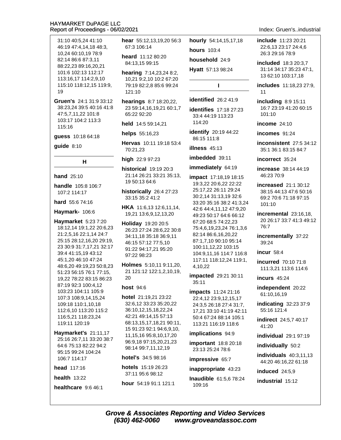31:10 40:5.24 41:10 46:19 47:4.14.18 48:3. 10,24 60:10,19 78:9 82:14 86:6 87:3,11 88:22.23 89:16.20.21 101:6 102:13 112:17 113:16,17 114:2,9,10 115:10 118:12,15 119:9,  $19$ 

Gruen's 24:1 31:9 33:12 38:23,24 39:5 40:16 41:8 47:5.7.11.22 101:8 103:17 104:2 113:3  $115.16$ 

quess 10:18 64:18

 $quide$  8:10

 $H$ 

**hand** 25:10

handle 105:8 106:7 107:2 114:17

hard 55:6 74:16

Haymark- 106:6

Haymarket 5:23 7:20 18:12,14 19:1,22 20:6,23 21:2,5,16 22:1,14 24:7 25:15 28:12,16,20 29:19, 23 30:9 31:7,17,21 32:17 39:4 41:15.19 43:12 45:1,20 46:10 47:24 48:6,20 49:19,23 50:8,23 51:23 56:15 76:1 77:15, 19,22 78:22 83:15 86:23 87:19 92:3 100:4,12 103:23 104:11 105:9 107:3 108:9.14.15.24 109:18 110:1,10,18 112:6,10 113:20 115:2 116:5.21 118:23.24 119:11 120:19

Haymarket's 21:11,17 25:16 26:7,11 33:20 38:7 64:6 75:13 82:22 94:2 95:15 99:24 104:24 106:7 114:17

#### head 117:16

health  $13:22$ 

healthcare 9:6 46:1

hear 55:12,13,19,20 56:3 67:3 106:14

heard 11:12 80:20 84:13,15 99:15

- hearing 7:14,23,24 8:2, 10,21 9:2,10 10:2 67:20 79:19 82:2.8 85:6 99:24 121:10
- **hearings** 8:7 18:20,22, 23 59:14,16,19,21 60:1,7 65:22 92:20

held 14:5 59:14.21

helps 55:16,23

Hervas 10:11 19:18 53:4 70:21,23

high 22:9 97:23

historical 19:19 20:3 21:14 26:21 33:21 35:13, 19 50:13 64:6

historically 26:4 27:23 33:15 35:2 41:2

HKA 11:6,13 12:6,11,14, 19,21 13:6,9,12,13,20

Holiday 19:20 20:5 26:23 27:24 28:6,22 30:8 34:11,18 35:18 36:9,11 46:15 57:12 77:5,10 91:22 94:17,21 95:20 97:22 98:23

Holmes 5:10,11 9:11,20, 21 121:12 122:1,2,10,19, 20

#### host 94:6

hotel 21:19,21 23:22 32:6.12 33:23 35:20.22 36:10,12,15,18,22,24 42:21 49:14,15 57:13 68:13,15,17,18,21 90:11, 15 91:23 92:1 94:6,9,10, 11, 15, 16 95: 8, 10, 17, 20 96:9,18 97:15,20,21,23 98:14 99:7,11,12,19

hotel's 34:5 98:16

hotels 15:19 26:23 37:11 95:6 98:12

hour 54:19 91:1 121:1

hourly 54:14,15,17,18

household 24:9

**hours** 103:4

Hyatt 57:13 98:24

 $\mathbf{I}$ 

identified 26:2 41:9

**identifies** 17:18 27:23 33:4 44:19 113:23 114:20

identify 20:19 44:22 86:15 111:8

illness  $45:13$ 

imbedded 39:11

immediately 64:19

impact 17:18,19 18:15 19:3,22 20:6,22 22:22 25:17,22 26:11 29:24 30:2,14 31:13,19 32:6 33:20 35:16 38:2 41:3.24 42:6 44:4,11,12 47:9,20 49:23 50:17 64:6 66:12 67:20 68:5 74:22,23 75:4,6,19,23,24 76:1,3,6 82:14 86:6,16,20,22 87:1,7,10 90:10 95:14 100:11,12,22 103:15 104:9,11,16 114:7 116:8 117:11 118:12,24 119:1, 4,10,22

impacted 29:21 30:11  $35:11$ 

impacts 11:24 21:16 22:4,12 23:9,12,15,17 24:3,5 26:18 27:4 31:7, 17.21 33:10 41:19 42:11 50:4 67:24 88:14 105:1 113:21 116:19 118:6

implications 94:9

**important** 18:8 20:18 23:13 25:24 78:6

impressive 65:7

inappropriate 43:23

Inaudible 61:5,6 78:24  $109.16$ 

include 11:23 20:21 22:6.13 23:17 24:4.6 26:3 29:16 78:9

included 18:3 20:3,7 31:14 34:17 35:23 47:1, 13 62:10 103:17,18

includes 11:18,23 27:9,  $11$ 

**including 8:9 15:11** 16:7 23:19 41:20 60:15  $101:10$ 

income  $24:10$ 

incomes 91:24

inconsistent 27:5 34:12 35:1 36:1 83:15 84:7

incorrect 35:24

**increase** 38:14 44:19 46:23 70:9

**increased** 21:1 30:12 38:15 44:13 47:6 50:16 69:2 70:6 71:18 97:15 101:10

incremental 23:16,18, 20 26:17 33:7 41:3 49:12 76:7

incrementally 37:22  $39:24$ 

incur 58:4

**incurred** 70:10 71:8 111:3,21 113:6 114:6

incurs 45:24

independent 20:22 61:10,16,19

indicating 32:23 37:9 55:16 121:4

indirect 24:5.7 40:17  $41.20$ 

individual 29:1 97:19

individually 50:2

individuals  $40:3,11,13$ 44:20 46:16,22 61:18

induced  $24:5.9$ 

industrial 15:12

**Grove & Associates Reporting and Video Services** (630) 462-0060 www.groveandassoc.com

#### Index: Gruen's..industrial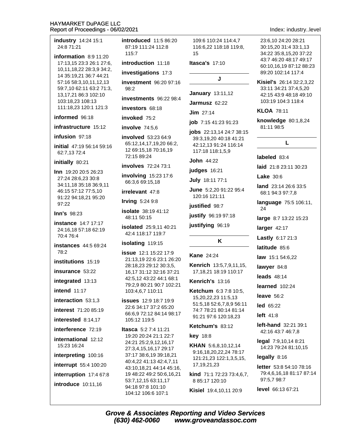industry 14:24 15:1 24:8 71:21

information  $8:911:20$ 17:13,15 23:3 26:1 27:6, 10,11,18,22 28:3,9 34:2, 14 35:19,21 36:7 44:21 57:16 58:3,10,11,12,13 59:7,10 62:11 63:2 71:3, 13,17,21 86:3 102:10 103:18,23 108:13 111:18,23 120:1 121:3

#### informed 96:18

#### infrastructure 15:12

#### infusion 97:18

initial 47:19 56:14 59:16 62:7,13 72:4

#### initially 80:21

Inn 19:20 20:5 26:23 27:24 28:6,23 30:8 34:11.18 35:18 36:9.11 46:15 57:12 77:5,10 91:22 94:18,21 95:20 97:22

#### **Inn's 98:23**

**instance** 14:7 17:17 24:16,18 57:18 62:19 70:4 76:4

**instances** 44:5 69:24  $78.2$ 

institutions 15:19

insurance 53:22

integrated 13:13

intend  $11:17$ 

interaction 53:1,3

**interest** 71:20 85:19

interested 8:14.17

interference 72:19

international 12:12 15:23 16:24

interpreting 100:16

interrupt 55:4 100:20

interruption 17:4 67:8

**introduce** 10:11.16

**introduced** 11:5 86:20 87:19 111:24 112:8 115:7

introduction 11:18

investigations 17:3

investment 96:20 97:16  $98.2$ 

investments 96:22 98:4

investors 68:18

# invoked  $75.2$

involve 74:5,6

involved 53:23 64:9 65:12,14,17,19,20 66:2, 12 69:15,18 70:16,19 72:15 89:24

involves 72:24 73:1

involving 15:23 17:6 66:3.6 69:15.18

#### irrelevant 47:8

**Irving 5:24 9:8** 

**isolate** 38:19 41:12 48:11 50:15

**isolated** 25:9,11 40:21 42:4 118:17 119:7

isolating 119:15

**issue** 12:1 15:22 17:9 21:13,19 22:6 23:1 26:20 28:18,23 29:12 30:3,5, 16,17 31:12 32:16 37:21 42:5,12 43:22 44:1 68:1 79:2,9 80:21 90:7 102:21 103:4,6,7 110:11

**issues** 12:9 18:7 19:9 22:6 34:17 37:2 65:20 66:6,9 72:12 84:14 98:17 105:12 119:5

Itasca 5:2 7:4 11:21 19:20 20:24 21:1 22:7 24:21 25:2,9,12,16,17 27:3,4,15,16,17 29:17 37:17 38:6,19 39:18,21 40:4,22 41:13 42:4,7,11 43:10,18,21 44:14 45:16, 19 48:22 49:2 50:6,16,21 53:7,12,15 63:11,17 94:18 97:8 101:10 104:12 106:6 107:1

109:6 110:24 114:4.7 116:6,22 118:18 119:8, 15

**Itasca's 17:10** 

# J

**January 13:11.12** 

Jarmusz 62:22

 $Jim$  27:14

#### job 7:15 41:23 91:23

jobs 22:13,14 24:7 38:15 39:3,19,20 40:18 41:21 42:12.13 91:24 116:14 117:18 118:1,5,9

**John 44:22** 

judges 16:21

**July 18:11 77:1** 

June 5:2,20 91:22 95:4 120:16 121:11

justified 98:7

justify 96:19 97:18

justifying 96:19

### K

#### **Kane 24:24**

Kenrich 13:5,7,9,11,15, 17, 18, 21 18: 19 110: 17

Kenrich's 13:16

Ketchum 6:3 7:8 10:5, 15,20,22,23 11:5,13 51:5,18 52:6,7,8,9 56:11 74:7 78:21 80:14 81:14 91:21 97:6 120:18,23

#### Ketchum's 83:12

**key** 18:8

KHAN 5:6,8,10,12,14 9:16,18,20,22,24 78:17 121:21,23 122:1,3,5,15, 17, 19, 21, 23

kind 71:1 72:23 73:4.6.7. 8 85:17 120:10

Kisiel 19:4,10,11 20:9

Index: industry..level

23:6.10 24:20 28:21 30:15.20 31:4 33:1.13 34:22 35:8,15,20 37:22 43:7 46:20 48:17 49:17 60:10.16.19 87:12 88:23 89:20 102:14 117:4

Kisiel's 26:14 32:2.3.22 33:11 34:21 37:4,5,20 42:15 43:9 48:18 49:10 103:19 104:3 118:4

#### **KLOA 78:11**

knowledge  $80:1,8,24$ 81:11 98:5

# L

#### labeled 83:4

laid 21:8 23:11 30:23

Lake  $30.6$ 

land 23:14 26:6 33:5 68:1 94:3 97:7,8

language 75:5 106:11, 24

large 8:7 13:22 15:23

larger 42:17

Lastly 6:17 21:3

latitude 85:6

law 15:1 54:6,22

lawver 84:8

leads  $48:14$ 

learned 102:24

leave  $56:2$ 

**led** 65:22

left 41:8

**left-hand**  $32:21$   $39:1$ 42:16 43:7 46:7.8

 $\text{legal } 7:9,10,148:21$ 14:23 79:24 81:10.15

legally 8:16

letter 53:8 54:10 78:16 79:4,6,16,18 81:17 87:14 97:5,7 98:7

level 66:13 67:21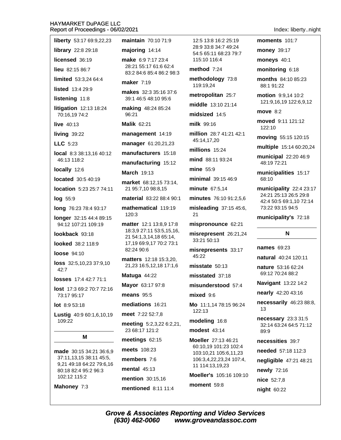| liberty 53:17 69:9,22,23                           | maintain 70:10 71:9                               | 12:5 13:8 16:2                  |
|----------------------------------------------------|---------------------------------------------------|---------------------------------|
| library 22:8 29:18                                 | majoring 14:14                                    | 28:9 33:8 34:7<br>54:5 65:11 68 |
| licensed 36:19                                     | make 6:9 7:17 23:4                                | 115:10 116:4                    |
| <b>lieu</b> 82:15 86:7                             | 28:21 55:17 61:6 62:4<br>83:2 84:6 85:4 86:2 98:3 | method $7:24$                   |
| limited 53:3,24 64:4                               | <b>maker</b> 7:19                                 | methodology                     |
| listed 13:4 29:9                                   | makes 32:3 35:16 37:6                             | 119:19,24                       |
| listening 11:8                                     | 39:1 46:5 48:10 95:6                              | metropolitan<br>middle 13:10    |
| litigation 12:13 18:24<br>70:16,19 74:2            | making 48:24 85:24<br>96:21                       | midsized 14:                    |
| live 40:13                                         | <b>Malik 62:21</b>                                | milk 99:16                      |
| living 39:22                                       | management 14:19                                  | million 28:74                   |
| LLC 5:23                                           | manager 61:20,21,23                               | 45:14,17,20                     |
| local 8:3 38:13,16 40:12                           | manufacturers 15:18                               | millions 15:24                  |
| 46:13 118:2                                        | manufacturing 15:12                               | mind 88:11 93                   |
| locally 12:6                                       | <b>March 19:13</b>                                | mine 55:9                       |
| located 30:5 40:19                                 | market 68:12,15 73:14,                            | minimal 39:1                    |
| location 5:23 25:7 74:11                           | 21 95:7,10 98:8,15                                | minute 67:5,1                   |
| log 55:9                                           | material 83:22 88:4 90:1                          | minutes 76:1                    |
| long 76:23 78:4 93:17                              | mathematical 119:19<br>120:3                      | misleading 3<br>21              |
| longer 32:15 44:4 89:15<br>94:12 107:21 109:19     | matter 12:1 13:8,9 17:8                           | mispronounc                     |
| lookback 93:18                                     | 18:3,9 27:11 53:5,15,16,                          | misrepresent                    |
| looked 38:2 118:9                                  | 21 54:1,3,14,18 65:14,<br>17,19 69:9,17 70:2 73:1 | 33:21 50:13                     |
| <b>loose</b> 94:10                                 | 82:24 90:6                                        | misrepresent<br>45:22           |
| loss 32:5,10,23 37:9,10<br>42:7                    | matters 12:18 15:3,20,<br>21,23 16:5,12,18 17:1,6 | misstate 50:1                   |
| losses 17:4 42:7 71:1                              | Matuga 44:22                                      | misstated 37                    |
| <b>lost</b> 17:3 69:2 70:7 72:16                   | Mayor 63:17 97:8                                  | misunderstor                    |
| 73:17 95:17                                        | means $95:5$                                      | mixed 9:6                       |
| lot 8:9 53:18                                      | mediations 16:21                                  | <b>Mo</b> $11:1,1478$           |
| Lustig 40:9 60:1,6,10,19                           | meet 7:22 52:7,8                                  | 122:13                          |
| 109:22                                             | meeting 5:2,3,22 6:2,21,                          | modeling 16:                    |
| М                                                  | 23 68:17 121:2                                    | modest 43:14                    |
|                                                    | meetings 62:15                                    | Moeller 27:13<br>60:10,19 101:  |
| made 30:15 34:21 36:6,9<br>37:11,13,15 38:11 45:5, | meets 108:23                                      | 103:10,21 105                   |
| 9,21 49:18 64:22 79:6,16                           | members 7:6                                       | 106:3,4,22,23<br>11 114:13,19,  |
| 80:18 82:4 95:2 96:3<br>102:12 115:2               | mental $45:13$                                    | Moeller's 105                   |
|                                                    | mention 30:15,16                                  |                                 |

mentioned 8:11 11:4

 $25:19$  $'49:24$  $:2379:7$ 

73:8

 $25:7$ 

 $21:14$ 

5

 $1:2142:1$ 

 $\overline{4}$  $3:24$ 

546:9

 $\overline{4}$ 

091:2,5,6

37:15 45:6,

 $e$  62:21

26:21,24

 $\frac{1}{5}$  33:17

 $|3|$ 

 $:18$ 

od 57:4

:15 96:24

#### $\overline{\bf 8}$

46:21 23 102:4 5:6,11,23 ,24 107:4, 23

:16 109:10

moment 59:8

moments 101:7

money 39:17

moneys 40:1

monitoring 6:18

months 84:10 85:23 88:1 91:22

motion 9:9,14 10:2 121:9,16,19 122:6,9,12

move  $8:2$ 

moved 9:11 121:12 122:10

moving 55:15 120:15

multiple 15:14 60:20,24

municipal 22:20 46:9 48:19 72:21

municipalities 15:17 68:10

municipality 22:4 23:17 24:21 25:13 26:5 29:8 42:4 50:5 69:1,10 72:14 73:22 93:15 94:5

municipality's 72:18

# N.

names 69:23

natural 40:24 120:11

nature 53:16 62:24 69:12 70:24 88:2

**Navigant 13:22 14:2** 

nearly 42:20 43:16

necessarily 46:23 88:8, 13

necessary 23:3 31:5 32:14 63:24 64:5 71:12 89:9

necessities 39:7

needed 57:18 112:3

negligible 47:21 48:21

newly 72:16

nice 52:7,8

night 60:22

Mahoney 7:3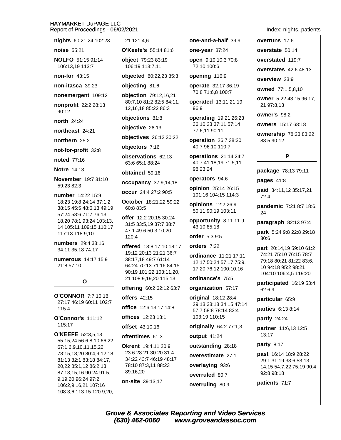| nights 60:21,24 102:23                                                        | 21 121:4,6                                                                                          | one-and-a-half 39:9                                                        | overruns 17:6                                                           |
|-------------------------------------------------------------------------------|-----------------------------------------------------------------------------------------------------|----------------------------------------------------------------------------|-------------------------------------------------------------------------|
| <b>noise</b> 55:21                                                            | <b>O'Keefe's</b> 55:14 81:6                                                                         | one-year 37:24                                                             | overstate 50:1                                                          |
| <b>NOLFO</b> 51:15 91:14                                                      | object 79:23 83:19                                                                                  | <b>open</b> 9:10 10:3 70:8                                                 | overstated 119                                                          |
| 106:13,19 113:7                                                               | 106:19 113:7,11                                                                                     | 72:10 100:6                                                                | overstates 42:                                                          |
| non-for $43:15$                                                               | objected 80:22,23 85:3                                                                              | opening 116:9                                                              | overview 23:9                                                           |
| non-itasca 39:23                                                              | objecting 81:6                                                                                      | operate 32:17 36:19<br>70:8 71:6,8 100:7                                   | <b>owned</b> 77:1,5,8                                                   |
| nonemergent 109:12                                                            | objection 79:12,16,21                                                                               |                                                                            | <b>owner</b> 5:22 43:                                                   |
| nonprofit 22:2 28:13<br>90:12                                                 | 80:7,10 81:2 82:5 84:11,<br>12,16,18 85:22 86:3                                                     | operated 13:11 21:19<br>96:9                                               | 21 97:8,13<br>owner's 98:2                                              |
| <b>north</b> 24:24                                                            | objections 81:8                                                                                     | operating 19:21 26:23                                                      |                                                                         |
| northeast 24:21                                                               | objective 26:13                                                                                     | 36:10,23 37:11 57:14<br>77:6,11 90:11                                      | <b>owners</b> 15:17 6                                                   |
| northern 25:2                                                                 | objectives 26:12 30:22                                                                              | operation 26:7 38:20<br>40:7 96:10 110:7                                   | ownership 78:<br>88:5 90:12                                             |
| not-for-profit 32:8                                                           | objectors 7:16                                                                                      |                                                                            |                                                                         |
| <b>noted</b> 77:16                                                            | observations 62:13<br>63:6 65:1 88:24                                                               | operations 21:14 24:7<br>40:7 41:18,19 71:5,11                             | P                                                                       |
| <b>Notre 14:13</b>                                                            | obtained 59:16                                                                                      | 98:23,24                                                                   | package 78:13                                                           |
| <b>November</b> 19:7 31:10<br>59:23 82:3                                      | occupancy 37:9,14,18                                                                                | operators 94:6                                                             | pages 41:8                                                              |
| <b>number</b> 14:22 15:9                                                      | <b>occur</b> 24:4 27:2 90:5                                                                         | opinion 25:14 26:15<br>101:16 104:15 114:3                                 | paid 34:11,123<br>72:4                                                  |
| 18:23 19:8 24:14 37:1,2<br>38:15 45:5 48:6,13 49:19                           | October 18:21,22 59:22<br>60:8 83:5                                                                 | opinions 12:2 26:9<br>50:11 90:19 103:11                                   | pandemic 7:21<br>24                                                     |
| 57:24 58:6 71:7 76:13,<br>18,20 78:1 93:24 103:13,<br>14 105:11 109:15 110:17 | <b>offer</b> 12:2 20:15 30:24<br>31:5 33:5,19 37:7 38:7                                             | opportunity 8:11 11:9<br>43:10 85:18                                       | paragraph 82:                                                           |
| 117:13 118:9,10                                                               | 47:1 49:6 50:3,10,20<br>120:4                                                                       | order $5:39:5$                                                             | park 5:24 9:8 2:<br>30:6                                                |
| numbers 29:4 33:16<br>34:11 35:18 74:17                                       | offered 13:8 17:10 18:17                                                                            | orders $7:22$                                                              | part 20:14,195                                                          |
| numerous 14:17 15:9<br>21:8 57:10                                             | 19:12 20:13 21:21 36:7<br>38:17,18 49:7 61:14<br>64:24 70:13 71:16 84:15<br>90:19 101:22 103:11,20, | ordinance 11:21 17:11,<br>12,17 50:24 57:17 75:9,<br>17,20 76:12 100:10,16 | 74:21 75:10 76:<br>79:18 80:21 81:<br>10 94:18 95:2 9<br>104:10 106:4,5 |
| O                                                                             | 21 108:9,19,20 115:13                                                                               | ordinance's 75:5                                                           | participated 1                                                          |
|                                                                               | offering 60:2 62:12 63:7                                                                            | organization 57:17                                                         | 62:6.9                                                                  |
| <b>O'CONNOR 7:7 10:18</b><br>27:17 46:19 60:11 102:7                          | offers $42:15$<br><b>office</b> 12:6 13:17 14:8                                                     | original 18:12 28:4<br>29:13 33:13 34:15 47:14<br>57:7 58:8 78:14 83:4     | particular 65:9                                                         |
| 115:4                                                                         |                                                                                                     |                                                                            | parties 6:13 8:                                                         |
| $O'Connor's$ 111:12                                                           | <b>offices</b> 12:23 13:1                                                                           | 103:19 110:15                                                              | nartly $24.24$                                                          |

O'Connor's 111:12 115:17

**O'KEEFE** 52:3.5.13 55:15,24 56:6,8,10 66:22 67:1,6,9,10,11,15,22 78:15,18,20 80:4,9,12,18 81:13 82:1 83:18 84:17, 20,22 85:1,12 86:2,13 87:13,15,16 90:24 91:5, 9,19,20 96:24 97:2 106:2,9,16,21 107:16 108:3,6 113:15 120:9,20,

**offset** 43:10,16 oftentimes 61:3

Okrent 19:4,11 20:9 23:6 28:21 30:20 31:4 34:22 43:7 46:19 48:17 78:10 87:3,11 88:23 89:16,20

on-site 39:13,17

originally 64:2 77:1,3

output 41:24

outstanding 28:18

overestimate 27:1

overlaying 93:6

overruled 80:7

overruling 80:9

#### Index: nights..patients

te  $50:14$ 

ted 119:7

tes 42:6 48:13

77:1,5,8,10

5:22 43:15 96:17,  $, 13$ 

15:17 68:18

hip 78:23 83:22  $:12$ 

#### P

e 78:13 79:11

:11,12 35:17,21

nic 7:21 8:7 18:6,

iph 82:13 97:4

24 9:8 22:8 29:18

14,19 59:10 61:2 5:10 76:15 78:7 0:21 81:22 83:6, 8 95:2 98:21 106:4,5 119:20

ated 16:19 53:4

6:13 8:14

partly 24:24

partner 11:6,13 12:5 13:17

party 8:17

past 16:14 18:9 28:22 29:1 31:19 33:6 53:13, 14,15 54:7,22 75:19 90:4 92:8 98:18

patients 71:7

**Grove & Associates Reporting and Video Services**  $(630)$  462-0060 www.groveandassoc.com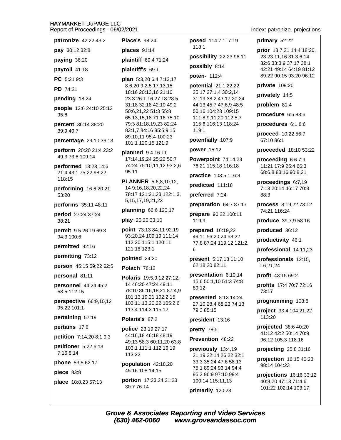| patronize 42:22 43:2            | <b>Place's 98:24</b>                                                                |                                                       | primary 52:22                                      |
|---------------------------------|-------------------------------------------------------------------------------------|-------------------------------------------------------|----------------------------------------------------|
|                                 |                                                                                     | posed 114:7 117:19<br>118:1                           |                                                    |
| pay 30:12 32:8                  | places 91:14                                                                        | possibility 22:23 96:11                               | prior 13:7,21 14:4 18:20,<br>23 23:11,16 31:3,6,14 |
| paying 36:20                    | plaintiff 69:4 71:24<br>possibly 8:14                                               |                                                       | 32:6 33:3,9 37:17 38:1                             |
| payroll 41:18                   | plaintiff's 69:1                                                                    |                                                       | 42:21 49:14 64:19 81:12                            |
| PC 5:21 9:3                     | plan 5:3,20 6:4 7:13,17                                                             | poten- 112:4                                          | 89:22 90:15 93:20 96:12                            |
| <b>PD</b> 74:21                 | 8:6,20 9:2,5 17:13,15<br>18:16 20:13,16 21:10                                       | potential 21:1 22:22<br>25:17 27:1,4 30:2,14          | private 109:20                                     |
| pending 18:24                   | 23:3 26:1,16 27:18 28:5                                                             | 31:19 38:2 43:17,20,24                                | privately 14:5                                     |
| people 13:6 24:10 25:13         | 31:18 32:18 42:10 49:2                                                              | 44:13 45:7 47:6,9 48:5                                | problem 81:4                                       |
| 95:6                            | 50:6,21,22 51:3 55:8<br>65:13,15,18 71:16 75:10                                     | 50:16 104:23 109:15<br>111:8,9,11,20 112:5,7          | procedure 6:5 88:6                                 |
| percent 36:14 38:20             | 79:3 81:18,19,23 82:24                                                              | 115:6 116:13 118:24                                   | procedures 6:1 8:6                                 |
| 39:9 40:7                       | 83:1,7 84:16 85:5,9,15<br>89:10,11 95:4 100:23                                      | 119:1                                                 | proceed 10:22 56:7                                 |
| percentage 29:10 36:13          | 101:1 120:15 121:9                                                                  | potentially 107:9                                     | 67:10 86:1                                         |
| perform 20:20 21:4 23:2         | planned 9:4 16:11                                                                   | power 15:12                                           | proceeded 18:10 53:22                              |
| 49:3 73:8 109:14                | 17:14,19,24 25:22 50:7                                                              | Powerpoint 74:14,23                                   | proceeding 6:6 7:9                                 |
| performed 13:23 14:6            | 74:24 75:10,11,12 93:2,6<br>95:11                                                   | 76:21 115:18 116:18                                   | 11:21 17:9 25:4 66:3                               |
| 21:4 43:1 75:22 98:22<br>118:15 |                                                                                     | practice 103:5 116:8                                  | 68:6,8 83:16 90:8,21                               |
| performing 16:6 20:21           | <b>PLANNER</b> 5:6,8,10,12,<br>14 9:16,18,20,22,24<br>78:17 121:21,23 122:1,3,      | predicted 111:18                                      | proceedings 6:7,19<br>7:13 20:14 46:17 70:3        |
| 53:20                           |                                                                                     | preferred 7:24                                        | 88:3                                               |
| performs 35:11 48:11            | 5, 15, 17, 19, 21, 23                                                               | preparation 64:7 87:17                                | process 8:19,22 73:12                              |
| period 27:24 37:24              | planning 66:6 120:17                                                                | prepare 90:22 100:11                                  | 74:21 116:24                                       |
| 38:21                           | play 25:20 33:10                                                                    | 119:9                                                 | produce 39:7,9 58:16                               |
| permit 9:5 26:19 69:3           | point 73:13 84:11 92:19                                                             | prepared 16:19,22                                     | produced 36:12                                     |
| 94:3 100:6                      | 93:20,24 109:19 111:14<br>112:20 115:1 120:11<br>121:18 123:1                       | 49:11 56:20,24 58:22<br>77:8 87:24 119:12 121:2,<br>6 | productivity 46:1                                  |
| permitted 92:16                 |                                                                                     |                                                       | professional 14:11,23                              |
| permitting 73:12                | pointed 24:20                                                                       | present 5:17,18 11:10                                 | professionals 12:15,                               |
| person 45:15 59:22 62:5         | <b>Polach 78:12</b>                                                                 | 62:18,20 82:11                                        | 16,21,24                                           |
| personal 81:11                  | Polaris 19:5,9,12 27:12,                                                            | presentation 6:10,14                                  | profit 43:15 69:2                                  |
| personnel 44:24 45:2            | 14 46:20 47:24 49:11                                                                | 15:6 50:1,10 51:3 74:8<br>89:12                       | profits 17:4 70:7 72:16                            |
| 58:5 112:15                     | 78:10 86:16,18,21 87:4,9<br>101:13,19,21 102:2,15                                   |                                                       | 73:17                                              |
| perspective 66:9,10,12          | 103:11,13,20,22 105:2,6                                                             | presented 8:13 14:24<br>27:10 28:4 68:23 74:13        | programming 108:8                                  |
| 95:22 101:1                     | 113:4 114:3 115:12                                                                  | 79:3 85:15                                            | project 33:4 104:21,22                             |
| pertaining 57:19                | Polaris's 87:2                                                                      | president 13:16                                       | 113:20                                             |
| pertains 17:8                   | <b>police</b> 23:19 27:17                                                           | pretty 78:5                                           | projected 38:6 40:20<br>41:12 42:2 50:14 70:9      |
| petition 7:14,20 8:1 9:3        | 44:16,18 46:18 48:19<br>49:13 58:3 60:11,20 63:8<br>103:1 111:1 112:16,19<br>113:22 | Prevention 48:22                                      | 96:12 105:3 118:16                                 |
| petitioner 5:22 6:13            |                                                                                     | previously 13:4,19<br>21:19 22:14 26:22 32:1          | projecting 25:8 31:16                              |
| 7:16 8:14                       |                                                                                     |                                                       | projection 16:15 40:23                             |
| phone 53:5 62:17                | population 42:18,20                                                                 | 33:3 35:24 47:6 58:13<br>75:1 89:24 93:14 94:4        | 98:14 104:23                                       |
| piece 83:8                      | 45:16 108:14,15                                                                     | 95:3 96:9 97:10 99:4                                  | projections 16:16 33:12                            |
| place 18:8,23 57:13             | portion 17:23,24 21:23                                                              | 100:14 115:11,13                                      | 40:8,20 47:13 71:4,6                               |

Index: patronize..projections

101:22 102:14 103:17,

**Grove & Associates Reporting and Video Services** (630) 462-0060 www.groveandassoc.com

primarily 120:23

30:7 76:14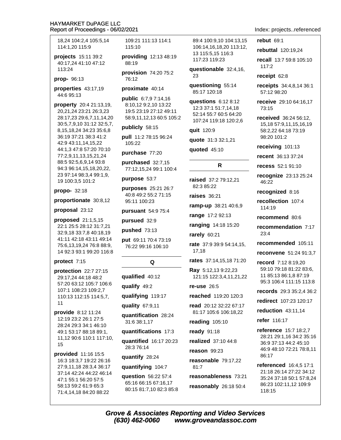18.24 104:2.4 105:5.14 114:1.20 115:9

projects 15:11 39:2 40:17,24 41:10 47:12 113:24

prop- 96:13

properties 43:17,19 44:6 95:13

property 20:4 21:13,19, 20,21,24 23:21 26:3,23 28:17,23 29:6,7,11,14,20 30:5,7,9,10 31:12 32:5,7, 8, 15, 18, 24 34: 23 35: 6, 8 36:19 37:21 38:3 41:2 42:9 43:11,14,15,22 44:1,3 47:8 57:20 70:10 77:2,9,11,13,15,21,24 88:5 92:5,6,9,14 93:8 94:3 96:14,15,18,20,22, 23 97:14 98:3,4 99:1,9, 19 100:3,5 101:2

propo- 32:18

proportionate 30:8,12

proposal 23:12

proposed 21:1,5,15 22:1 25:5 28:12 31:7,21 32:9,18 33:7,8 40:18,19 41:11 42:18 43:11 49:14 75:6,13,19,24 76:8 88:9, 14 92:3 93:1 99:20 116:8

#### protect 7:15

protection 22:7 27:15 29:17.24 44:18 48:2 57:20 63:12 105:7 106:6 107:1 108:23 109:2,7 110:13 112:15 114:5,7,  $11$ 

provide 8:12 11:24 12:19 23:2 26:1 27:5 28:24 29:3 34:1 46:10 49:1 53:17 88:18 89:1, 11,12 90:6 110:1 117:10, 15

provided 11:16 15:5 16:3 18:3,7 19:22 26:16 27:9,11,18 28:3,4 36:17 37:14 42:24 44:22 46:14 47:1 55:1 56:20 57:5 58:13 59:2 61:9 65:3 71:4,14,18 84:20 88:22

109:21 111:13 114:1  $115:10$ 

providing 12:13 48:19 88:19

provision 74:20 75:2 76:12

proximate 40:14

public 6:7,9 7:14,16 8:10,12 9:2,10 13:22 19:5 23:19 27:12 49:11 58:9,11,12,13 60:5 105:2

publicly 58:15

pull 11:2 78:15 96:24 105:22

purchase 77:20

purchased 32:7,15 77:12,15,24 99:1 100:4

purpose 53:7

purposes 25:21 26:7 40:8 49:2 55:2 71:15 95:11 100:23

pursuant 54:9 75:4

pursued 32:9

pushed 73:13

put 69:11 70:4 73:19 76:22 99:16 106:10

# Q

qualified 40:12 qualify 49:2 qualifying 119:17 quality 67:9,11

quantification 28:24 31:6 38:1,17

quantifications 17:3

quantified 16:17 20:23 28:3 76:14

quantify 28:24

quantifying 104:7

question 56:22 57:4 65:16 66:15 67:16,17 80:15 81:7,10 82:3 85:8 89:4 100:9.10 104:13.15 106:14.16.18.20 113:12. 13 115:5,15 116:3 117:23 119:23

questionable 32:4,16, 23

questioning 55:14 85:17 120:18

questions  $6:128:12$ 12:3 37:1 51:7,14,18 52:14 55:7 60:5 64:20 107:24 119:18 120:2.6

quit 120:9

quote 31:3 32:1,21

quoted 45:10

# R

raised 37:2 79:12.21 82:3 85:22

raises 36:21

ramp-up 38:21 40:6,9

range 17:2 92:13

ranging 14:18 15:20

rarely 60:21

rate 37:9 39:9 54:14,15, 17.18

rates 37:14,15,18 71:20

Ray 5:12,13 9:22,23 121:15 122:3,4,11,21,22

re-use  $26:5$ 

reached 119:20 120:3

read 20:12 32:22 67:17 81:17 105:6 106:18,22

reading  $105:10$ 

**ready** 91:18

realized 37:10 44:8

 $reason$  99:23

reasonable 79:17,22  $81:7$ 

reasonableness 73:21

reasonably 26:18 50:4

Index: projects..referenced

#### rebut 69:1

rebuttal 120:19,24

recall 13:7 59:8 105:10  $117:2$ 

receipt 62:8

receipts 34:4,8,14 36:1 57:12 98:20

receive 29:10 64:16.17 73:15

received 36:24 56:12. 15,18 57:9,11,15,16,19 58:2.22 64:18 73:19 98:20 101:2

receiving 101:13

recent 36:13 37:24

recess 52:1 91:10

**recognize** 23:13 25:24 46:22

recognized 8:16

recollection 107:4 114:19

recommend 80:6

recommendation 7:17  $23:4$ 

recommended 105:11

reconvene 51:24 91:3.7

record 7:12 8:19.20 59:10 79:18 81:22 83:6, 11 85:13 86:1,8 87:19 95:3 106:4 111:15 113:8

records 29:3 35:2.4 36:2

redirect 107:23 120:17

reduction  $43:11.14$ 

refer 116:17

reference 15:7 18:2,7 28:21 29:1,16 34:2 35:16 36:9 37:13 44:2 45:10 46:9 48:10 72:21 78:8,11 86:17

**referenced** 16:4.5 17:1 21:18 26:14 27:22 34:12 35:24 37:18 50:1 57:8,24 86:23 102:11,12 109:9 118:15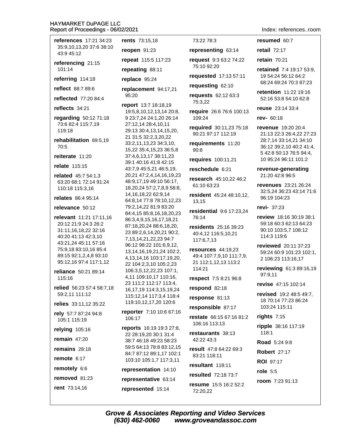| references 17:21 34:23                        | rents 73:15,18                                           |
|-----------------------------------------------|----------------------------------------------------------|
| 35:9,10,13,20 37:6 38:10<br>43:9 45:12        | reopen 91:23                                             |
| referencing 21:15                             | repeat 115:5 117:23                                      |
| 101:14                                        | repeating 88:11                                          |
| referring 114:18                              | replace 95:24                                            |
| <b>reflect</b> 88:7 89:6                      | replacement 94:17,21                                     |
| reflected 77:20 84:4                          | 95:20                                                    |
| reflects 34:21                                | report 13:7 18:18,19                                     |
| regarding 50:12 71:18                         | 19:5,8,10,12,13,14 20:8,<br>9 23:7,24 24:1,20 26:14      |
| 73:6 82:4 115:7,19                            | 27:12,14 28:4,10,11                                      |
| 119:18                                        | 29:13 30:4,13,14,15,20,                                  |
| rehabilitation 69:5,19                        | 21 31:5 32:2,3,20,22                                     |
| 70:5                                          | 33:2,11,13,23 34:3,10,                                   |
| reiterate 11:20                               | 15,22 35:4,15,23 36:5,8<br>37:4,6,13,17 38:11,23         |
|                                               | 39:1 40:16 41:8 42:15                                    |
| relate 115:15                                 | 43:7,9 45:5,21 46:5,19,                                  |
| <b>related</b> $45:754:1,3$                   | 20,21 47:2,4,14,16,19,23                                 |
| 63:20 68:1 72:14 91:24                        | 48:9,17,19 49:10 56:17,                                  |
| 110:18 115:3,16                               | 18,20,24 57:2,7,8,9 58:8,                                |
| <b>relates</b> 86:4 95:14                     | 14, 16, 18, 22 62: 9, 14                                 |
| relevance 50:12                               | 64:8,14 77:8 78:10,12,23<br>79:2,14,22 81:9 83:20        |
|                                               | 84:4,15 85:8,16,18,20,23                                 |
| relevant 11:21 17:11,16                       | 86:3,4,9,15,16,17,18,21                                  |
| 20:12 21:9 24:3 26:2                          | 87:18,20,24 88:6,18,20,                                  |
| 31:11,16,18,22 32:16                          | 23 89:2,6,14,20,21 90:2,                                 |
| 40:20 41:13 42:3,10                           | 7,13,14,21,22,23 94:7                                    |
| 43:21,24 45:11 57:16<br>75:9,18 83:10,16 85:4 | 96:12 98:22 101:6,9,12,                                  |
| 89:15 92:1,2,4,8 93:10                        | 13, 14, 16, 19, 21, 24 10 2: 2,                          |
| 95:12,16 97:4 117:1,12                        | 4, 13, 14, 16 103: 17, 19, 20,                           |
|                                               | 22 104:2,3,10 105:2,23<br>106:3,5,12,22,23 107:1,        |
| reliance 50:21 89:14<br>115:16                | 4,11 109:10,17 110:16,                                   |
|                                               | 23 111:2 112:17 113:4,                                   |
| relied 56:23 57:4 58:7,18                     | 16, 17, 19 114: 3, 15, 19, 24                            |
| 59:2,11 111:12                                | 115:12,14 117:3,4 118:4                                  |
| relies 33:11,12 35:22                         | 119:10,12,17,20 120:6                                    |
| rely 57:7 87:24 94:8                          | <b>reporter</b> 7:10 10:6 67:16                          |
| 105:1 115:19                                  | 106:17                                                   |
| relying 105:16                                | <b>reports</b> 16:19 19:3 27:8,<br>22 28:19,20 30:1 31:4 |
| remain $47:20$                                | 38:7 46:18 49:23 58:23                                   |
| remains 28:18                                 | 59:5 64:13 78:8 83:12,15                                 |
| remote $6:17$                                 | 84:7 87:12 89:1,17 102:1<br>103:10 105:1,7 117:3,11      |
| remotely 6:6                                  | representation 14:10                                     |
| removed 81:23                                 | representative 63:14                                     |
| rent 73:14,16                                 |                                                          |
|                                               | represented 15:14                                        |

73:22 78:3

representing 63:14

request 9:3 63:2 74:22 75:10 92:20

requested 17:13 57:11

requesting 62:10

requests 62:12 63:3 75:3.22

require 26:6 76:6 100:13  $109.24$ 

required 30:11,23 75:18 90:21 97:17 112:19

requirements 11:20  $90:8$ 

**requires** 100:11,21

reschedule 6:21

research 45:10.22 46:2 61:10 63:23

resident 45:24 48:10,12, 13.15

residential 9:6 17:23,24 76:14

residents 25:16 39:23 40:4,12 116:5,10,21 117:6,7,13

resources 44:19.23 49:4 107:7,9,10 111:7,9, 21 112:1,12,13 113:2 114:21

respect 7:5 8:21 96:8

respond 82:18

response 81:13

responsible 87:17

restate 66:15 67:16 81:2 106:16 113:13

restaurants 38:13 42:22 43:3

result 47:8 64:22 69:3 83:21 118:11

resultant 118:11

resulted 72:18 73:7

resume 15:5 16:2 52:2 72:20,22

#### Index: references..room

#### resumed 60:7

retail 72:17

retain  $70:21$ 

retained 7:4 19:17 53:9, 19 54:24 56:12 64:2 68:24 69:24 70:3 87:23

retention 11:22 19:16 52:16 53:8 54:10 62:8

**reuse** 23:14 33:4

rev- 60:18

revenue 19:20 20:4 21:13 22:3 26:4,22 27:23 28:7,14 33:14,21 34:10 36:12 39:2,10 40:2 41:4, 5 42:8 50:13 76:5 94:4, 10 95:24 96:11 101:2

revenue-generating 21:20 42:8 96:5

revenues 23:21 26:24 32:5,24 36:23 43:14 71:6 96:19 104:23

revi- $37:23$ 

review 18:16 30:19 38:1 59:18 60:3 62:13 64:23 90:10 103:5,7 108:12 114:3 119:6

reviewed 20:11 37:23 59:24 60:9 101:23 102:1. 2 106:23 113:16,17

reviewing 61:3 89:16,19 97:9,11

revise 47:15 102:14

revised 19:2 48:5 49:7. 18 70:14 77:23 86:24 103:24 115:11

rights  $7:15$ 

ripple 38:16 117:19 118:1

Road 5:24 9:8

**Robert 27:17** 

**ROI** 97:17

role  $5:5$ 

room 7:23 91:13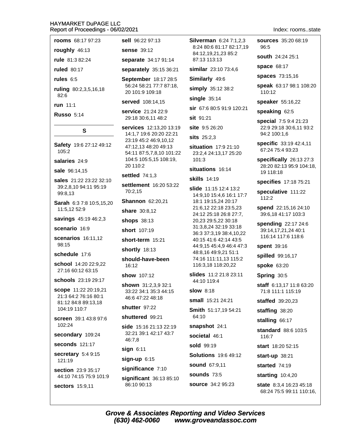#### HAYMARKET DUPAGE I I C Re

| eport of Proceedings - 06/02/2021                                                                 |                                                                            |
|---------------------------------------------------------------------------------------------------|----------------------------------------------------------------------------|
| <b>rooms</b> 68:17 97:23                                                                          | sell 96:22 97:13                                                           |
| roughly 46:13                                                                                     | <b>sense</b> 39:12                                                         |
| rule 81:3 82:24                                                                                   | separate 34:17                                                             |
| <b>ruled</b> 80:17                                                                                | separately 35:1                                                            |
| rules $6:5$                                                                                       | September 18:                                                              |
| ruling 80:2,3,5,16,18<br>82:6                                                                     | 56:24 58:21 77:7<br>20 101:9 109:18                                        |
| run 11:1                                                                                          | served 108:14,1                                                            |
| <b>Russo 5:14</b>                                                                                 | service 21:24 2<br>29:18 30:6,11 48                                        |
| s                                                                                                 | services 12:13,<br>14:1,7 19:6 20:2                                        |
| Safety 19:6 27:12 49:12<br>105:2                                                                  | 23:19 45:2 46:9,<br>47:12,13 48:20 4<br>54:11 87:5,7,8,1<br>104:5 105:5,15 |
| salaries 24:9                                                                                     | 20 110:2                                                                   |
| sale 96:14,15                                                                                     | <b>settled</b> 74:1,3                                                      |
| <b>sales</b> 21:22 23:22 32:10<br>39:2,8,10 94:11 95:19<br>99:8.13                                | settlement 16:2<br>70:2,15                                                 |
| Sarah 6:3 7:8 10:5,15,20                                                                          | Shannon 62:20                                                              |
| 11:5,12 52:9                                                                                      | share 30:8,12                                                              |
| savings 45:19 46:2,3                                                                              | shops 38:13                                                                |
| scenario 16:9                                                                                     | <b>short</b> 107:19                                                        |
| scenarios 16:11,12<br>98:15                                                                       | short-term 15:2                                                            |
| schedule 17:6                                                                                     | shortly 18:13                                                              |
| school 14:20 22:9,22<br>27:16 60:12 63:15                                                         | should-have-be<br>16:12                                                    |
|                                                                                                   | show 107:12                                                                |
| schools 23:19 29:17<br><b>scope</b> 11:22 20:19,21<br>21:3 64:2 76:16 80:1<br>81:12 84:8 89:13,18 | shown 31:2,3,9<br>33:22 34:1 35:3<br>46:6 47:22 48:18                      |

104:19 110:7 screen 39:1 43:8 97:6 102:24

secondary 109:24

seconds 121:17

secretary 5:4 9:15 121:19

section 23:9 35:17 44:10 74:15 75:9 101:9

sectors 15:9.11

12 34:17 91:14  $y$  35:15 36:21

er 18:17 28:5 21 77:7 87:18, 109:18

#### 08:14.15

 $1:2422:9$ 6,11 48:2

12:13,20 13:19 :6 20:20 22:21 246:9,10,12 48:20 49:13 5,7,8,10 101:22  $6:5,15108:19,$ 

#### $4:1,3$

 $t$  16:20 53:22

62:20.21

**n** 15:21

ave-been

 $:2,3,9$  32:1 1 35:3 44:15 248:18

shutter 97:22

#### shuttered 99:21

side 15:16 21:13 22:19 32:21 39:1 42:17 43:7 46:7,8

 $sign 6:11$ 

 $sign-up$  6:15

significance 7:10

significant 36:13 85:10 86:10 90:13

**Silverman 6:24 7:1.2.3** 8:24 80:6 81:17 82:17.19 84:12,19,21,23 85:2 87:13 113:13

similar 23:10 73:4,6

Similarly 49:6

simply 35:12 38:2

single  $35:14$ 

sir 67:6 80:5 91:9 120:21

 $s$ it 91.21

site 9:5 26:20

sits 25:2,3

situation 17:9 21:10 23:2,4 24:13,17 25:20  $101:3$ 

#### situations 16:14

**skills** 14:19

slide 11:15 12:4 13:2 14:9,10 15:4,6 16:1 17:7 18:1 19:15,24 20:17 21:6,12 22:18 23:5,23 24:12 25:18 26:8 27:7, 20,23 29:5,22 30:18 31:3,8,24 32:19 33:18 36:3 37:3.19 38:4.10.22 40:15 41:6 42:14 43:5 44:9,15 45:4,9 46:4 47:3 48:8.16 49:9.21 51:1 74:16 111:11.13 115:2 116:3,18 118:20,22

slides 11:2 21:8 23:11 44:10 119:4

**slow** 8:18

small 15:21 24:21

Smith 51:17,19 54:21 64:10

snapshot 24:1

societal 46:1

sold 99:19

**Solutions** 19:6 49:12

**sound 67:9.11** 

**sounds 73:5** 

**source** 34:2 95:23

**sources** 35:20 68:19 96:5

south 24:24 25:1

space 68:17

spaces 73:15,16

speak 63:17 98:1 108:20 110:12

speaker 55:16,22

speaking 62:5

special 7:5 9:4 21:23 22:9 29:18 30:6,11 93:2 94:2 100:1,6

specific 33:19 42:4,11 67:24 75:4 93:23

specifically  $26:1327:3$ 28:20 82:13 95:9 104:18. 19 118:18

specifies 17:18 75:21

speculative 111:22  $112:2$ 

spend 22:15,16 24:10 39:6,18 41:17 103:3

spending 22:17 24:6 39:14.17.21.24 40:1 116:14 117:6 118:6

spent 39:16

spilled 99:16,17

spoke 63:20

Spring 30:5

staff 6:13,17 11:8 63:20 71:8 111:1 115:19

**staffed** 39:20.23

staffing 38:20

stalling 66:17

standard 88:6 103:5 116:7

start 18:20 52:15

start-up 38:21

started 74:19

starting  $10:4,20$ 

state 8:3,4 16:23 45:18 68:24 75:5 99:11 110:16,

# Index: rooms..state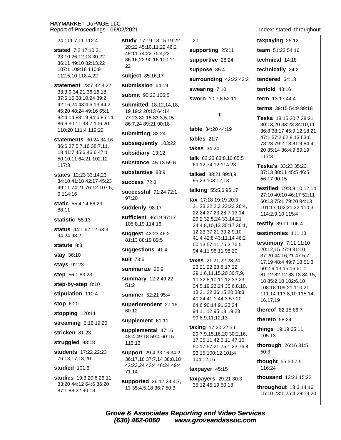24 111:7,11 112:4

- stated 7:2 17:10.21 23:10 26:12,13 30:22 36:11 49:10 82:13,22 107:1 109:18 110:9 112:5,10 118:4,22
- statement 23:7 32:3.22 33:3,9 34:21 36:16,18 37:5,16 38:10,24 39:2 42:16,24 43:4,6,13 44:2 45:20 48:24 49:16 65:1 82:4.14 83:19 84:6 85:14 86:6 90:11 98:7 106:20 110:20 111:4 119:22
- statements 30:24 34:16 36:6 37:5,7,16 38:7,11, 18 41:7 45:6 46:6 47:1 50:10.11 64:21 102:12  $117:3$
- states 12:23 33:14.23 34:10 41:18 42:17 45:23 49:11 74:21 76:12 107:5, 6 114:16
- **static** 55:4,14 66:23  $88.11$

statistic 55:13

status 44:1 62:12 63:3 94:24 98:2

statute  $8:3$ 

stay 36:10

stays 92:23

step 56:1 83:23

step-by-step 8:10

stipulation 110:4

**stop 6:20** 

stopping 120:11

streaming 6:18,19,20

stricken 81:23

struggled 98:18

students 17:22 22:23 76:13,17,18,20

#### studied 101:6

studies 19:3 20:6 26:11 33:20 44:12 64:6 86:20 87:1 88:22 90:18

study 17:19 18:15 19:22 20:22 45:10.11.22 46:2 49:11 74:22 75:4,22 86:16,22 90:16 100:11, 22

subject 85:16,17

submission 64:19

submit 90:22 106:5

submitted 18:12.14.18. 19 19:2 20:13 64:14 77:23 82:15 83:3,5,15 86:7,24 89:21 90:18

submitting 83:24

subsequently 103:22

subsidiary 13:12

substance 45:13 59:6

substantive 83:9

success 72:3

successful 71:24 72:1 97:20

suddenly 98:17

sufficient 96:19 97:17 105:8,19 114:16

suggest 43:23 46:2 81:13 88:19 89:5

suggestions 41:4

suit 73:6

#### summarize 26:9

summary 12:2 49:22  $51:2$ 

summer 52:21 95:4

superintendent 27:16 60:12

#### supplement 61:11

supplemental 47:16 48:4 49:18 59:4 60:15 115:13

**support** 29:4 33:16 34:2 36:17,18 37:7,14 38:8,18 42:23.24 43:4 46:24 49:4 71:14

supported 26:17 34:4,7, 13 35:4,5,18 36:7 50:3,

# 20

supporting 25:11 supportive 28:24 suppose 85:4 surrounding 42:22 43:2 swearing 7:10 sworn 10:7,8 52:11

# T

table 34:20 44:19

tables  $21:7$ 

takes  $34:24$ 

talk 62:23 63:8,10 65:5 69:12 74:12 114:23

talked 88:21 89:8,9 95:23 103:12,13

talking 55:5,6 95:17

tax 17:18 19:19 20:3 21:23 22:2,3 23:22 26:4, 22.24 27:23 28:7.13.14 29:2 32:5,24 33:14,21 34:4,8,10,13 35:17 36:1, 12,23 37:21 39:2,9,10 41:4 42:8 43:11,14 46:2 50:13 57:11 75:3 76:5 94:4,11 96:11 98:20

**taxes** 21:21,22,23,24 23:21.22 28:8.17.22 29:1,6,11,15,20 30:7,9, 10 32:8,10,11,12 33:23 34:5,19,23,24 35:6,8,10, 13,21,22 36:15,20 38:3 40:24 41:1 44:3 57:20 64:6 90:14 91:23,24 94:11,12 95:18,19,23 99:8,9,11,12,13

taxing 17:20 22:5,6 29:7,9,15,16,20 30:2,16, 17 35:11 42:5.11 47:10 50:17 57:21 75:1.23 76:4 93:15 100:12 101:4 104:12,16

### taxpayer 45:15

taxpayers 29:21 30:3 35:12 45:19 50:18

Index: stated..throughout

taxpaying  $25:12$ team 51:23 54:16 technical 14:18 technically 24:2 tendered 64:13 tenfold  $43:16$ 

term 13:17 44:4

terms 39:15 54:9 89:18

Teska 18:15 20:7 28:21 30:13,20 33:23 34:10,11 36:8 38:17 45:9,12,18,21 47:1 57:2 62:8,13 63:6 78:23 79:2,13 81:9 84:4, 20 85:14 86:4,9 89:19  $117:3$ 

Teska's 33:23 35:23 37:13 38:11 45:5 46:5 56:17 90:15

**testified** 19:8,9,10,12,14 27:10 40:10 46:17 52:11 60:13 75:1 79:20 84:13 101:17 102:21,22 110:3 114:2,9,10 115:4

testify 89:11 106:4

testimonies 111:13

testimony 7:11 11:10 20:12,15 27:9 31:10 37:20 44:16,21 47:5,7, 17,19 48:4 49:7,18 51:3 60:2,9,13,15,16 61:1 81:12 82:12 83:13 84:15, 18 85:2,10 102:6,10 108:18 109:21 110:21 111:14 113:8,10 115:14, 16,17,19

thereof 82:15 86:7

thereto  $58:24$ 

things 19:19 65:11 105:13

thorough 26:16 31:5  $50:3$ 

thought 55:5 57:5 116:24

thousand  $12:21.15:22$ 

throughout  $13:3$  14:16 15:10 23:1 25:4 28:19,20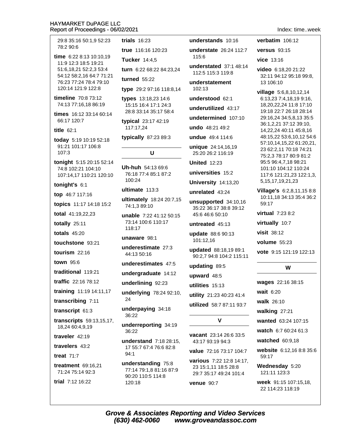29:8 35:16 50:1.9 52:23 78:2 90:6

time 6:22 8:13 10:10.19 11:9 12:3 18:5 19:21 51:6,18,21 52:2,3 53:4 54:12 58:2,16 64:7 71:21 76:23 77:24 78:4 79:10 120:14 121:9 122:8

timeline 70:8 73:12 74:13 77:16,18 86:19

times 16:12 33:14 60:14 66:17 120:7

title  $62:1$ 

today 5:19 10:19 52:18 91:21 101:17 106:8 107:3

tonight 5:15 20:15 52:14 74:8 102:21 104:10 107:14,17 110:21 120:10

tonight's  $6:1$ 

top 46:7 117:16

topics 11:17 14:18 15:2

total 41:19,22,23

totally 25:11

totals  $45:20$ 

touchstone 93:21

tourism  $22:16$ 

town 95:6

traditional 119:21

traffic 22:16 78:12

training 11:19 14:11,17

transcribing 7:11

transcript 61:3

transcripts 59:13,15,17, 18,24 60:4,9,19

traveler  $42.19$ 

travelers 43:2

treat  $71:7$ 

treatment 69:16.21 71:24 75:14 92:3

trial 7:12 16:22

trials  $16:23$ 

true 116:16 120:23

Tucker 14:4.5

turn 6:22 68:22 84:23,24

turned  $55:22$ 

type 29:2 97:16 118:8,14

types 13:18,23 14:6 15:15 16:4 17:1 24:3 28:8 33:14 35:17 58:4

typical 23:17 42:19 117:17,24

typically 87:23 89:3

# $\mathbf{U}$

Uh-huh 54:13 69:6 76:18 77:4 85:1 87:2 100:24

ultimate  $113:3$ 

ultimately 18:24 20:7,15 74:1.3 89:10

unable 7:22 41:12 50:15 73:14 100:6 110:17 118:17

unaware 98:1

underestimate 27:3 44:13 50:16

underestimates 47:5

undergraduate 14:12

underlining 92:23

underlying 78:24 92:10, 24

underpaying 34:18 36:22

underreporting 34:19 36:22

understand 7:18 28:15, 17 55:7 67:4 76:6 82:8  $94:1$ 

understanding 75:8 77:14 79:1.8 81:16 87:9 90:20 110:5 114:8 120:18

understands 10:16

understate 26:24 112:7  $115.6$ 

understated  $37:148:14$ 112:5 115:3 119:8

understatement  $102.13$ 

understood 62:1

underutilized 43:17

undetermined  $107:10$ 

undo 48:21 49:2

undue 49:4 114:6

unique 24:14,16,19 25:20 26:2 116:19

**United 12:23** 

universities 15:2

University 14:13,20

unrelated 43:24

unsupported 34:10,16 35:22 36:17 38:8 39:12 45:6 46:6 50:10

untreated 45:13

update 88:6 90:13 101:12,16

updated 88:18,19 89:1 90:2.7 94:8 104:2 115:11

updating 89:5

upward 48:5

utilities 15:13

utility 21:23 40:23 41:4

utilized 58:7 87:11 93:7

 $\mathbf{V}$ 

vacant 23:14 26:6 33:5 43:17 93:19 94:3

value 72:16 73:17 104:7 various 7:22 12:8 14:17. 23 15:1,11 18:5 28:8

29:7 35:17 49:24 101:4

venue 90:7

verbatim 106:12

versus  $93:15$ 

vice  $13:16$ 

video 6:18,20 21:22 32:11 94:12 95:18 99:8, 13 106:10

village 5:6,8,10,12,14 6:13,23 7:4,18,19 9:16, 18,20,22,24 11:8 17:10 19:18 22:7 26:18 28:14 29:16,24 34:5,8,13 35:5 36:1,2,21 37:12 39:10, 14,22,24 40:11 45:8,16 48:15,22 53:6,10,12 54:6 57:10,14,15,22 61:20,21, 23 62:2,11 70:18 74:21 75:2.3 78:17 80:9 81:2 95:5 96:4,7,18 98:21 101:10 104:12 110:24 117:6 121:21,23 122:1,3, 5, 15, 17, 19, 21, 23

Village's 6:2,8,11,15 8:8 10:11,18 34:13 35:4 36:2  $59:17$ 

virtual  $7.2382$ 

virtually 10:7

visit 38:12

**volume** 55:23

vote 9:15 121:19 122:13

# W

wages 22:16 38:15 wait 6:20 walk 26:10 walking 27:21 wanted 63:24 107:15 watch 6:7 60:24 61:3

watched 60:9.18

website 6:12.16 8:8 35:6 59:17

Wednesday 5:20 121:11 123:3

week 91:15 107:15,18, 22 114:23 118:19

Index time week